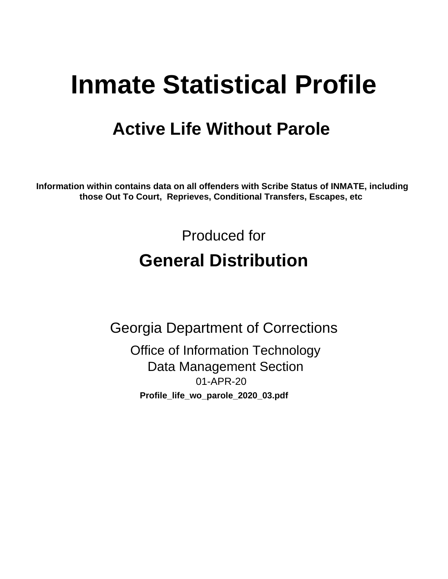# **Inmate Statistical Profile**

## **Active Life Without Parole**

Information within contains data on all offenders with Scribe Status of INMATE, including those Out To Court, Reprieves, Conditional Transfers, Escapes, etc

> Produced for **General Distribution**

**Georgia Department of Corrections Office of Information Technology Data Management Section** 01-APR-20 Profile\_life\_wo\_parole\_2020\_03.pdf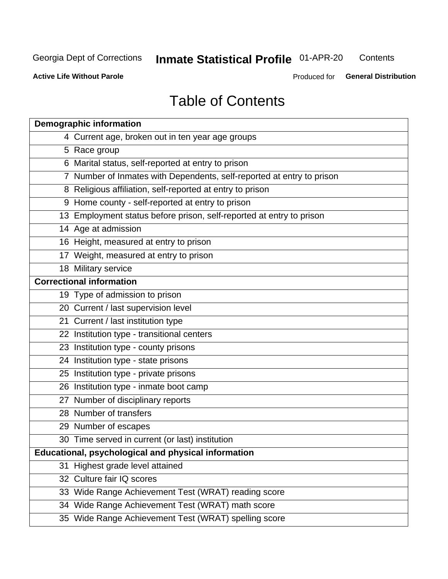## **Inmate Statistical Profile 01-APR-20**

Contents

**Active Life Without Parole** 

Produced for General Distribution

## **Table of Contents**

|    | <b>Demographic information</b>                                        |
|----|-----------------------------------------------------------------------|
|    | 4 Current age, broken out in ten year age groups                      |
|    | 5 Race group                                                          |
|    | 6 Marital status, self-reported at entry to prison                    |
|    | 7 Number of Inmates with Dependents, self-reported at entry to prison |
|    | 8 Religious affiliation, self-reported at entry to prison             |
|    | 9 Home county - self-reported at entry to prison                      |
|    | 13 Employment status before prison, self-reported at entry to prison  |
|    | 14 Age at admission                                                   |
|    | 16 Height, measured at entry to prison                                |
|    | 17 Weight, measured at entry to prison                                |
|    | 18 Military service                                                   |
|    | <b>Correctional information</b>                                       |
|    | 19 Type of admission to prison                                        |
|    | 20 Current / last supervision level                                   |
|    | 21 Current / last institution type                                    |
|    | 22 Institution type - transitional centers                            |
|    | 23 Institution type - county prisons                                  |
|    | 24 Institution type - state prisons                                   |
|    | 25 Institution type - private prisons                                 |
|    | 26 Institution type - inmate boot camp                                |
|    | 27 Number of disciplinary reports                                     |
|    | 28 Number of transfers                                                |
|    | 29 Number of escapes                                                  |
|    | 30 Time served in current (or last) institution                       |
|    | Educational, psychological and physical information                   |
| 31 | Highest grade level attained                                          |
|    | 32 Culture fair IQ scores                                             |
|    | 33 Wide Range Achievement Test (WRAT) reading score                   |
|    | 34 Wide Range Achievement Test (WRAT) math score                      |
|    | 35 Wide Range Achievement Test (WRAT) spelling score                  |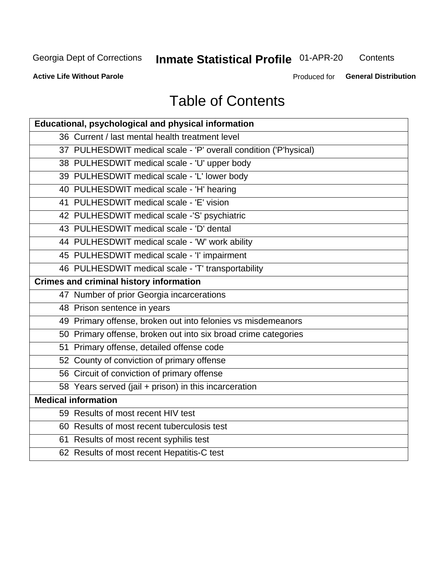## **Inmate Statistical Profile 01-APR-20**

Contents

**Active Life Without Parole** 

Produced for General Distribution

## **Table of Contents**

| Educational, psychological and physical information              |
|------------------------------------------------------------------|
| 36 Current / last mental health treatment level                  |
| 37 PULHESDWIT medical scale - 'P' overall condition ('P'hysical) |
| 38 PULHESDWIT medical scale - 'U' upper body                     |
| 39 PULHESDWIT medical scale - 'L' lower body                     |
| 40 PULHESDWIT medical scale - 'H' hearing                        |
| 41 PULHESDWIT medical scale - 'E' vision                         |
| 42 PULHESDWIT medical scale -'S' psychiatric                     |
| 43 PULHESDWIT medical scale - 'D' dental                         |
| 44 PULHESDWIT medical scale - 'W' work ability                   |
| 45 PULHESDWIT medical scale - 'I' impairment                     |
| 46 PULHESDWIT medical scale - 'T' transportability               |
| <b>Crimes and criminal history information</b>                   |
| 47 Number of prior Georgia incarcerations                        |
| 48 Prison sentence in years                                      |
| 49 Primary offense, broken out into felonies vs misdemeanors     |
| 50 Primary offense, broken out into six broad crime categories   |
| 51 Primary offense, detailed offense code                        |
| 52 County of conviction of primary offense                       |
| 56 Circuit of conviction of primary offense                      |
| 58 Years served (jail + prison) in this incarceration            |
| <b>Medical information</b>                                       |
| 59 Results of most recent HIV test                               |
| 60 Results of most recent tuberculosis test                      |
| 61 Results of most recent syphilis test                          |
| 62 Results of most recent Hepatitis-C test                       |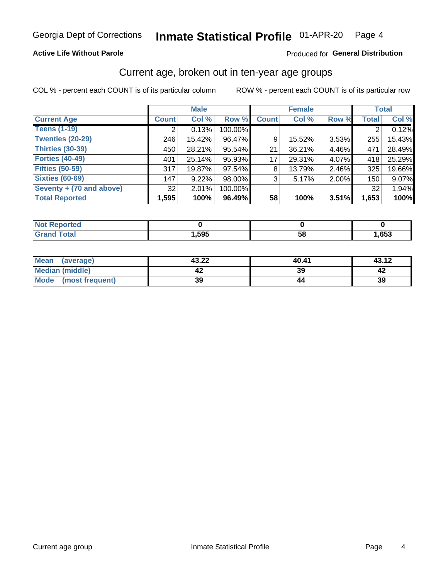### **Active Life Without Parole**

### Produced for General Distribution

## Current age, broken out in ten-year age groups

COL % - percent each COUNT is of its particular column

|                          |              | <b>Male</b> |         |              | <b>Female</b> |          |              | <b>Total</b> |  |
|--------------------------|--------------|-------------|---------|--------------|---------------|----------|--------------|--------------|--|
| <b>Current Age</b>       | <b>Count</b> | Col %       | Row %   | <b>Count</b> | Col %         | Row %    | <b>Total</b> | Col %        |  |
| <b>Teens (1-19)</b>      |              | 0.13%       | 100.00% |              |               |          |              | 0.12%        |  |
| <b>Twenties (20-29)</b>  | 246          | 15.42%      | 96.47%  | 9            | 15.52%        | 3.53%    | 255          | 15.43%       |  |
| Thirties (30-39)         | 450          | 28.21%      | 95.54%  | 21           | 36.21%        | 4.46%    | 471          | 28.49%       |  |
| <b>Forties (40-49)</b>   | 401          | 25.14%      | 95.93%  | 17           | 29.31%        | 4.07%    | 418          | 25.29%       |  |
| <b>Fifties (50-59)</b>   | 317          | 19.87%      | 97.54%  | 8            | 13.79%        | $2.46\%$ | 325          | 19.66%       |  |
| <b>Sixties (60-69)</b>   | 147          | 9.22%       | 98.00%  | 3            | 5.17%         | 2.00%    | 150          | 9.07%        |  |
| Seventy + (70 and above) | 32           | 2.01%       | 100.00% |              |               |          | 32           | 1.94%        |  |
| <b>Total Reported</b>    | 1,595        | 100%        | 96.49%  | 58           | 100%          | 3.51%    | 1,653        | 100%         |  |

| $\sim$ $\sim$ $\sim$<br>_____ | ,595 | - -<br>ວເ | ,653 |
|-------------------------------|------|-----------|------|

| Mean<br>(average)    | 43.22 | 40.41 | 43.12 |
|----------------------|-------|-------|-------|
| Median (middle)      |       | 39    |       |
| Mode (most frequent) | 39    |       | 39    |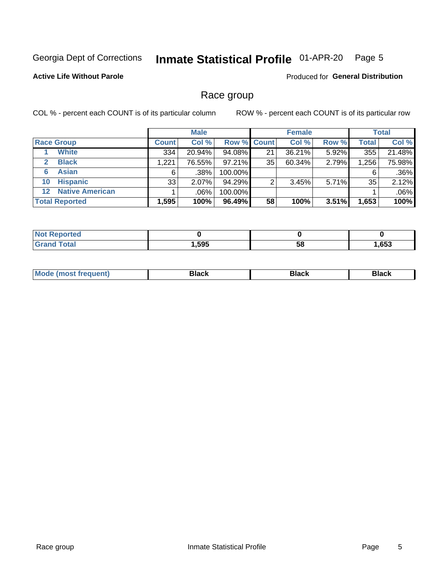#### Inmate Statistical Profile 01-APR-20 Page 5

### **Active Life Without Parole**

Produced for General Distribution

## Race group

COL % - percent each COUNT is of its particular column

|                       |                        |              | <b>Male</b> |           |                    | <b>Female</b> |       |              | <b>Total</b> |  |
|-----------------------|------------------------|--------------|-------------|-----------|--------------------|---------------|-------|--------------|--------------|--|
|                       | <b>Race Group</b>      | <b>Count</b> | Col %       |           | <b>Row % Count</b> | Col %         | Row % | <b>Total</b> | Col %        |  |
|                       | <b>White</b>           | 334          | 20.94%      | 94.08%    | 21                 | 36.21%        | 5.92% | 355          | 21.48%       |  |
| $\mathbf{2}$          | <b>Black</b>           | 1,221        | 76.55%      | $97.21\%$ | 35                 | 60.34%        | 2.79% | 1,256        | 75.98%       |  |
| 6                     | <b>Asian</b>           | 6            | $.38\%$     | 100.00%   |                    |               |       | 6            | .36%         |  |
| 10                    | <b>Hispanic</b>        | 33           | 2.07%       | 94.29%    | ◠                  | 3.45%         | 5.71% | 35           | 2.12%        |  |
| $12 \,$               | <b>Native American</b> |              | .06%        | 100.00%   |                    |               |       |              | .06%         |  |
| <b>Total Reported</b> |                        | 1,595        | 100%        | 96.49%    | 58                 | 100%          | 3.51% | 1,653        | 100%         |  |

| <b>rtea</b>           |      |    |      |
|-----------------------|------|----|------|
| $f \wedge f \wedge f$ | ,595 | 58 | ,653 |

| M | - - - |  |
|---|-------|--|
|   |       |  |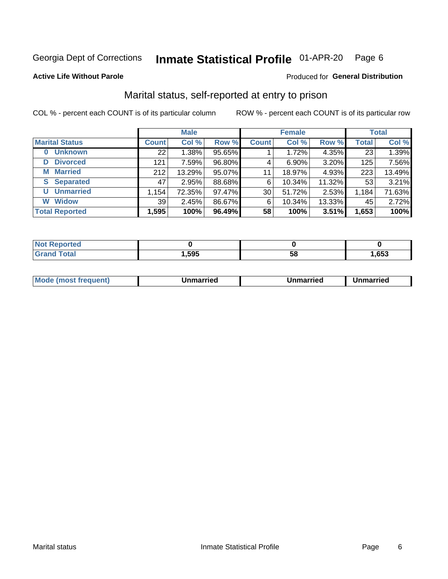#### Inmate Statistical Profile 01-APR-20 Page 6

#### **Active Life Without Parole**

#### Produced for General Distribution

## Marital status, self-reported at entry to prison

COL % - percent each COUNT is of its particular column

|                        | <b>Male</b>  |        |        |                 | <b>Female</b> | <b>Total</b> |              |        |
|------------------------|--------------|--------|--------|-----------------|---------------|--------------|--------------|--------|
| <b>Marital Status</b>  | <b>Count</b> | Col %  | Row %  | <b>Count</b>    | Col %         | Row %        | <b>Total</b> | Col %  |
| <b>Unknown</b><br>0    | 22           | 1.38%  | 95.65% |                 | 1.72%         | 4.35%        | 23           | 1.39%  |
| <b>Divorced</b><br>D   | 121          | 7.59%  | 96.80% | 4               | $6.90\%$      | 3.20%        | 125          | 7.56%  |
| <b>Married</b><br>М    | 212          | 13.29% | 95.07% | 11              | 18.97%        | 4.93%        | 223          | 13.49% |
| <b>Separated</b><br>S. | 47           | 2.95%  | 88.68% | 6               | 10.34%        | 11.32%       | 53           | 3.21%  |
| <b>Unmarried</b><br>U  | 1,154        | 72.35% | 97.47% | 30 <sup>1</sup> | 51.72%        | 2.53%        | 1,184        | 71.63% |
| <b>Widow</b><br>W      | 39           | 2.45%  | 86.67% | 6               | 10.34%        | 13.33%       | 45           | 2.72%  |
| <b>Total Reported</b>  | 1,595        | 100%   | 96.49% | 58              | 100%          | 3.51%        | 1,653        | 100%   |

| <b>Not Reported</b><br>. <b>.</b> |      |    |      |
|-----------------------------------|------|----|------|
| <b>Total</b>                      | ,595 | эa | .653 |

|--|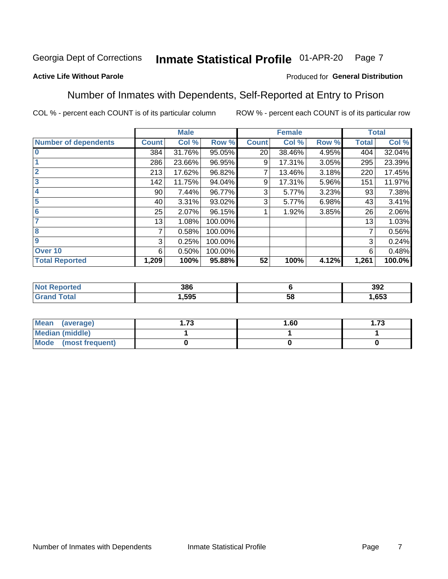#### Inmate Statistical Profile 01-APR-20 Page 7

### **Active Life Without Parole**

### Produced for General Distribution

## Number of Inmates with Dependents, Self-Reported at Entry to Prison

COL % - percent each COUNT is of its particular column

|                             |              | <b>Male</b> |         |              | <b>Female</b> |       |              | <b>Total</b> |
|-----------------------------|--------------|-------------|---------|--------------|---------------|-------|--------------|--------------|
| <b>Number of dependents</b> | <b>Count</b> | Col %       | Row %   | <b>Count</b> | Col %         | Row % | <b>Total</b> | Col %        |
| $\bf{0}$                    | 384          | 31.76%      | 95.05%  | 20           | 38.46%        | 4.95% | 404          | 32.04%       |
|                             | 286          | 23.66%      | 96.95%  | 9            | 17.31%        | 3.05% | 295          | 23.39%       |
| $\overline{2}$              | 213          | 17.62%      | 96.82%  |              | 13.46%        | 3.18% | 220          | 17.45%       |
| 3                           | 142          | 11.75%      | 94.04%  | 9            | 17.31%        | 5.96% | 151          | 11.97%       |
| 4                           | 90           | 7.44%       | 96.77%  | 3            | 5.77%         | 3.23% | 93           | 7.38%        |
| 5                           | 40           | 3.31%       | 93.02%  | 3            | 5.77%         | 6.98% | 43           | 3.41%        |
| 6                           | 25           | 2.07%       | 96.15%  |              | 1.92%         | 3.85% | 26           | 2.06%        |
| 7                           | 13           | 1.08%       | 100.00% |              |               |       | 13           | 1.03%        |
| 8                           | 7            | 0.58%       | 100.00% |              |               |       | 7            | 0.56%        |
| 9                           | 3            | 0.25%       | 100.00% |              |               |       | 3            | 0.24%        |
| Over <sub>10</sub>          | 6            | 0.50%       | 100.00% |              |               |       | 6            | 0.48%        |
| <b>Total Reported</b>       | 1,209        | 100%        | 95.88%  | 52           | 100%          | 4.12% | 1,261        | 100.0%       |

| 386  |    | 392  |
|------|----|------|
| 595, | ၁၀ | ,653 |

| <b>Mean</b><br>(average) | -72<br>I. I J | 1.60 | - 72<br>I. I J |
|--------------------------|---------------|------|----------------|
| Median (middle)          |               |      |                |
| Mode<br>(most frequent)  |               |      |                |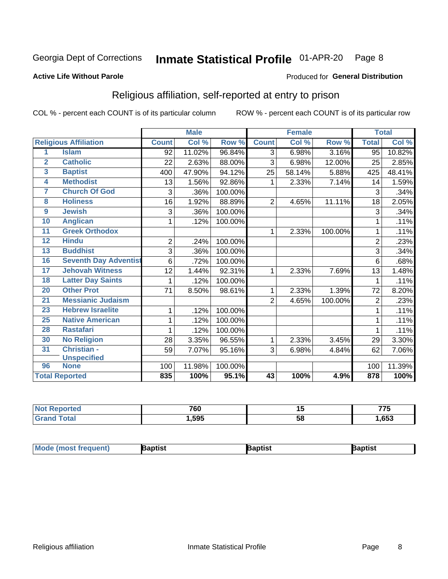#### Inmate Statistical Profile 01-APR-20 Page 8

#### **Active Life Without Parole**

#### Produced for General Distribution

## Religious affiliation, self-reported at entry to prison

COL % - percent each COUNT is of its particular column

|                         |                              |                | <b>Male</b> |         | <b>Female</b>  |        |         | <b>Total</b>   |        |
|-------------------------|------------------------------|----------------|-------------|---------|----------------|--------|---------|----------------|--------|
|                         | <b>Religious Affiliation</b> | <b>Count</b>   | Col %       | Row %   | <b>Count</b>   | Col %  | Row %   | <b>Total</b>   | Col %  |
| 1                       | <b>Islam</b>                 | 92             | 11.02%      | 96.84%  | $\overline{3}$ | 6.98%  | 3.16%   | 95             | 10.82% |
| $\overline{2}$          | <b>Catholic</b>              | 22             | 2.63%       | 88.00%  | 3              | 6.98%  | 12.00%  | 25             | 2.85%  |
| $\overline{\mathbf{3}}$ | <b>Baptist</b>               | 400            | 47.90%      | 94.12%  | 25             | 58.14% | 5.88%   | 425            | 48.41% |
| $\overline{\mathbf{4}}$ | <b>Methodist</b>             | 13             | 1.56%       | 92.86%  | 1              | 2.33%  | 7.14%   | 14             | 1.59%  |
| 7                       | <b>Church Of God</b>         | 3              | .36%        | 100.00% |                |        |         | 3              | .34%   |
| 8                       | <b>Holiness</b>              | 16             | 1.92%       | 88.89%  | $\overline{2}$ | 4.65%  | 11.11%  | 18             | 2.05%  |
| $\overline{9}$          | <b>Jewish</b>                | 3              | .36%        | 100.00% |                |        |         | 3              | .34%   |
| 10                      | <b>Anglican</b>              | 1              | .12%        | 100.00% |                |        |         |                | .11%   |
| 11                      | <b>Greek Orthodox</b>        |                |             |         | 1              | 2.33%  | 100.00% |                | .11%   |
| 12                      | <b>Hindu</b>                 | $\overline{2}$ | .24%        | 100.00% |                |        |         | $\overline{2}$ | .23%   |
| 13                      | <b>Buddhist</b>              | 3              | .36%        | 100.00% |                |        |         | 3              | .34%   |
| 16                      | <b>Seventh Day Adventist</b> | 6              | .72%        | 100.00% |                |        |         | 6              | .68%   |
| 17                      | <b>Jehovah Witness</b>       | 12             | 1.44%       | 92.31%  | 1              | 2.33%  | 7.69%   | 13             | 1.48%  |
| 18                      | <b>Latter Day Saints</b>     | 1              | .12%        | 100.00% |                |        |         |                | .11%   |
| 20                      | <b>Other Prot</b>            | 71             | 8.50%       | 98.61%  | 1              | 2.33%  | 1.39%   | 72             | 8.20%  |
| $\overline{21}$         | <b>Messianic Judaism</b>     |                |             |         | $\overline{2}$ | 4.65%  | 100.00% | $\overline{2}$ | .23%   |
| 23                      | <b>Hebrew Israelite</b>      | 1              | .12%        | 100.00% |                |        |         |                | .11%   |
| 25                      | <b>Native American</b>       | 1              | .12%        | 100.00% |                |        |         |                | .11%   |
| 28                      | <b>Rastafari</b>             | 1              | .12%        | 100.00% |                |        |         |                | .11%   |
| 30                      | <b>No Religion</b>           | 28             | 3.35%       | 96.55%  | 1              | 2.33%  | 3.45%   | 29             | 3.30%  |
| 31                      | Christian -                  | 59             | 7.07%       | 95.16%  | 3              | 6.98%  | 4.84%   | 62             | 7.06%  |
|                         | <b>Unspecified</b>           |                |             |         |                |        |         |                |        |
| 96                      | <b>None</b>                  | 100            | 11.98%      | 100.00% |                |        |         | 100            | 11.39% |
|                         | <b>Total Reported</b>        | 835            | 100%        | 95.1%   | 43             | 100%   | 4.9%    | 878            | 100%   |

| . | 700  | . .                | ---  |
|---|------|--------------------|------|
|   | טס י | .,                 | ັ    |
|   | .595 | . .<br>$5\epsilon$ | ,653 |

| Mode (most frequ<br>aptist<br>Nuent) | ˈaɒtist | ʿaptis |
|--------------------------------------|---------|--------|
|--------------------------------------|---------|--------|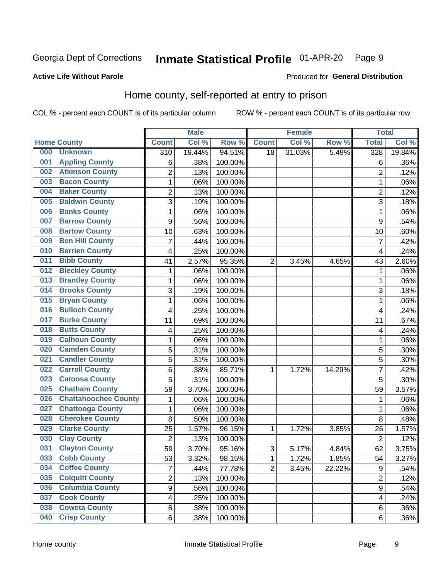#### Inmate Statistical Profile 01-APR-20 Page 9

#### **Active Life Without Parole**

### Produced for General Distribution

## Home county, self-reported at entry to prison

COL % - percent each COUNT is of its particular column

|     |                             |                         | <b>Male</b> |         |                | <b>Female</b> |        | <b>Total</b>            |        |
|-----|-----------------------------|-------------------------|-------------|---------|----------------|---------------|--------|-------------------------|--------|
|     | <b>Home County</b>          | <b>Count</b>            | Col %       | Row %   | <b>Count</b>   | Col %         | Row %  | <b>Total</b>            | Col %  |
| 000 | <b>Unknown</b>              | $\overline{310}$        | 19.44%      | 94.51%  | 18             | 31.03%        | 5.49%  | 328                     | 19.84% |
| 001 | <b>Appling County</b>       | 6                       | .38%        | 100.00% |                |               |        | 6                       | .36%   |
| 002 | <b>Atkinson County</b>      | $\overline{2}$          | .13%        | 100.00% |                |               |        | $\overline{2}$          | .12%   |
| 003 | <b>Bacon County</b>         | $\mathbf 1$             | .06%        | 100.00% |                |               |        | 1                       | .06%   |
| 004 | <b>Baker County</b>         | $\overline{2}$          | .13%        | 100.00% |                |               |        | $\overline{2}$          | .12%   |
| 005 | <b>Baldwin County</b>       | 3                       | .19%        | 100.00% |                |               |        | 3                       | .18%   |
| 006 | <b>Banks County</b>         | $\mathbf{1}$            | .06%        | 100.00% |                |               |        | 1                       | .06%   |
| 007 | <b>Barrow County</b>        | 9                       | .56%        | 100.00% |                |               |        | 9                       | .54%   |
| 008 | <b>Bartow County</b>        | 10                      | .63%        | 100.00% |                |               |        | 10                      | .60%   |
| 009 | <b>Ben Hill County</b>      | $\overline{7}$          | .44%        | 100.00% |                |               |        | 7                       | .42%   |
| 010 | <b>Berrien County</b>       | 4                       | .25%        | 100.00% |                |               |        | $\overline{\mathbf{4}}$ | .24%   |
| 011 | <b>Bibb County</b>          | 41                      | 2.57%       | 95.35%  | $\overline{2}$ | 3.45%         | 4.65%  | 43                      | 2.60%  |
| 012 | <b>Bleckley County</b>      | $\mathbf 1$             | .06%        | 100.00% |                |               |        | 1                       | .06%   |
| 013 | <b>Brantley County</b>      | $\mathbf 1$             | .06%        | 100.00% |                |               |        | 1                       | .06%   |
| 014 | <b>Brooks County</b>        | 3                       | .19%        | 100.00% |                |               |        | 3                       | .18%   |
| 015 | <b>Bryan County</b>         | $\mathbf 1$             | .06%        | 100.00% |                |               |        | 1                       | .06%   |
| 016 | <b>Bulloch County</b>       | 4                       | .25%        | 100.00% |                |               |        | $\overline{4}$          | .24%   |
| 017 | <b>Burke County</b>         | 11                      | .69%        | 100.00% |                |               |        | 11                      | .67%   |
| 018 | <b>Butts County</b>         | 4                       | .25%        | 100.00% |                |               |        | 4                       | .24%   |
| 019 | <b>Calhoun County</b>       | $\mathbf 1$             | .06%        | 100.00% |                |               |        | 1                       | .06%   |
| 020 | <b>Camden County</b>        | 5                       | .31%        | 100.00% |                |               |        | 5                       | .30%   |
| 021 | <b>Candler County</b>       | 5                       | .31%        | 100.00% |                |               |        | 5                       | .30%   |
| 022 | <b>Carroll County</b>       | 6                       | .38%        | 85.71%  | 1              | 1.72%         | 14.29% | 7                       | .42%   |
| 023 | <b>Catoosa County</b>       | 5                       | .31%        | 100.00% |                |               |        | 5                       | .30%   |
| 025 | <b>Chatham County</b>       | 59                      | 3.70%       | 100.00% |                |               |        | 59                      | 3.57%  |
| 026 | <b>Chattahoochee County</b> | $\mathbf 1$             | .06%        | 100.00% |                |               |        | 1                       | .06%   |
| 027 | <b>Chattooga County</b>     | $\mathbf 1$             | .06%        | 100.00% |                |               |        | 1                       | .06%   |
| 028 | <b>Cherokee County</b>      | 8                       | .50%        | 100.00% |                |               |        | 8                       | .48%   |
| 029 | <b>Clarke County</b>        | 25                      | 1.57%       | 96.15%  | 1              | 1.72%         | 3.85%  | 26                      | 1.57%  |
| 030 | <b>Clay County</b>          | $\overline{2}$          | .13%        | 100.00% |                |               |        | $\overline{2}$          | .12%   |
| 031 | <b>Clayton County</b>       | 59                      | 3.70%       | 95.16%  | $\sqrt{3}$     | 5.17%         | 4.84%  | 62                      | 3.75%  |
| 033 | <b>Cobb County</b>          | 53                      | 3.32%       | 98.15%  | 1              | 1.72%         | 1.85%  | 54                      | 3.27%  |
| 034 | <b>Coffee County</b>        | $\overline{7}$          | .44%        | 77.78%  | $\overline{2}$ | 3.45%         | 22.22% | $\boldsymbol{9}$        | .54%   |
| 035 | <b>Colquitt County</b>      | $\overline{2}$          | .13%        | 100.00% |                |               |        | $\overline{2}$          | .12%   |
| 036 | <b>Columbia County</b>      | $\overline{9}$          | .56%        | 100.00% |                |               |        | $\mathsf g$             | .54%   |
| 037 | <b>Cook County</b>          | $\overline{\mathbf{4}}$ | .25%        | 100.00% |                |               |        | 4                       | .24%   |
| 038 | <b>Coweta County</b>        | 6                       | .38%        | 100.00% |                |               |        | 6                       | .36%   |
| 040 | <b>Crisp County</b>         | 6                       | .38%        | 100.00% |                |               |        | 6                       | .36%   |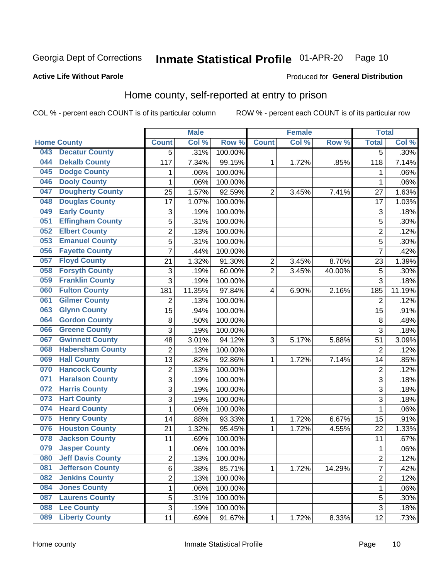#### Inmate Statistical Profile 01-APR-20 Page 10

**Active Life Without Parole** 

Produced for General Distribution

## Home county, self-reported at entry to prison

COL % - percent each COUNT is of its particular column

|     |                          |                         | <b>Male</b> |         |                | <b>Female</b> |        | <b>Total</b>   |         |
|-----|--------------------------|-------------------------|-------------|---------|----------------|---------------|--------|----------------|---------|
|     | <b>Home County</b>       | <b>Count</b>            | Col %       | Row %   | <b>Count</b>   | Col %         | Row %  | <b>Total</b>   | Col %   |
| 043 | <b>Decatur County</b>    | 5                       | .31%        | 100.00% |                |               |        | 5              | $.30\%$ |
| 044 | <b>Dekalb County</b>     | 117                     | 7.34%       | 99.15%  | 1              | 1.72%         | .85%   | 118            | 7.14%   |
| 045 | <b>Dodge County</b>      | 1                       | .06%        | 100.00% |                |               |        | 1              | .06%    |
| 046 | <b>Dooly County</b>      | $\mathbf 1$             | .06%        | 100.00% |                |               |        | 1              | .06%    |
| 047 | <b>Dougherty County</b>  | 25                      | 1.57%       | 92.59%  | $\overline{2}$ | 3.45%         | 7.41%  | 27             | 1.63%   |
| 048 | <b>Douglas County</b>    | 17                      | 1.07%       | 100.00% |                |               |        | 17             | 1.03%   |
| 049 | <b>Early County</b>      | 3                       | .19%        | 100.00% |                |               |        | 3              | .18%    |
| 051 | <b>Effingham County</b>  | 5                       | .31%        | 100.00% |                |               |        | 5              | .30%    |
| 052 | <b>Elbert County</b>     | $\overline{\mathbf{c}}$ | .13%        | 100.00% |                |               |        | $\overline{2}$ | .12%    |
| 053 | <b>Emanuel County</b>    | $\overline{5}$          | .31%        | 100.00% |                |               |        | 5              | .30%    |
| 056 | <b>Fayette County</b>    | $\overline{7}$          | .44%        | 100.00% |                |               |        | 7              | .42%    |
| 057 | <b>Floyd County</b>      | 21                      | 1.32%       | 91.30%  | $\overline{2}$ | 3.45%         | 8.70%  | 23             | 1.39%   |
| 058 | <b>Forsyth County</b>    | 3                       | .19%        | 60.00%  | $\overline{2}$ | 3.45%         | 40.00% | 5              | .30%    |
| 059 | <b>Franklin County</b>   | 3                       | .19%        | 100.00% |                |               |        | 3              | .18%    |
| 060 | <b>Fulton County</b>     | 181                     | 11.35%      | 97.84%  | 4              | 6.90%         | 2.16%  | 185            | 11.19%  |
| 061 | <b>Gilmer County</b>     | $\overline{2}$          | .13%        | 100.00% |                |               |        | $\overline{2}$ | .12%    |
| 063 | <b>Glynn County</b>      | 15                      | .94%        | 100.00% |                |               |        | 15             | .91%    |
| 064 | <b>Gordon County</b>     | 8                       | .50%        | 100.00% |                |               |        | 8              | .48%    |
| 066 | <b>Greene County</b>     | 3                       | .19%        | 100.00% |                |               |        | 3              | .18%    |
| 067 | <b>Gwinnett County</b>   | 48                      | 3.01%       | 94.12%  | 3              | 5.17%         | 5.88%  | 51             | 3.09%   |
| 068 | <b>Habersham County</b>  | $\overline{c}$          | .13%        | 100.00% |                |               |        | $\overline{2}$ | .12%    |
| 069 | <b>Hall County</b>       | 13                      | .82%        | 92.86%  | 1              | 1.72%         | 7.14%  | 14             | .85%    |
| 070 | <b>Hancock County</b>    | 2                       | .13%        | 100.00% |                |               |        | $\overline{2}$ | .12%    |
| 071 | <b>Haralson County</b>   | 3                       | .19%        | 100.00% |                |               |        | 3              | .18%    |
| 072 | <b>Harris County</b>     | 3                       | .19%        | 100.00% |                |               |        | 3              | .18%    |
| 073 | <b>Hart County</b>       | 3                       | .19%        | 100.00% |                |               |        | 3              | .18%    |
| 074 | <b>Heard County</b>      | 1                       | .06%        | 100.00% |                |               |        | 1              | .06%    |
| 075 | <b>Henry County</b>      | 14                      | .88%        | 93.33%  | 1              | 1.72%         | 6.67%  | 15             | .91%    |
| 076 | <b>Houston County</b>    | 21                      | 1.32%       | 95.45%  | 1              | 1.72%         | 4.55%  | 22             | 1.33%   |
| 078 | <b>Jackson County</b>    | 11                      | .69%        | 100.00% |                |               |        | 11             | .67%    |
| 079 | <b>Jasper County</b>     | $\mathbf{1}$            | .06%        | 100.00% |                |               |        | 1              | .06%    |
| 080 | <b>Jeff Davis County</b> | $\overline{\mathbf{c}}$ | .13%        | 100.00% |                |               |        | $\overline{c}$ | .12%    |
| 081 | <b>Jefferson County</b>  | 6                       | .38%        | 85.71%  | $\mathbf{1}$   | 1.72%         | 14.29% | 7              | .42%    |
| 082 | <b>Jenkins County</b>    | $\overline{c}$          | .13%        | 100.00% |                |               |        | $\overline{c}$ | .12%    |
| 084 | <b>Jones County</b>      | $\mathbf{1}$            | .06%        | 100.00% |                |               |        | 1              | .06%    |
| 087 | <b>Laurens County</b>    | 5                       | .31%        | 100.00% |                |               |        | 5              | .30%    |
| 088 | <b>Lee County</b>        | 3                       | .19%        | 100.00% |                |               |        | $\overline{3}$ | .18%    |
| 089 | <b>Liberty County</b>    | 11                      | .69%        | 91.67%  | 1              | 1.72%         | 8.33%  | 12             | .73%    |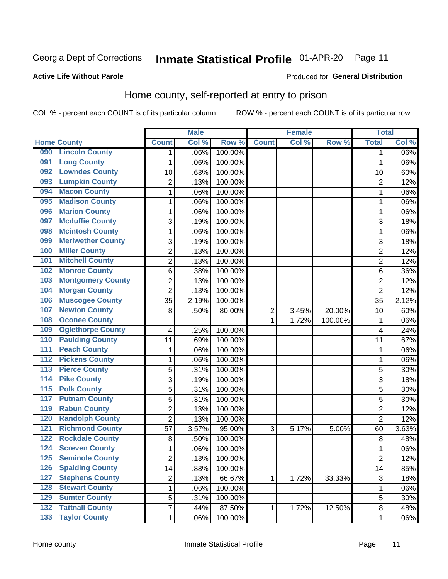#### Inmate Statistical Profile 01-APR-20 Page 11

Produced for General Distribution

### **Active Life Without Parole**

## Home county, self-reported at entry to prison

COL % - percent each COUNT is of its particular column

|                  |                          |                | <b>Male</b> |         | <b>Female</b> |       | <b>Total</b> |                |       |
|------------------|--------------------------|----------------|-------------|---------|---------------|-------|--------------|----------------|-------|
|                  | <b>Home County</b>       | <b>Count</b>   | Col %       | Row %   | <b>Count</b>  | Col % | Row %        | <b>Total</b>   | Col % |
| 090              | <b>Lincoln County</b>    | 1              | .06%        | 100.00% |               |       |              | 1              | .06%  |
| 091              | <b>Long County</b>       | 1              | .06%        | 100.00% |               |       |              | 1              | .06%  |
| 092              | <b>Lowndes County</b>    | 10             | .63%        | 100.00% |               |       |              | 10             | .60%  |
| 093              | <b>Lumpkin County</b>    | 2              | .13%        | 100.00% |               |       |              | $\overline{2}$ | .12%  |
| 094              | <b>Macon County</b>      | $\mathbf 1$    | .06%        | 100.00% |               |       |              | 1              | .06%  |
| 095              | <b>Madison County</b>    | 1              | .06%        | 100.00% |               |       |              | 1              | .06%  |
| 096              | <b>Marion County</b>     | 1              | .06%        | 100.00% |               |       |              | 1              | .06%  |
| 097              | <b>Mcduffie County</b>   | 3              | .19%        | 100.00% |               |       |              | 3              | .18%  |
| 098              | <b>Mcintosh County</b>   | 1              | .06%        | 100.00% |               |       |              | 1              | .06%  |
| 099              | <b>Meriwether County</b> | 3              | .19%        | 100.00% |               |       |              | 3              | .18%  |
| 100              | <b>Miller County</b>     | $\overline{2}$ | .13%        | 100.00% |               |       |              | $\overline{2}$ | .12%  |
| 101              | <b>Mitchell County</b>   | $\overline{c}$ | .13%        | 100.00% |               |       |              | $\overline{2}$ | .12%  |
| 102              | <b>Monroe County</b>     | 6              | .38%        | 100.00% |               |       |              | 6              | .36%  |
| 103              | <b>Montgomery County</b> | $\overline{c}$ | .13%        | 100.00% |               |       |              | 2              | .12%  |
| 104              | <b>Morgan County</b>     | $\overline{2}$ | .13%        | 100.00% |               |       |              | $\overline{2}$ | .12%  |
| 106              | <b>Muscogee County</b>   | 35             | 2.19%       | 100.00% |               |       |              | 35             | 2.12% |
| 107              | <b>Newton County</b>     | 8              | .50%        | 80.00%  | 2             | 3.45% | 20.00%       | 10             | .60%  |
| 108              | <b>Oconee County</b>     |                |             |         | 1             | 1.72% | 100.00%      | 1              | .06%  |
| 109              | <b>Oglethorpe County</b> | 4              | .25%        | 100.00% |               |       |              | 4              | .24%  |
| 110              | <b>Paulding County</b>   | 11             | .69%        | 100.00% |               |       |              | 11             | .67%  |
| 111              | <b>Peach County</b>      | 1              | .06%        | 100.00% |               |       |              | 1              | .06%  |
| $\overline{112}$ | <b>Pickens County</b>    | $\mathbf 1$    | .06%        | 100.00% |               |       |              | 1              | .06%  |
| 113              | <b>Pierce County</b>     | 5              | .31%        | 100.00% |               |       |              | 5              | .30%  |
| 114              | <b>Pike County</b>       | 3              | .19%        | 100.00% |               |       |              | 3              | .18%  |
| $\overline{115}$ | <b>Polk County</b>       | 5              | .31%        | 100.00% |               |       |              | 5              | .30%  |
| 117              | <b>Putnam County</b>     | 5              | .31%        | 100.00% |               |       |              | 5              | .30%  |
| 119              | <b>Rabun County</b>      | $\overline{c}$ | .13%        | 100.00% |               |       |              | 2              | .12%  |
| 120              | <b>Randolph County</b>   | $\overline{2}$ | .13%        | 100.00% |               |       |              | $\overline{2}$ | .12%  |
| $121$            | <b>Richmond County</b>   | 57             | 3.57%       | 95.00%  | 3             | 5.17% | 5.00%        | 60             | 3.63% |
| 122              | <b>Rockdale County</b>   | 8              | .50%        | 100.00% |               |       |              | 8              | .48%  |
| 124              | <b>Screven County</b>    | 1              | .06%        | 100.00% |               |       |              | 1              | .06%  |
| 125              | <b>Seminole County</b>   | $\overline{c}$ | .13%        | 100.00% |               |       |              | $\overline{c}$ | .12%  |
| 126              | <b>Spalding County</b>   | 14             | .88%        | 100.00% |               |       |              | 14             | .85%  |
| 127              | <b>Stephens County</b>   | $\overline{c}$ | .13%        | 66.67%  | 1             | 1.72% | 33.33%       | 3              | .18%  |
| 128              | <b>Stewart County</b>    | $\mathbf 1$    | .06%        | 100.00% |               |       |              | 1              | .06%  |
| 129              | <b>Sumter County</b>     | 5              | .31%        | 100.00% |               |       |              | 5              | .30%  |
| 132              | <b>Tattnall County</b>   | $\overline{7}$ | .44%        | 87.50%  | 1             | 1.72% | 12.50%       | 8              | .48%  |
| 133              | <b>Taylor County</b>     | $\mathbf{1}$   | .06%        | 100.00% |               |       |              | 1              | .06%  |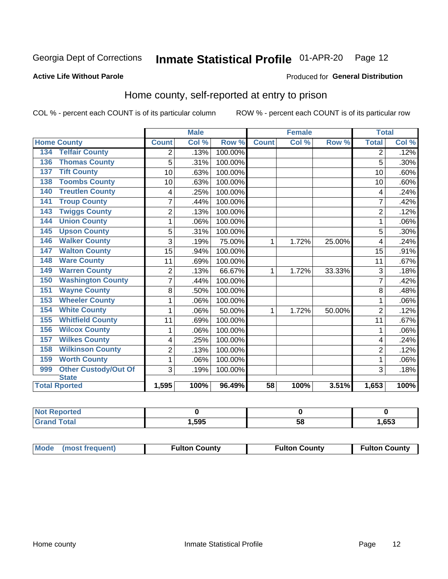#### Inmate Statistical Profile 01-APR-20 Page 12

#### **Active Life Without Parole**

#### Produced for General Distribution

## Home county, self-reported at entry to prison

COL % - percent each COUNT is of its particular column

|                                    |                | <b>Male</b> |         | <b>Female</b> |       |        | <b>Total</b>   |       |
|------------------------------------|----------------|-------------|---------|---------------|-------|--------|----------------|-------|
| <b>Home County</b>                 | <b>Count</b>   | Col %       | Row %   | <b>Count</b>  | Col % | Row %  | <b>Total</b>   | Col % |
| <b>Telfair County</b><br>134       | 2              | .13%        | 100.00% |               |       |        | 2              | .12%  |
| <b>Thomas County</b><br>136        | 5              | .31%        | 100.00% |               |       |        | 5              | .30%  |
| <b>Tift County</b><br>137          | 10             | .63%        | 100.00% |               |       |        | 10             | .60%  |
| <b>Toombs County</b><br>138        | 10             | .63%        | 100.00% |               |       |        | 10             | .60%  |
| <b>Treutlen County</b><br>140      | 4              | .25%        | 100.00% |               |       |        | 4              | .24%  |
| <b>Troup County</b><br>141         | 7              | .44%        | 100.00% |               |       |        | 7              | .42%  |
| <b>Twiggs County</b><br>143        | $\overline{c}$ | .13%        | 100.00% |               |       |        | $\overline{2}$ | .12%  |
| <b>Union County</b><br>144         | 1              | .06%        | 100.00% |               |       |        | 1              | .06%  |
| <b>Upson County</b><br>145         | 5              | .31%        | 100.00% |               |       |        | 5              | .30%  |
| <b>Walker County</b><br>146        | 3              | .19%        | 75.00%  | 1             | 1.72% | 25.00% | 4              | .24%  |
| <b>Walton County</b><br>147        | 15             | .94%        | 100.00% |               |       |        | 15             | .91%  |
| <b>Ware County</b><br>148          | 11             | .69%        | 100.00% |               |       |        | 11             | .67%  |
| <b>Warren County</b><br>149        | $\overline{2}$ | .13%        | 66.67%  | 1             | 1.72% | 33.33% | 3              | .18%  |
| <b>Washington County</b><br>150    | $\overline{7}$ | .44%        | 100.00% |               |       |        | 7              | .42%  |
| <b>Wayne County</b><br>151         | 8              | .50%        | 100.00% |               |       |        | 8              | .48%  |
| <b>Wheeler County</b><br>153       | 1              | .06%        | 100.00% |               |       |        | 1              | .06%  |
| <b>White County</b><br>154         | 1              | .06%        | 50.00%  | 1             | 1.72% | 50.00% | $\overline{2}$ | .12%  |
| <b>Whitfield County</b><br>155     | 11             | .69%        | 100.00% |               |       |        | 11             | .67%  |
| <b>Wilcox County</b><br>156        | 1              | .06%        | 100.00% |               |       |        | 1              | .06%  |
| <b>Wilkes County</b><br>157        | 4              | .25%        | 100.00% |               |       |        | 4              | .24%  |
| <b>Wilkinson County</b><br>158     | $\overline{2}$ | .13%        | 100.00% |               |       |        | $\overline{2}$ | .12%  |
| <b>Worth County</b><br>159         | 1              | .06%        | 100.00% |               |       |        | 1              | .06%  |
| <b>Other Custody/Out Of</b><br>999 | 3              | .19%        | 100.00% |               |       |        | 3              | .18%  |
| <b>State</b>                       |                |             |         |               |       |        |                |       |
| <b>Total Rported</b>               | 1,595          | 100%        | 96.49%  | 58            | 100%  | 3.51%  | 1,653          | 100%  |

| <b>Not Reported</b> |      |    |      |
|---------------------|------|----|------|
| <b>Total</b>        | ,595 | ວດ | ,653 |

| Mode (most frequent) | <b>Fulton County</b> | <b>Fulton County</b> | <b>Fulton County</b> |
|----------------------|----------------------|----------------------|----------------------|
|----------------------|----------------------|----------------------|----------------------|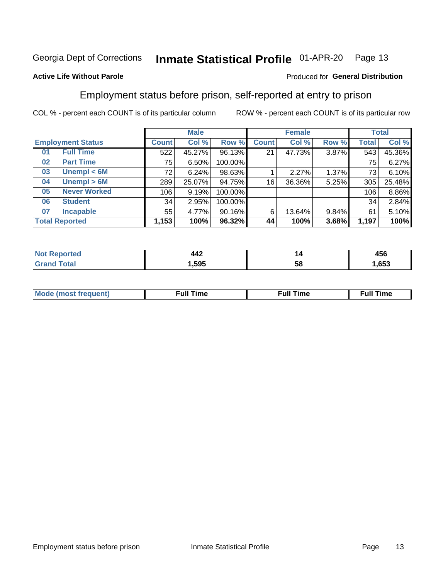#### Inmate Statistical Profile 01-APR-20 Page 13

### **Active Life Without Parole**

#### Produced for General Distribution

## Employment status before prison, self-reported at entry to prison

COL % - percent each COUNT is of its particular column

|                           |              | <b>Male</b> |         |              | <b>Female</b> |       |       | <b>Total</b> |  |
|---------------------------|--------------|-------------|---------|--------------|---------------|-------|-------|--------------|--|
| <b>Employment Status</b>  | <b>Count</b> | Col %       | Row %   | <b>Count</b> | Col %         | Row % | Total | Col %        |  |
| <b>Full Time</b><br>01    | 522          | 45.27%      | 96.13%  | 21           | 47.73%        | 3.87% | 543   | 45.36%       |  |
| <b>Part Time</b><br>02    | 75           | 6.50%       | 100.00% |              |               |       | 75    | 6.27%        |  |
| Unempl $<$ 6M<br>03       | 72           | 6.24%       | 98.63%  |              | 2.27%         | 1.37% | 73    | 6.10%        |  |
| Unempl > 6M<br>04         | 289          | 25.07%      | 94.75%  | 16           | 36.36%        | 5.25% | 305   | 25.48%       |  |
| <b>Never Worked</b><br>05 | 106          | 9.19%       | 100.00% |              |               |       | 106   | 8.86%        |  |
| <b>Student</b><br>06      | 34           | 2.95%       | 100.00% |              |               |       | 34    | 2.84%        |  |
| <b>Incapable</b><br>07    | 55           | 4.77%       | 90.16%  | 6            | 13.64%        | 9.84% | 61    | 5.10%        |  |
| <b>Total Reported</b>     | 1,153        | 100%        | 96.32%  | 44           | 100%          | 3.68% | 1,197 | 100%         |  |

| $\Lambda\Lambda$ $\sim$<br>.<br>$-$ | '' | 1 F A<br>456 |
|-------------------------------------|----|--------------|
| .595                                | ວເ | .653         |

| Mc | ∙u∥<br>----<br>ıme | ίuΙ<br>Πmε |
|----|--------------------|------------|
|    |                    |            |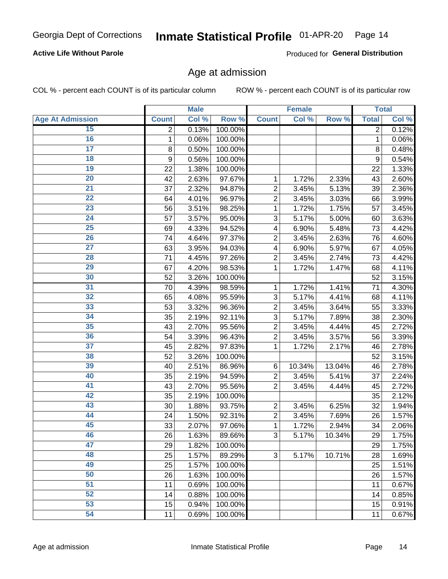### **Active Life Without Parole**

Produced for General Distribution

## Age at admission

COL % - percent each COUNT is of its particular column

|                         |              | <b>Male</b> |         |                | <b>Female</b> |        |              | <b>Total</b> |
|-------------------------|--------------|-------------|---------|----------------|---------------|--------|--------------|--------------|
| <b>Age At Admission</b> | <b>Count</b> | Col %       | Row %   | <b>Count</b>   | Col %         | Row %  | <b>Total</b> | Col %        |
| 15                      | 2            | 0.13%       | 100.00% |                |               |        | 2            | 0.12%        |
| 16                      | 1            | 0.06%       | 100.00% |                |               |        | 1            | 0.06%        |
| $\overline{17}$         | 8            | 0.50%       | 100.00% |                |               |        | 8            | 0.48%        |
| 18                      | 9            | 0.56%       | 100.00% |                |               |        | 9            | 0.54%        |
| 19                      | 22           | 1.38%       | 100.00% |                |               |        | 22           | 1.33%        |
| $\overline{20}$         | 42           | 2.63%       | 97.67%  | 1              | 1.72%         | 2.33%  | 43           | 2.60%        |
| $\overline{21}$         | 37           | 2.32%       | 94.87%  | $\overline{2}$ | 3.45%         | 5.13%  | 39           | 2.36%        |
| 22                      | 64           | 4.01%       | 96.97%  | $\overline{2}$ | 3.45%         | 3.03%  | 66           | 3.99%        |
| 23                      | 56           | 3.51%       | 98.25%  | 1              | 1.72%         | 1.75%  | 57           | 3.45%        |
| 24                      | 57           | 3.57%       | 95.00%  | 3              | 5.17%         | 5.00%  | 60           | 3.63%        |
| $\overline{25}$         | 69           | 4.33%       | 94.52%  | 4              | 6.90%         | 5.48%  | 73           | 4.42%        |
| 26                      | 74           | 4.64%       | 97.37%  | $\overline{2}$ | 3.45%         | 2.63%  | 76           | 4.60%        |
| $\overline{27}$         | 63           | 3.95%       | 94.03%  | 4              | 6.90%         | 5.97%  | 67           | 4.05%        |
| 28                      | 71           | 4.45%       | 97.26%  | $\overline{2}$ | 3.45%         | 2.74%  | 73           | 4.42%        |
| 29                      | 67           | 4.20%       | 98.53%  | 1              | 1.72%         | 1.47%  | 68           | 4.11%        |
| 30                      | 52           | 3.26%       | 100.00% |                |               |        | 52           | 3.15%        |
| 31                      | 70           | 4.39%       | 98.59%  | 1              | 1.72%         | 1.41%  | 71           | 4.30%        |
| 32                      | 65           | 4.08%       | 95.59%  | 3              | 5.17%         | 4.41%  | 68           | 4.11%        |
| 33                      | 53           | 3.32%       | 96.36%  | $\overline{2}$ | 3.45%         | 3.64%  | 55           | 3.33%        |
| 34                      | 35           | 2.19%       | 92.11%  | 3              | 5.17%         | 7.89%  | 38           | 2.30%        |
| 35                      | 43           | 2.70%       | 95.56%  | $\overline{2}$ | 3.45%         | 4.44%  | 45           | 2.72%        |
| 36                      | 54           | 3.39%       | 96.43%  | $\overline{2}$ | 3.45%         | 3.57%  | 56           | 3.39%        |
| $\overline{37}$         | 45           | 2.82%       | 97.83%  | 1              | 1.72%         | 2.17%  | 46           | 2.78%        |
| 38                      | 52           | 3.26%       | 100.00% |                |               |        | 52           | 3.15%        |
| 39                      | 40           | 2.51%       | 86.96%  | 6              | 10.34%        | 13.04% | 46           | 2.78%        |
| 40                      | 35           | 2.19%       | 94.59%  | $\overline{2}$ | 3.45%         | 5.41%  | 37           | 2.24%        |
| 41                      | 43           | 2.70%       | 95.56%  | $\overline{2}$ | 3.45%         | 4.44%  | 45           | 2.72%        |
| 42                      | 35           | 2.19%       | 100.00% |                |               |        | 35           | 2.12%        |
| 43                      | 30           | 1.88%       | 93.75%  | $\overline{2}$ | 3.45%         | 6.25%  | 32           | 1.94%        |
| 44                      | 24           | 1.50%       | 92.31%  | $\overline{2}$ | 3.45%         | 7.69%  | 26           | 1.57%        |
| 45                      | 33           | 2.07%       | 97.06%  | 1              | 1.72%         | 2.94%  | 34           | 2.06%        |
| 46                      | 26           | 1.63%       | 89.66%  | 3              | 5.17%         | 10.34% | 29           | 1.75%        |
| 47                      | 29           | 1.82%       | 100.00% |                |               |        | 29           | 1.75%        |
| 48                      | 25           | 1.57%       | 89.29%  | 3              | 5.17%         | 10.71% | 28           | 1.69%        |
| 49                      | 25           | 1.57%       | 100.00% |                |               |        | 25           | 1.51%        |
| 50                      | 26           | 1.63%       | 100.00% |                |               |        | 26           | 1.57%        |
| $\overline{51}$         | 11           | 0.69%       | 100.00% |                |               |        | 11           | 0.67%        |
| 52                      | 14           | 0.88%       | 100.00% |                |               |        | 14           | 0.85%        |
| 53                      | 15           | 0.94%       | 100.00% |                |               |        | 15           | 0.91%        |
| 54                      | 11           | 0.69%       | 100.00% |                |               |        | 11           | 0.67%        |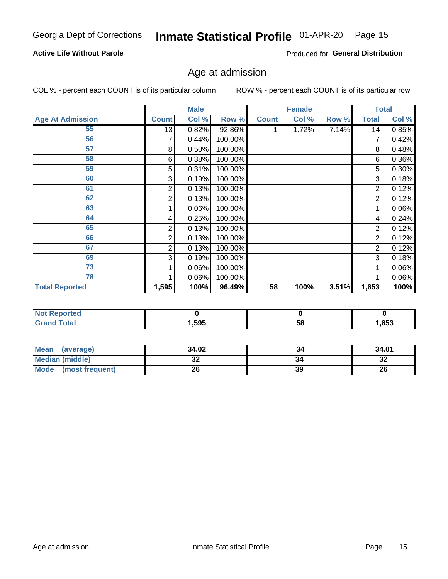### **Active Life Without Parole**

Produced for General Distribution

## Age at admission

COL % - percent each COUNT is of its particular column

|                         |              | <b>Male</b> |         |              | <b>Female</b> |       |              | <b>Total</b> |
|-------------------------|--------------|-------------|---------|--------------|---------------|-------|--------------|--------------|
| <b>Age At Admission</b> | <b>Count</b> | Col %       | Row %   | <b>Count</b> | Col %         | Row % | <b>Total</b> | Col %        |
| 55                      | 13           | 0.82%       | 92.86%  |              | 1.72%         | 7.14% | 14           | 0.85%        |
| 56                      |              | 0.44%       | 100.00% |              |               |       | 7            | 0.42%        |
| 57                      | 8            | 0.50%       | 100.00% |              |               |       | 8            | 0.48%        |
| 58                      | 6            | 0.38%       | 100.00% |              |               |       | 6            | 0.36%        |
| 59                      | 5            | 0.31%       | 100.00% |              |               |       | 5            | 0.30%        |
| 60                      | 3            | 0.19%       | 100.00% |              |               |       | 3            | 0.18%        |
| 61                      | 2            | 0.13%       | 100.00% |              |               |       | 2            | 0.12%        |
| 62                      | 2            | 0.13%       | 100.00% |              |               |       | 2            | 0.12%        |
| 63                      |              | 0.06%       | 100.00% |              |               |       |              | 0.06%        |
| 64                      | 4            | 0.25%       | 100.00% |              |               |       | 4            | 0.24%        |
| 65                      | 2            | 0.13%       | 100.00% |              |               |       | 2            | 0.12%        |
| 66                      | 2            | 0.13%       | 100.00% |              |               |       | 2            | 0.12%        |
| 67                      | 2            | 0.13%       | 100.00% |              |               |       | 2            | 0.12%        |
| 69                      | 3            | 0.19%       | 100.00% |              |               |       | 3            | 0.18%        |
| 73                      |              | 0.06%       | 100.00% |              |               |       |              | 0.06%        |
| 78                      |              | 0.06%       | 100.00% |              |               |       |              | 0.06%        |
| <b>Total Reported</b>   | 1,595        | 100%        | 96.49%  | 58           | 100%          | 3.51% | 1,653        | 100%         |

| <b>NOT Reported</b> |      |    |      |
|---------------------|------|----|------|
| <b>cotal</b>        | ,595 | ၁၀ | ,653 |

| Mean (average)         | 34.02 |    | 34.01     |
|------------------------|-------|----|-----------|
| <b>Median (middle)</b> | ◡▵    |    | o c<br>⊾ت |
| Mode (most frequent)   | 26    | 39 | 26        |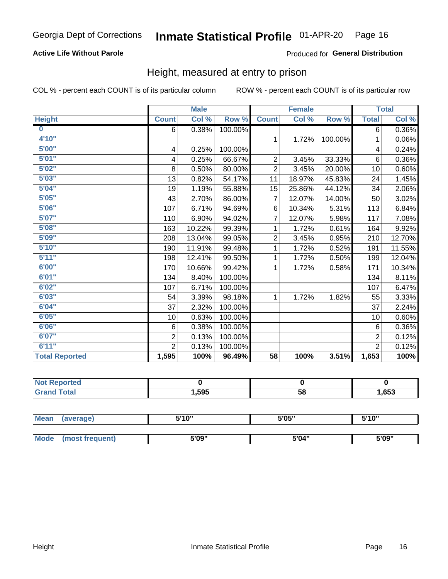### **Active Life Without Parole**

#### Produced for General Distribution

## Height, measured at entry to prison

COL % - percent each COUNT is of its particular column

|                       |                         | <b>Male</b> |         |                | <b>Female</b> |         |                | <b>Total</b> |
|-----------------------|-------------------------|-------------|---------|----------------|---------------|---------|----------------|--------------|
| <b>Height</b>         | <b>Count</b>            | Col %       | Row %   | <b>Count</b>   | Col %         | Row %   | <b>Total</b>   | Col %        |
| $\bf{0}$              | 6                       | 0.38%       | 100.00% |                |               |         | 6              | 0.36%        |
| 4'10''                |                         |             |         | $\mathbf{1}$   | 1.72%         | 100.00% | 1              | 0.06%        |
| 5'00''                | $\overline{\mathbf{4}}$ | 0.25%       | 100.00% |                |               |         | 4              | 0.24%        |
| 5'01"                 | 4                       | 0.25%       | 66.67%  | $\overline{2}$ | 3.45%         | 33.33%  | 6              | $0.36\%$     |
| 5'02"                 | 8                       | 0.50%       | 80.00%  | $\overline{2}$ | 3.45%         | 20.00%  | 10             | 0.60%        |
| 5'03''                | 13                      | 0.82%       | 54.17%  | 11             | 18.97%        | 45.83%  | 24             | 1.45%        |
| 5'04"                 | 19                      | 1.19%       | 55.88%  | 15             | 25.86%        | 44.12%  | 34             | 2.06%        |
| 5'05"                 | 43                      | 2.70%       | 86.00%  | 7              | 12.07%        | 14.00%  | 50             | 3.02%        |
| 5'06''                | 107                     | 6.71%       | 94.69%  | 6              | 10.34%        | 5.31%   | 113            | 6.84%        |
| 5'07''                | 110                     | 6.90%       | 94.02%  | 7              | 12.07%        | 5.98%   | 117            | 7.08%        |
| 5'08''                | 163                     | 10.22%      | 99.39%  | 1              | 1.72%         | 0.61%   | 164            | 9.92%        |
| 5'09''                | 208                     | 13.04%      | 99.05%  | $\overline{c}$ | 3.45%         | 0.95%   | 210            | 12.70%       |
| 5'10''                | 190                     | 11.91%      | 99.48%  | 1              | 1.72%         | 0.52%   | 191            | 11.55%       |
| 5'11"                 | 198                     | 12.41%      | 99.50%  | 1              | 1.72%         | 0.50%   | 199            | 12.04%       |
| 6'00''                | 170                     | 10.66%      | 99.42%  | 1              | 1.72%         | 0.58%   | 171            | 10.34%       |
| 6'01''                | 134                     | 8.40%       | 100.00% |                |               |         | 134            | 8.11%        |
| 6'02"                 | 107                     | 6.71%       | 100.00% |                |               |         | 107            | 6.47%        |
| 6'03''                | 54                      | 3.39%       | 98.18%  | $\mathbf{1}$   | 1.72%         | 1.82%   | 55             | 3.33%        |
| 6'04"                 | 37                      | 2.32%       | 100.00% |                |               |         | 37             | 2.24%        |
| 6'05"                 | 10                      | 0.63%       | 100.00% |                |               |         | 10             | 0.60%        |
| 6'06''                | 6                       | 0.38%       | 100.00% |                |               |         | 6              | 0.36%        |
| 6'07''                | $\overline{2}$          | 0.13%       | 100.00% |                |               |         | $\overline{2}$ | 0.12%        |
| 6'11''                | $\overline{2}$          | 0.13%       | 100.00% |                |               |         | $\overline{2}$ | 0.12%        |
| <b>Total Reported</b> | 1,595                   | 100%        | 96.49%  | 58             | 100%          | 3.51%   | 1,653          | 100%         |

| <b>eported</b> |      |    |      |
|----------------|------|----|------|
| <b>otal</b>    | ,595 | 58 | ,653 |

| <b>Mean</b> | (average)       | 5'10" | 5'05" | 5'10'' |
|-------------|-----------------|-------|-------|--------|
|             |                 |       |       |        |
| <b>Mode</b> | (most frequent) | 5'09" | 5'04" | 5'09"  |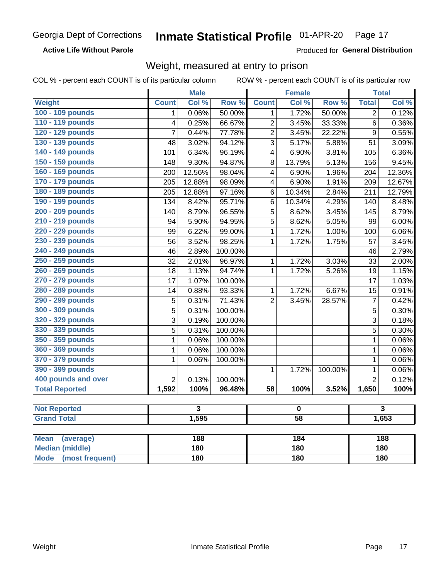### **Active Life Without Parole**

Produced for General Distribution

## Weight, measured at entry to prison

COL % - percent each COUNT is of its particular column

ROW % - percent each COUNT is of its particular row

|                          |                | <b>Male</b>             |                  |                         | <b>Female</b> |         |                  | <b>Total</b>            |  |
|--------------------------|----------------|-------------------------|------------------|-------------------------|---------------|---------|------------------|-------------------------|--|
| Weight                   | <b>Count</b>   | Col %                   | Row <sup>%</sup> | <b>Count</b>            | Col %         | Row %   | <b>Total</b>     | Col %                   |  |
| 100 - 109 pounds         | 1              | 0.06%                   | 50.00%           | 1                       | 1.72%         | 50.00%  | $\overline{2}$   | 0.12%                   |  |
| 110 - 119 pounds         | 4              | 0.25%                   | 66.67%           | $\overline{2}$          | 3.45%         | 33.33%  | 6                | 0.36%                   |  |
| 120 - 129 pounds         | $\overline{7}$ | 0.44%                   | 77.78%           | $\overline{2}$          | 3.45%         | 22.22%  | $\boldsymbol{9}$ | 0.55%                   |  |
| 130 - 139 pounds         | 48             | 3.02%                   | 94.12%           | $\overline{3}$          | 5.17%         | 5.88%   | 51               | 3.09%                   |  |
| 140 - 149 pounds         | 101            | 6.34%                   | 96.19%           | 4                       | 6.90%         | 3.81%   | 105              | 6.36%                   |  |
| 150 - 159 pounds         | 148            | 9.30%                   | 94.87%           | 8                       | 13.79%        | 5.13%   | 156              | 9.45%                   |  |
| 160 - 169 pounds         | 200            | 12.56%                  | 98.04%           | $\overline{\mathbf{4}}$ | 6.90%         | 1.96%   | 204              | 12.36%                  |  |
| 170 - 179 pounds         | 205            | 12.88%                  | 98.09%           | 4                       | 6.90%         | 1.91%   | 209              | 12.67%                  |  |
| 180 - 189 pounds         | 205            | 12.88%                  | 97.16%           | 6                       | 10.34%        | 2.84%   | 211              | 12.79%                  |  |
| 190 - 199 pounds         | 134            | 8.42%                   | 95.71%           | 6                       | 10.34%        | 4.29%   | 140              | 8.48%                   |  |
| 200 - 209 pounds         | 140            | 8.79%                   | 96.55%           | 5                       | 8.62%         | 3.45%   | 145              | 8.79%                   |  |
| 210 - 219 pounds         | 94             | 5.90%                   | 94.95%           | 5                       | 8.62%         | 5.05%   | 99               | 6.00%                   |  |
| 220 - 229 pounds         | 99             | 6.22%                   | 99.00%           | $\mathbf 1$             | 1.72%         | 1.00%   | 100              | 6.06%                   |  |
| 230 - 239 pounds         | 56             | 3.52%                   | 98.25%           | $\mathbf{1}$            | 1.72%         | 1.75%   | 57               | 3.45%                   |  |
| 240 - 249 pounds         | 46             | 2.89%                   | 100.00%          |                         |               |         | 46               | 2.79%                   |  |
| 250 - 259 pounds         | 32             | 2.01%                   | 96.97%           | $\mathbf{1}$            | 1.72%         | 3.03%   | 33               | 2.00%                   |  |
| 260 - 269 pounds         | 18             | 1.13%                   | 94.74%           | $\mathbf{1}$            | 1.72%         | 5.26%   | 19               | 1.15%                   |  |
| 270 - 279 pounds         | 17             | 1.07%                   | 100.00%          |                         |               |         | 17               | 1.03%                   |  |
| 280 - 289 pounds         | 14             | 0.88%                   | 93.33%           | $\mathbf{1}$            | 1.72%         | 6.67%   | 15               | 0.91%                   |  |
| 290 - 299 pounds         | $\sqrt{5}$     | 0.31%                   | 71.43%           | $\overline{2}$          | 3.45%         | 28.57%  | $\overline{7}$   | 0.42%                   |  |
| 300 - 309 pounds         | 5              | 0.31%                   | 100.00%          |                         |               |         | 5                | 0.30%                   |  |
| 320 - 329 pounds         | $\overline{3}$ | 0.19%                   | 100.00%          |                         |               |         | 3                | 0.18%                   |  |
| 330 - 339 pounds         | $\overline{5}$ | 0.31%                   | 100.00%          |                         |               |         | 5                | 0.30%                   |  |
| 350 - 359 pounds         | $\mathbf 1$    | 0.06%                   | 100.00%          |                         |               |         | 1                | 0.06%                   |  |
| 360 - 369 pounds         | $\mathbf{1}$   | 0.06%                   | 100.00%          |                         |               |         | 1                | 0.06%                   |  |
| 370 - 379 pounds         | $\mathbf 1$    | 0.06%                   | 100.00%          |                         |               |         | $\mathbf 1$      | 0.06%                   |  |
| 390 - 399 pounds         |                |                         |                  | $\mathbf{1}$            | 1.72%         | 100.00% | $\mathbf 1$      | 0.06%                   |  |
| 400 pounds and over      | $\overline{2}$ | 0.13%                   | 100.00%          |                         |               |         | $\overline{2}$   | 0.12%                   |  |
| <b>Total Reported</b>    | 1,592          | 100%                    | 96.48%           | $\overline{58}$         | 100%          | 3.52%   | 1,650            | 100%                    |  |
|                          |                |                         |                  |                         |               |         |                  |                         |  |
| <b>Not Reported</b>      |                | $\overline{\mathbf{3}}$ |                  | $\pmb{0}$               |               |         |                  | $\overline{\mathbf{3}}$ |  |
| <b>Grand Total</b>       |                | 1,595                   |                  | $\overline{58}$         |               |         |                  | 1,653                   |  |
|                          |                |                         |                  |                         |               |         |                  |                         |  |
| <b>Mean</b><br>(average) |                | 188                     |                  |                         | 184           |         |                  | 188                     |  |
| <b>Median (middle)</b>   |                | 180                     |                  | 180                     |               |         | 180              |                         |  |

**Mode** 

(most frequent)

 $180$ 

 $\overline{180}$ 

 $180$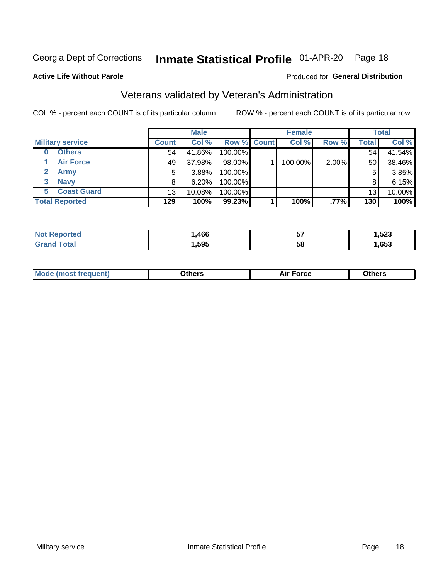#### Inmate Statistical Profile 01-APR-20 Page 18

Produced for General Distribution

#### **Active Life Without Parole**

## Veterans validated by Veteran's Administration

COL % - percent each COUNT is of its particular column

|                         |              | <b>Male</b> |                    | <b>Female</b> |         |       | <b>Total</b> |
|-------------------------|--------------|-------------|--------------------|---------------|---------|-------|--------------|
| <b>Military service</b> | <b>Count</b> | Col %       | <b>Row % Count</b> | Col %         | Row %   | Total | Col %        |
| <b>Others</b><br>0      | 54           | 41.86%      | 100.00%            |               |         | 54    | 41.54%       |
| <b>Air Force</b>        | 49           | 37.98%      | 98.00%             | 100.00%       | 2.00%   | 50    | 38.46%       |
| <b>Army</b>             | 5            | $3.88\%$    | 100.00%            |               |         | 5     | 3.85%        |
| <b>Navy</b><br>3        |              | 6.20%       | 100.00%            |               |         | 8     | 6.15%        |
| <b>Coast Guard</b><br>5 | 13           | 10.08%      | 100.00%            |               |         | 13    | 10.00%       |
| <b>Total Reported</b>   | 129          | 100%        | 99.23%             | 100%          | $.77\%$ | 130   | 100%         |

|                   | .466 | --<br>v, | .523<br>$ -$ |
|-------------------|------|----------|--------------|
| $f \sim f \sim f$ | ,595 | 58       | ,653         |

| ____<br>____ |
|--------------|
|--------------|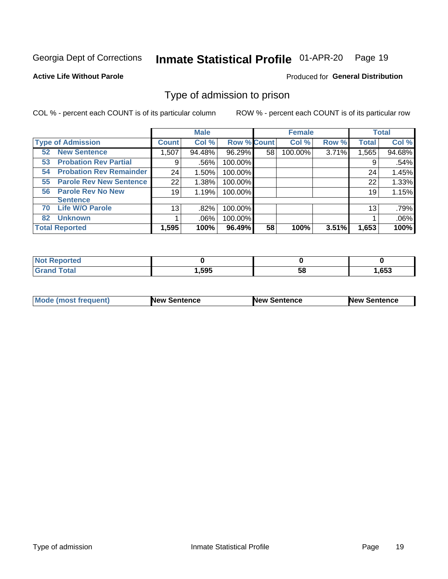#### Inmate Statistical Profile 01-APR-20 Page 19

**Active Life Without Parole** 

Produced for General Distribution

## Type of admission to prison

COL % - percent each COUNT is of its particular column

|                                      |                 | <b>Male</b> |                    |    | <b>Female</b> |       |              | <b>Total</b> |
|--------------------------------------|-----------------|-------------|--------------------|----|---------------|-------|--------------|--------------|
| <b>Type of Admission</b>             | <b>Count</b>    | Col %       | <b>Row % Count</b> |    | Col %         | Row % | <b>Total</b> | Col %        |
| <b>New Sentence</b><br>52            | 1,507           | 94.48%      | 96.29%             | 58 | 100.00%       | 3.71% | 1,565        | 94.68%       |
| <b>Probation Rev Partial</b><br>53   | 9               | .56%        | 100.00%            |    |               |       | 9            | .54%         |
| <b>Probation Rev Remainder</b><br>54 | 24              | 1.50%       | 100.00%            |    |               |       | 24           | 1.45%        |
| <b>Parole Rev New Sentence</b><br>55 | 22              | 1.38%       | 100.00%            |    |               |       | 22           | 1.33%        |
| <b>Parole Rev No New</b><br>56       | 19              | 1.19%       | 100.00%            |    |               |       | 19           | 1.15%        |
| <b>Sentence</b>                      |                 |             |                    |    |               |       |              |              |
| <b>Life W/O Parole</b><br>70         | 13 <sub>1</sub> | .82%        | 100.00%            |    |               |       | 13           | .79%         |
| <b>Unknown</b><br>82                 |                 | $.06\%$     | 100.00%            |    |               |       |              | .06%         |
| <b>Total Reported</b>                | 1,595           | 100%        | 96.49%             | 58 | 100%          | 3.51% | 1,653        | 100%         |

| Reported<br><b>NOT</b>       |       |           |      |
|------------------------------|-------|-----------|------|
| <b>c</b> otal<br><b>Gran</b> | .,595 | - -<br>วง | .653 |

| <b>Mode (most frequent)</b> | <b>New Sentence</b> | <b>New Sentence</b> | <b>New Sentence</b> |
|-----------------------------|---------------------|---------------------|---------------------|
|                             |                     |                     |                     |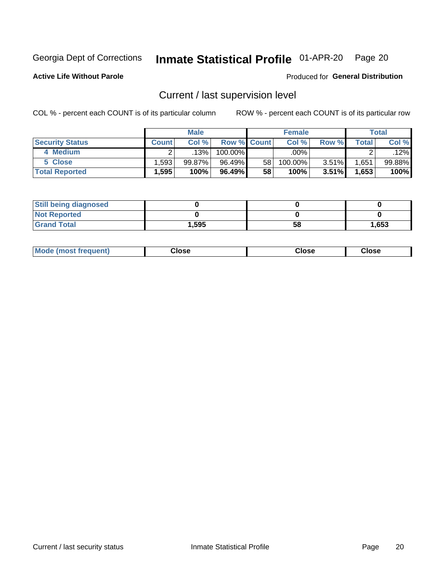## Inmate Statistical Profile 01-APR-20 Page 20

**Active Life Without Parole** 

Produced for General Distribution

## Current / last supervision level

COL % - percent each COUNT is of its particular column

|                        |                   | <b>Male</b> |                    |                 | <b>Female</b> |          |       | <b>Total</b> |
|------------------------|-------------------|-------------|--------------------|-----------------|---------------|----------|-------|--------------|
| <b>Security Status</b> | Count l           | Col%        | <b>Row % Count</b> |                 | Col %         | Row %    | Total | Col %        |
| 4 Medium               |                   | .13%        | $100.00\%$         |                 | .00%          |          |       | .12%         |
| 5 Close                | .593              | $99.87\%$   | 96.49%             | 58 <sub>1</sub> | 100.00%       | 3.51%    | .651  | 99.88%       |
| <b>Total Reported</b>  | $.595$ $^{\circ}$ | 100%        | 96.49%             | 58              | 100%          | $3.51\%$ | 1,653 | 100%         |

| <b>Still being diagnosed</b> |       |    |       |
|------------------------------|-------|----|-------|
| <b>Not Reported</b>          |       |    |       |
| <b>Grand Total</b>           | 1,595 | 58 | 1,653 |

| <b>AhoM</b><br>rreauent) | Close | Close | Close |
|--------------------------|-------|-------|-------|
|                          |       |       |       |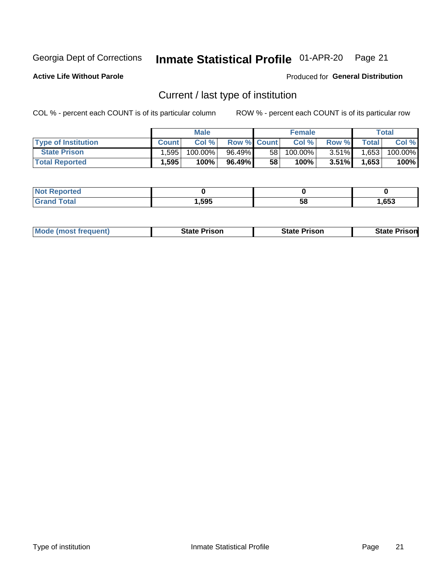#### Inmate Statistical Profile 01-APR-20 Page 21

**Active Life Without Parole** 

Produced for General Distribution

## Current / last type of institution

COL % - percent each COUNT is of its particular column

|                            |              | <b>Male</b> |                    |                 | <b>Female</b> |          |              | Total   |
|----------------------------|--------------|-------------|--------------------|-----------------|---------------|----------|--------------|---------|
| <b>Type of Institution</b> | <b>Count</b> | Col %       | <b>Row % Count</b> |                 | Col %         | Row %    | <b>Total</b> | Col %   |
| <b>State Prison</b>        | 1,595,       | 100.00%     | 96.49%             | 58 <sub>1</sub> | $100.00\%$    | $3.51\%$ | 1,653        | 100.00% |
| <b>Total Reported</b>      | 1,595        | 100%        | 96.49%             | 58              | 100%          | $3.51\%$ | 1,653        | 100%    |

| τeα<br>. |      |    |      |
|----------|------|----|------|
|          | ,595 | ວເ | ,653 |

|  | <b>Mode (most frequent)</b> | State Prison | <b>State Prison</b> | <b>State Prison</b> |
|--|-----------------------------|--------------|---------------------|---------------------|
|--|-----------------------------|--------------|---------------------|---------------------|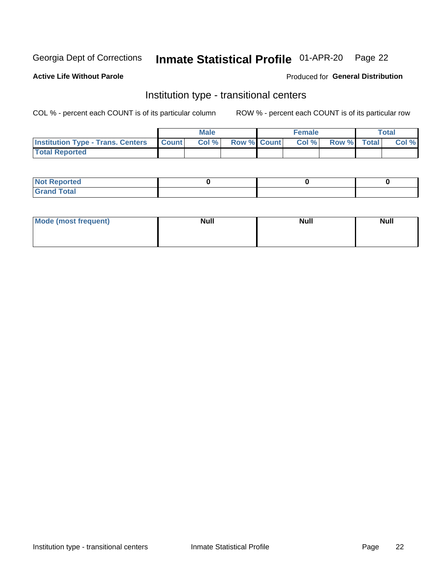#### Inmate Statistical Profile 01-APR-20 Page 22

### **Active Life Without Parole**

#### Produced for General Distribution

## Institution type - transitional centers

COL % - percent each COUNT is of its particular column

|                                                | Male  |                    | <b>Female</b> |                   | Total |
|------------------------------------------------|-------|--------------------|---------------|-------------------|-------|
| <b>Institution Type - Trans. Centers Count</b> | Col % | <b>Row % Count</b> |               | Col % Row % Total | Col % |
| <b>Total Reported</b>                          |       |                    |               |                   |       |

| <b>Reported</b><br><b>NOT</b><br>$\sim$            |  |  |
|----------------------------------------------------|--|--|
| $f$ $f \circ f \circ f$<br>$C = 1$<br><b>TULAI</b> |  |  |

| Mode (most frequent) | <b>Null</b> | <b>Null</b> | <b>Null</b> |
|----------------------|-------------|-------------|-------------|
|                      |             |             |             |
|                      |             |             |             |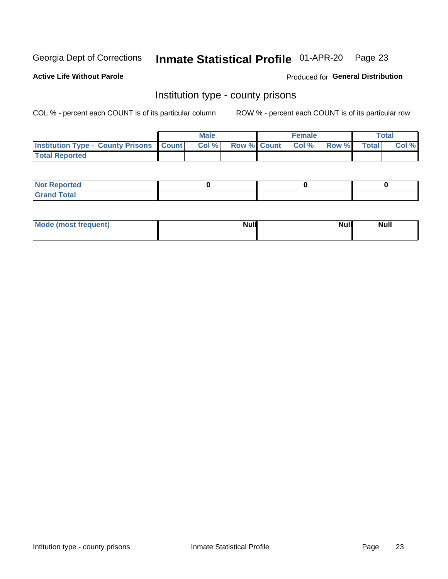## Inmate Statistical Profile 01-APR-20 Page 23

**Active Life Without Parole** 

Produced for General Distribution

## Institution type - county prisons

COL % - percent each COUNT is of its particular column

|                                                    | <b>Male</b> |       |  | <b>Female</b> |                          |             | <b>Total</b> |       |
|----------------------------------------------------|-------------|-------|--|---------------|--------------------------|-------------|--------------|-------|
| <b>Institution Type - County Prisons   Count  </b> |             | Col % |  |               | <b>Row % Count Col %</b> | Row % Total |              | Col % |
| <b>Total Reported</b>                              |             |       |  |               |                          |             |              |       |

| <b>Not Reported</b>   |  |  |
|-----------------------|--|--|
| <b>Total</b><br>Granc |  |  |

| Mode (most frequent) | <b>Null</b> | <b>Null</b><br><b>Null</b> |
|----------------------|-------------|----------------------------|
|                      |             |                            |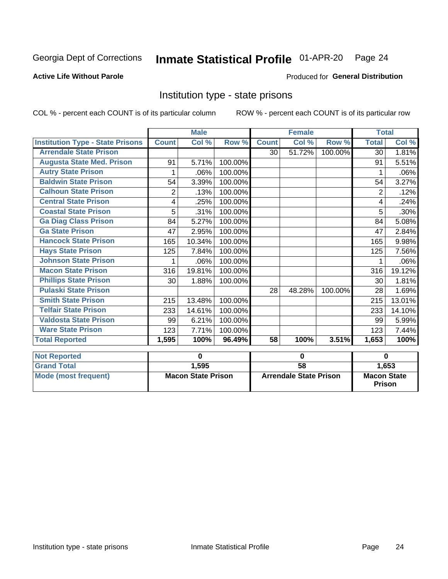#### Inmate Statistical Profile 01-APR-20 Page 24

### **Active Life Without Parole**

#### Produced for General Distribution

## Institution type - state prisons

COL % - percent each COUNT is of its particular column

|                                         | <b>Male</b>               |        |                               | <b>Female</b> |        |                                     | <b>Total</b> |        |
|-----------------------------------------|---------------------------|--------|-------------------------------|---------------|--------|-------------------------------------|--------------|--------|
| <b>Institution Type - State Prisons</b> | <b>Count</b>              | Col %  | Row %                         | <b>Count</b>  | Col %  | Row %                               | <b>Total</b> | Col %  |
| <b>Arrendale State Prison</b>           |                           |        |                               | 30            | 51.72% | 100.00%                             | 30           | 1.81%  |
| <b>Augusta State Med. Prison</b>        | 91                        | 5.71%  | 100.00%                       |               |        |                                     | 91           | 5.51%  |
| <b>Autry State Prison</b>               | 1                         | .06%   | 100.00%                       |               |        |                                     | 1            | .06%   |
| <b>Baldwin State Prison</b>             | 54                        | 3.39%  | 100.00%                       |               |        |                                     | 54           | 3.27%  |
| <b>Calhoun State Prison</b>             | 2                         | .13%   | 100.00%                       |               |        |                                     | 2            | .12%   |
| <b>Central State Prison</b>             | 4                         | .25%   | 100.00%                       |               |        |                                     | 4            | .24%   |
| <b>Coastal State Prison</b>             | 5                         | .31%   | 100.00%                       |               |        |                                     | 5            | .30%   |
| <b>Ga Diag Class Prison</b>             | 84                        | 5.27%  | 100.00%                       |               |        |                                     | 84           | 5.08%  |
| <b>Ga State Prison</b>                  | 47                        | 2.95%  | 100.00%                       |               |        |                                     | 47           | 2.84%  |
| <b>Hancock State Prison</b>             | 165                       | 10.34% | 100.00%                       |               |        |                                     | 165          | 9.98%  |
| <b>Hays State Prison</b>                | 125                       | 7.84%  | 100.00%                       |               |        |                                     | 125          | 7.56%  |
| <b>Johnson State Prison</b>             | 1                         | .06%   | 100.00%                       |               |        |                                     |              | .06%   |
| <b>Macon State Prison</b>               | 316                       | 19.81% | 100.00%                       |               |        |                                     | 316          | 19.12% |
| <b>Phillips State Prison</b>            | 30                        | 1.88%  | 100.00%                       |               |        |                                     | 30           | 1.81%  |
| <b>Pulaski State Prison</b>             |                           |        |                               | 28            | 48.28% | 100.00%                             | 28           | 1.69%  |
| <b>Smith State Prison</b>               | 215                       | 13.48% | 100.00%                       |               |        |                                     | 215          | 13.01% |
| <b>Telfair State Prison</b>             | 233                       | 14.61% | 100.00%                       |               |        |                                     | 233          | 14.10% |
| <b>Valdosta State Prison</b>            | 99                        | 6.21%  | 100.00%                       |               |        |                                     | 99           | 5.99%  |
| <b>Ware State Prison</b>                | 123                       | 7.71%  | 100.00%                       |               |        |                                     | 123          | 7.44%  |
| <b>Total Reported</b>                   | 1,595                     | 100%   | 96.49%                        | 58            | 100%   | 3.51%                               | 1,653        | 100%   |
| <b>Not Reported</b>                     | $\mathbf 0$               |        | $\bf{0}$                      |               |        | $\bf{0}$                            |              |        |
| <b>Grand Total</b>                      |                           | 1,595  |                               | 58            |        |                                     |              | 1,653  |
| <b>Mode (most frequent)</b>             | <b>Macon State Prison</b> |        | <b>Arrendale State Prison</b> |               |        | <b>Macon State</b><br><b>Prison</b> |              |        |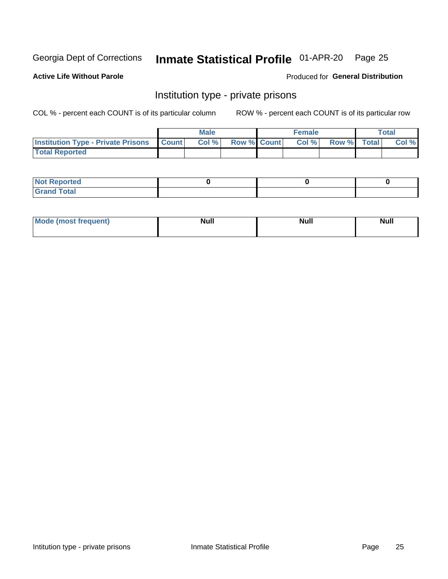## Inmate Statistical Profile 01-APR-20 Page 25

**Active Life Without Parole** 

Produced for General Distribution

## Institution type - private prisons

COL % - percent each COUNT is of its particular column

|                                                     | <b>Male</b> |      |                    | <b>Female</b> |       |             | Total |       |
|-----------------------------------------------------|-------------|------|--------------------|---------------|-------|-------------|-------|-------|
| <b>Institution Type - Private Prisons   Count  </b> |             | Col% | <b>Row % Count</b> |               | Col % | Row % Total |       | Col % |
| <b>Total Reported</b>                               |             |      |                    |               |       |             |       |       |

| Not Reported           |  |  |
|------------------------|--|--|
| <b>Cotal</b><br>______ |  |  |

| <b>Mo</b><br>frequent) | <b>Null</b> | <b>Null</b> | . . I *<br><b>IVUII</b> |
|------------------------|-------------|-------------|-------------------------|
|                        |             |             |                         |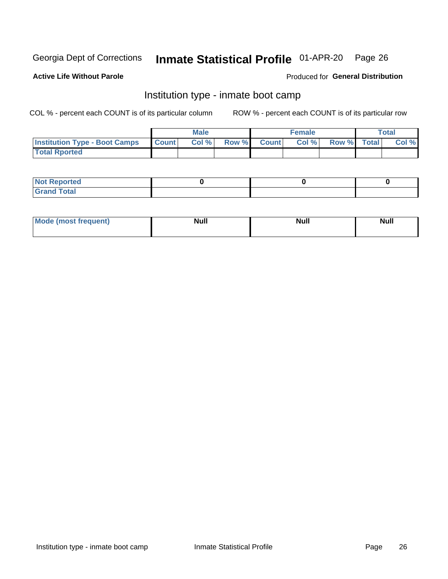#### Inmate Statistical Profile 01-APR-20 Page 26

#### **Active Life Without Parole**

#### Produced for General Distribution

## Institution type - inmate boot camp

COL % - percent each COUNT is of its particular column

|                                      | <b>Male</b>  |       |               |              | <b>Female</b> | <b>Total</b> |  |       |
|--------------------------------------|--------------|-------|---------------|--------------|---------------|--------------|--|-------|
| <b>Institution Type - Boot Camps</b> | <b>Count</b> | Col % | <b>Row %I</b> | <b>Count</b> | Col %         | Row % Total  |  | Col % |
| <b>Total Rported</b>                 |              |       |               |              |               |              |  |       |

| <b>Not Reported</b>            |  |  |
|--------------------------------|--|--|
| <b>Total</b><br>C <sub>r</sub> |  |  |

| Mod<br>uamo | Nul.<br>$- - - - - -$ | <b>Null</b> | <br>uu.<br>------ |
|-------------|-----------------------|-------------|-------------------|
|             |                       |             |                   |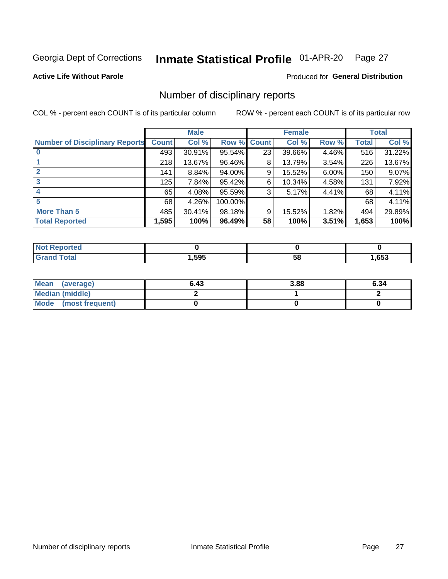#### Inmate Statistical Profile 01-APR-20 Page 27

**Active Life Without Parole** 

Produced for General Distribution

## Number of disciplinary reports

COL % - percent each COUNT is of its particular column

|                                       | <b>Male</b>  |        |             |    | <b>Female</b> | <b>Total</b> |       |        |
|---------------------------------------|--------------|--------|-------------|----|---------------|--------------|-------|--------|
| <b>Number of Disciplinary Reports</b> | <b>Count</b> | Col %  | Row % Count |    | Col %         | Row %        | Total | Col %  |
|                                       | 493          | 30.91% | 95.54%      | 23 | 39.66%        | 4.46%        | 516   | 31.22% |
|                                       | 218          | 13.67% | 96.46%      | 8  | 13.79%        | 3.54%        | 226   | 13.67% |
|                                       | 141          | 8.84%  | 94.00%      | 9  | 15.52%        | 6.00%        | 150   | 9.07%  |
| 3                                     | 125          | 7.84%  | 95.42%      | 6  | 10.34%        | 4.58%        | 131   | 7.92%  |
|                                       | 65           | 4.08%  | 95.59%      | 3  | 5.17%         | 4.41%        | 68    | 4.11%  |
| 5                                     | 68           | 4.26%  | 100.00%     |    |               |              | 68    | 4.11%  |
| <b>More Than 5</b>                    | 485          | 30.41% | 98.18%      | 9  | 15.52%        | 1.82%        | 494   | 29.89% |
| <b>Total Reported</b>                 | 1,595        | 100%   | 96.49%      | 58 | 100%          | 3.51%        | 1,653 | 100%   |

| NO<br>тео.   |      |    |      |
|--------------|------|----|------|
| <b>Total</b> | ,595 | 58 | .653 |

| Mean (average)       | 6.43 | 3.88 | 6.34 |
|----------------------|------|------|------|
| Median (middle)      |      |      |      |
| Mode (most frequent) |      |      |      |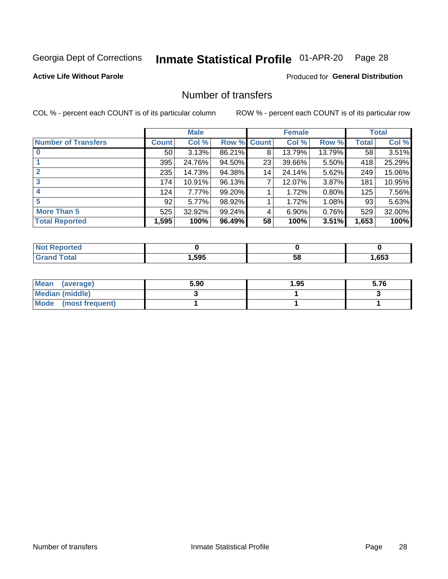## Inmate Statistical Profile 01-APR-20 Page 28

**Active Life Without Parole** 

**Produced for General Distribution** 

## Number of transfers

COL % - percent each COUNT is of its particular column

|                            | <b>Male</b> |          | <b>Female</b> |              |        | <b>Total</b> |              |        |
|----------------------------|-------------|----------|---------------|--------------|--------|--------------|--------------|--------|
| <b>Number of Transfers</b> | Count l     | Col %    | Row %         | <b>Count</b> | Col %  | Row %        | <b>Total</b> | Col %  |
|                            | 50          | 3.13%    | 86.21%        | 8            | 13.79% | 13.79%       | 58           | 3.51%  |
|                            | 395         | 24.76%   | 94.50%        | 23           | 39.66% | 5.50%        | 418          | 25.29% |
| $\mathbf{2}$               | 235         | 14.73%   | 94.38%        | 14           | 24.14% | 5.62%        | 249          | 15.06% |
| 3                          | 174         | 10.91%   | 96.13%        | 7            | 12.07% | $3.87\%$     | 181          | 10.95% |
|                            | 124         | 7.77%    | 99.20%        |              | 1.72%  | 0.80%        | 125          | 7.56%  |
| 5                          | 92          | $5.77\%$ | 98.92%        |              | 1.72%  | 1.08%        | 93           | 5.63%  |
| <b>More Than 5</b>         | 525         | 32.92%   | 99.24%        | 4            | 6.90%  | 0.76%        | 529          | 32.00% |
| <b>Total Reported</b>      | 1,595       | 100%     | 96.49%        | 58           | 100%   | 3.51%        | 1,653        | 100%   |

| NO           |      |    |      |
|--------------|------|----|------|
| <b>Total</b> | ,595 | Ⴢჾ | ,653 |

| Mean (average)       | 5.90 | 1.95 | 5.76 |
|----------------------|------|------|------|
| Median (middle)      |      |      |      |
| Mode (most frequent) |      |      |      |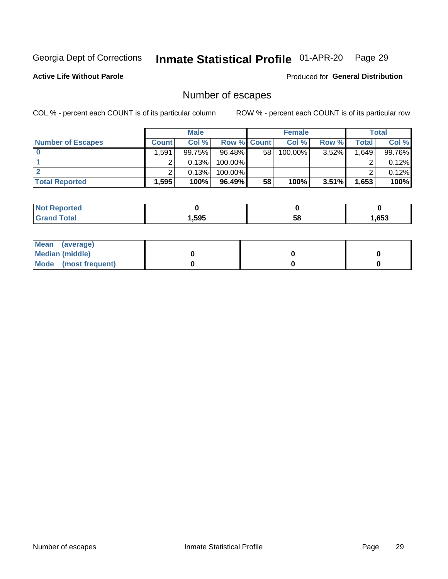## Inmate Statistical Profile 01-APR-20 Page 29

**Active Life Without Parole** 

Produced for General Distribution

## Number of escapes

COL % - percent each COUNT is of its particular column

|                          | <b>Male</b>  |        |                    | <b>Female</b> |         |          | Total |        |
|--------------------------|--------------|--------|--------------------|---------------|---------|----------|-------|--------|
| <b>Number of Escapes</b> | <b>Count</b> | Col %  | <b>Row % Count</b> |               | Col %   | Row %    | Total | Col %  |
|                          | .591         | 99.75% | $96.48\%$          | 58            | 100.00% | 3.52%    | 1,649 | 99.76% |
|                          |              | 0.13%  | 100.00%            |               |         |          |       | 0.12%  |
|                          |              | 0.13%  | $100.00\%$         |               |         |          |       | 0.12%  |
| <b>Total Reported</b>    | .595         | 100%   | 96.49%             | 58            | 100%    | $3.51\%$ | 1,653 | 100%   |

| <b>orted</b><br>NOT |       |    |      |
|---------------------|-------|----|------|
| $F$ ntn             | 1,595 | 58 | ,653 |

| Mean (average)       |  |  |
|----------------------|--|--|
| Median (middle)      |  |  |
| Mode (most frequent) |  |  |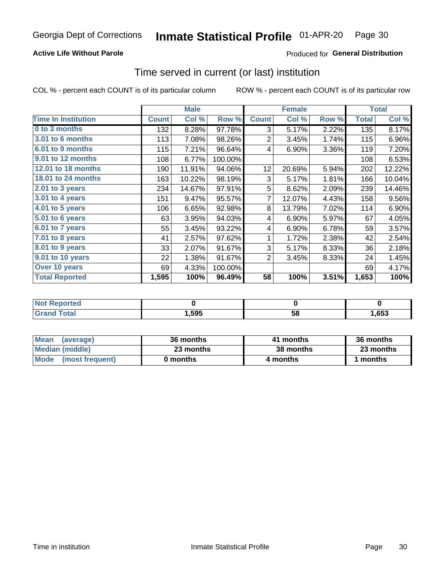### **Active Life Without Parole**

**Produced for General Distribution** 

## Time served in current (or last) institution

COL % - percent each COUNT is of its particular column

|                            |              | <b>Male</b> |         |                | <b>Female</b> |       | <b>Total</b> |        |
|----------------------------|--------------|-------------|---------|----------------|---------------|-------|--------------|--------|
| <b>Time In Institution</b> | <b>Count</b> | Col %       | Row %   | <b>Count</b>   | Col %         | Row % | <b>Total</b> | Col %  |
| 0 to 3 months              | 132          | 8.28%       | 97.78%  | 3              | 5.17%         | 2.22% | 135          | 8.17%  |
| <b>3.01 to 6 months</b>    | 113          | 7.08%       | 98.26%  | $\overline{2}$ | 3.45%         | 1.74% | 115          | 6.96%  |
| 6.01 to 9 months           | 115          | 7.21%       | 96.64%  | 4              | 6.90%         | 3.36% | 119          | 7.20%  |
| 9.01 to 12 months          | 108          | 6.77%       | 100.00% |                |               |       | 108          | 6.53%  |
| 12.01 to 18 months         | 190          | 11.91%      | 94.06%  | 12             | 20.69%        | 5.94% | 202          | 12.22% |
| <b>18.01 to 24 months</b>  | 163          | 10.22%      | 98.19%  | 3              | 5.17%         | 1.81% | 166          | 10.04% |
| $2.01$ to 3 years          | 234          | 14.67%      | 97.91%  | 5              | 8.62%         | 2.09% | 239          | 14.46% |
| $3.01$ to 4 years          | 151          | 9.47%       | 95.57%  | 7              | 12.07%        | 4.43% | 158          | 9.56%  |
| 4.01 to 5 years            | 106          | 6.65%       | 92.98%  | 8              | 13.79%        | 7.02% | 114          | 6.90%  |
| 5.01 to 6 years            | 63           | 3.95%       | 94.03%  | 4              | 6.90%         | 5.97% | 67           | 4.05%  |
| 6.01 to 7 years            | 55           | 3.45%       | 93.22%  | 4              | 6.90%         | 6.78% | 59           | 3.57%  |
| 7.01 to 8 years            | 41           | 2.57%       | 97.62%  | 1              | 1.72%         | 2.38% | 42           | 2.54%  |
| 8.01 to 9 years            | 33           | 2.07%       | 91.67%  | 3              | 5.17%         | 8.33% | 36           | 2.18%  |
| 9.01 to 10 years           | 22           | 1.38%       | 91.67%  | 2              | 3.45%         | 8.33% | 24           | 1.45%  |
| Over 10 years              | 69           | 4.33%       | 100.00% |                |               |       | 69           | 4.17%  |
| <b>Total Reported</b>      | 1,595        | 100%        | 96.49%  | 58             | 100%          | 3.51% | 1,653        | 100%   |

| <b>Not Reported</b>   |        |    |      |
|-----------------------|--------|----|------|
| <b>Total</b><br>Gran' | 595, ا | эō | ,653 |

| <b>Mean</b><br>(average) | 36 months | 41 months | 36 months |
|--------------------------|-----------|-----------|-----------|
| Median (middle)          | 23 months | 38 months | 23 months |
| Mode (most frequent)     | 0 months  | 4 months  | 1 months  |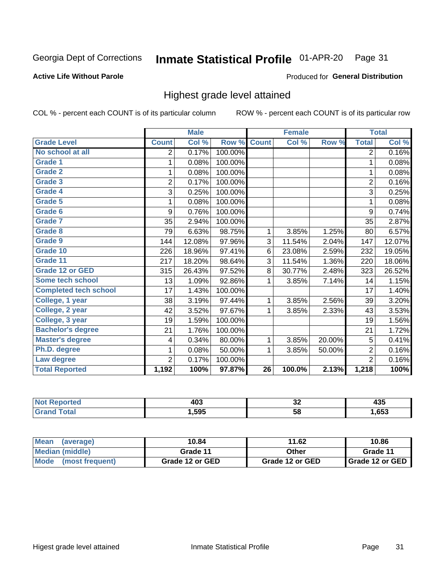#### Inmate Statistical Profile 01-APR-20 Page 31

#### **Active Life Without Parole**

#### Produced for General Distribution

## Highest grade level attained

COL % - percent each COUNT is of its particular column

|                              |                | <b>Male</b> |         |                 | <b>Female</b> |        |                | <b>Total</b> |
|------------------------------|----------------|-------------|---------|-----------------|---------------|--------|----------------|--------------|
| <b>Grade Level</b>           | <b>Count</b>   | Col %       | Row %   | <b>Count</b>    | Col %         | Row %  | <b>Total</b>   | Col %        |
| No school at all             | 2              | 0.17%       | 100.00% |                 |               |        | $\overline{2}$ | 0.16%        |
| <b>Grade 1</b>               | 1              | 0.08%       | 100.00% |                 |               |        | 1              | 0.08%        |
| <b>Grade 2</b>               | 1              | 0.08%       | 100.00% |                 |               |        | 1              | 0.08%        |
| <b>Grade 3</b>               | $\overline{2}$ | 0.17%       | 100.00% |                 |               |        | $\overline{2}$ | 0.16%        |
| <b>Grade 4</b>               | 3              | 0.25%       | 100.00% |                 |               |        | 3              | 0.25%        |
| <b>Grade 5</b>               | 1              | 0.08%       | 100.00% |                 |               |        | 1              | 0.08%        |
| Grade 6                      | 9              | 0.76%       | 100.00% |                 |               |        | 9              | 0.74%        |
| <b>Grade 7</b>               | 35             | 2.94%       | 100.00% |                 |               |        | 35             | 2.87%        |
| Grade 8                      | 79             | 6.63%       | 98.75%  | 1               | 3.85%         | 1.25%  | 80             | 6.57%        |
| Grade 9                      | 144            | 12.08%      | 97.96%  | 3               | 11.54%        | 2.04%  | 147            | 12.07%       |
| Grade 10                     | 226            | 18.96%      | 97.41%  | 6               | 23.08%        | 2.59%  | 232            | 19.05%       |
| Grade 11                     | 217            | 18.20%      | 98.64%  | 3               | 11.54%        | 1.36%  | 220            | 18.06%       |
| <b>Grade 12 or GED</b>       | 315            | 26.43%      | 97.52%  | 8               | 30.77%        | 2.48%  | 323            | 26.52%       |
| Some tech school             | 13             | 1.09%       | 92.86%  | 1               | 3.85%         | 7.14%  | 14             | 1.15%        |
| <b>Completed tech school</b> | 17             | 1.43%       | 100.00% |                 |               |        | 17             | 1.40%        |
| College, 1 year              | 38             | 3.19%       | 97.44%  | 1               | 3.85%         | 2.56%  | 39             | 3.20%        |
| College, 2 year              | 42             | 3.52%       | 97.67%  | 1               | 3.85%         | 2.33%  | 43             | 3.53%        |
| College, 3 year              | 19             | 1.59%       | 100.00% |                 |               |        | 19             | 1.56%        |
| <b>Bachelor's degree</b>     | 21             | 1.76%       | 100.00% |                 |               |        | 21             | 1.72%        |
| <b>Master's degree</b>       | 4              | 0.34%       | 80.00%  | 1               | 3.85%         | 20.00% | 5              | 0.41%        |
| Ph.D. degree                 | 1              | 0.08%       | 50.00%  | 1               | 3.85%         | 50.00% | $\overline{2}$ | 0.16%        |
| Law degree                   | $\overline{2}$ | 0.17%       | 100.00% |                 |               |        | $\overline{2}$ | 0.16%        |
| <b>Total Reported</b>        | 1,192          | 100%        | 97.87%  | $\overline{26}$ | 100.0%        | 2.13%  | 1,218          | 100%         |

| NO   | 100  | ^^  | ---  |
|------|------|-----|------|
| rtec | ヿヷぃ  | ◡▵  | ーマー  |
| υιαι | .595 | -58 | ,653 |

| <b>Mean</b><br>(average) | 10.84           | 11.62           | 10.86           |  |
|--------------------------|-----------------|-----------------|-----------------|--|
| <b>Median (middle)</b>   | Grade 11        | Other           | Grade 11        |  |
| Mode<br>(most frequent)  | Grade 12 or GED | Grade 12 or GED | Grade 12 or GED |  |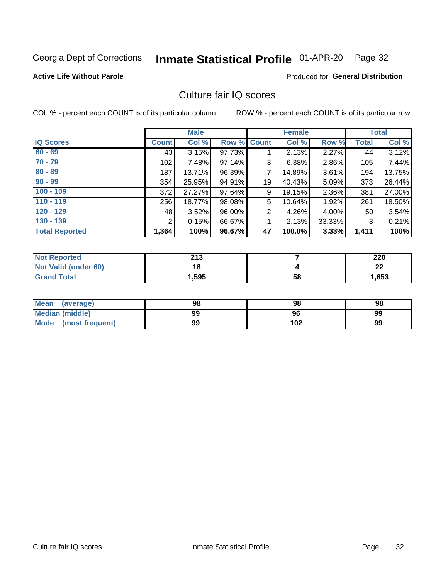#### Inmate Statistical Profile 01-APR-20 Page 32

#### **Active Life Without Parole**

### **Produced for General Distribution**

## Culture fair IQ scores

COL % - percent each COUNT is of its particular column

|                       | <b>Male</b>    |        | <b>Female</b> |                |        | <b>Total</b> |              |        |
|-----------------------|----------------|--------|---------------|----------------|--------|--------------|--------------|--------|
| <b>IQ Scores</b>      | <b>Count</b>   | Col %  | Row %         | <b>Count</b>   | Col %  | Row %        | <b>Total</b> | Col %  |
| $60 - 69$             | 43             | 3.15%  | 97.73%        |                | 2.13%  | $2.27\%$     | 44           | 3.12%  |
| $70 - 79$             | 102            | 7.48%  | 97.14%        | 3              | 6.38%  | 2.86%        | 105          | 7.44%  |
| $80 - 89$             | 187            | 13.71% | 96.39%        | 7              | 14.89% | $3.61\%$     | 194          | 13.75% |
| $90 - 99$             | 354            | 25.95% | 94.91%        | 19             | 40.43% | 5.09%        | 373          | 26.44% |
| $100 - 109$           | 372            | 27.27% | 97.64%        | 9              | 19.15% | 2.36%        | 381          | 27.00% |
| $110 - 119$           | 256            | 18.77% | 98.08%        | 5              | 10.64% | 1.92%        | 261          | 18.50% |
| $120 - 129$           | 48             | 3.52%  | 96.00%        | $\overline{2}$ | 4.26%  | $4.00\%$     | 50           | 3.54%  |
| $130 - 139$           | $\overline{2}$ | 0.15%  | 66.67%        | 1              | 2.13%  | 33.33%       | 3            | 0.21%  |
| <b>Total Reported</b> | 1,364          | 100%   | 96.67%        | 47             | 100.0% | 3.33%        | 1,411        | 100%   |

| <b>Not Reported</b>  | 213   |    | 220     |
|----------------------|-------|----|---------|
| Not Valid (under 60) | 18    |    | ົ<br>44 |
| <b>Grand Total</b>   | 1,595 | 58 | 1,653   |

| <b>Mean</b><br>(average) | 98 | 98  | 98 |
|--------------------------|----|-----|----|
| Median (middle)          | 99 | 96  | 99 |
| Mode (most frequent)     | 99 | 102 | 99 |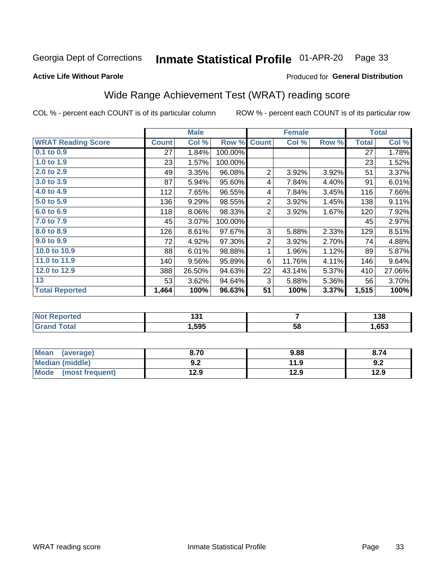#### Inmate Statistical Profile 01-APR-20 Page 33

Produced for General Distribution

### **Active Life Without Parole**

## Wide Range Achievement Test (WRAT) reading score

COL % - percent each COUNT is of its particular column

|                           | <b>Male</b><br><b>Female</b> |        |         | <b>Total</b>   |                |       |              |        |
|---------------------------|------------------------------|--------|---------|----------------|----------------|-------|--------------|--------|
| <b>WRAT Reading Score</b> | <b>Count</b>                 | Col %  | Row %   | <b>Count</b>   | Col %          | Row % | <b>Total</b> | Col %  |
| 0.1 to 0.9                | 27                           | 1.84%  | 100.00% |                |                |       | 27           | 1.78%  |
| 1.0 to 1.9                | 23                           | 1.57%  | 100.00% |                |                |       | 23           | 1.52%  |
| 2.0 to 2.9                | 49                           | 3.35%  | 96.08%  | $\overline{2}$ | 3.92%          | 3.92% | 51           | 3.37%  |
| 3.0 to 3.9                | 87                           | 5.94%  | 95.60%  | 4              | 7.84%          | 4.40% | 91           | 6.01%  |
| 4.0 to 4.9                | 112                          | 7.65%  | 96.55%  | 4              | 7.84%          | 3.45% | 116          | 7.66%  |
| 5.0 to 5.9                | 136                          | 9.29%  | 98.55%  | $\overline{c}$ | 3.92%          | 1.45% | 138          | 9.11%  |
| 6.0 to 6.9                | 118                          | 8.06%  | 98.33%  | $\overline{2}$ | 3.92%          | 1.67% | 120          | 7.92%  |
| 7.0 to 7.9                | 45                           | 3.07%  | 100.00% |                |                |       | 45           | 2.97%  |
| 8.0 to 8.9                | 126                          | 8.61%  | 97.67%  | 3              | 5.88%          | 2.33% | 129          | 8.51%  |
| 9.0 to 9.9                | 72                           | 4.92%  | 97.30%  | $\overline{2}$ | 3.92%          | 2.70% | 74           | 4.88%  |
| 10.0 to 10.9              | 88                           | 6.01%  | 98.88%  | 1              | 1.96%          | 1.12% | 89           | 5.87%  |
| 11.0 to 11.9              | 140                          | 9.56%  | 95.89%  | 6              | 11.76%         | 4.11% | 146          | 9.64%  |
| 12.0 to 12.9              | 388                          | 26.50% | 94.63%  | 22             | 43.14%         | 5.37% | 410          | 27.06% |
| 13                        | 53                           | 3.62%  | 94.64%  | 3              | 5.88%          | 5.36% | 56           | 3.70%  |
| <b>Total Reported</b>     | 1,464                        | 100%   | 96.63%  | 51             | 100%           | 3.37% | 1,515        | 100%   |
|                           |                              |        |         |                |                |       |              |        |
| <b>Net Departed</b>       |                              | 494    |         |                | $\overline{ }$ |       |              | 100    |

| 'Nu.<br>eporteg | י טו |    | .<br>סט ו |
|-----------------|------|----|-----------|
| otal<br>$\sim$  | .595 | 58 | ,653      |

| <b>Mean</b><br>(average)       | 8.70       | 9.88 | 8.74 |
|--------------------------------|------------|------|------|
| <b>Median (middle)</b>         | ר ח<br>Y.Z | 11.9 | 9.Z  |
| <b>Mode</b><br>(most frequent) | l2.9       | 12.9 | 12.9 |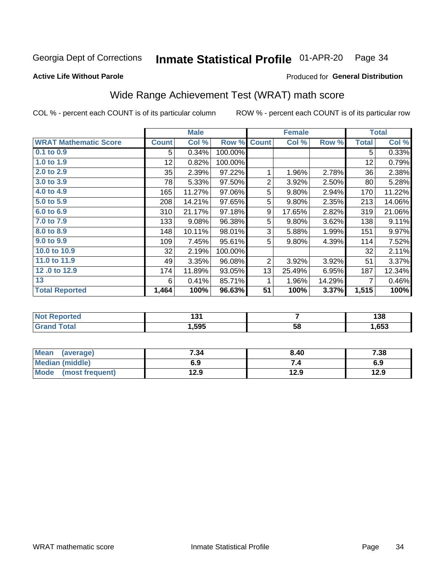#### Inmate Statistical Profile 01-APR-20 Page 34

### **Active Life Without Parole**

### Produced for General Distribution

## Wide Range Achievement Test (WRAT) math score

COL % - percent each COUNT is of its particular column

|                              |                 | <b>Male</b> |         | <b>Female</b>  |        |        | <b>Total</b> |        |
|------------------------------|-----------------|-------------|---------|----------------|--------|--------|--------------|--------|
| <b>WRAT Mathematic Score</b> | <b>Count</b>    | Col %       | Row %   | <b>Count</b>   | Col %  | Row %  | <b>Total</b> | Col %  |
| $0.1$ to $0.9$               | 5               | 0.34%       | 100.00% |                |        |        | 5            | 0.33%  |
| 1.0 to 1.9                   | 12 <sub>2</sub> | 0.82%       | 100.00% |                |        |        | 12           | 0.79%  |
| 2.0 to 2.9                   | 35              | 2.39%       | 97.22%  | 1              | 1.96%  | 2.78%  | 36           | 2.38%  |
| 3.0 to 3.9                   | 78              | 5.33%       | 97.50%  | $\overline{2}$ | 3.92%  | 2.50%  | 80           | 5.28%  |
| 4.0 to 4.9                   | 165             | 11.27%      | 97.06%  | 5              | 9.80%  | 2.94%  | 170          | 11.22% |
| 5.0 to 5.9                   | 208             | 14.21%      | 97.65%  | 5              | 9.80%  | 2.35%  | 213          | 14.06% |
| 6.0 to 6.9                   | 310             | 21.17%      | 97.18%  | 9              | 17.65% | 2.82%  | 319          | 21.06% |
| 7.0 to 7.9                   | 133             | 9.08%       | 96.38%  | 5              | 9.80%  | 3.62%  | 138          | 9.11%  |
| 8.0 to 8.9                   | 148             | 10.11%      | 98.01%  | 3              | 5.88%  | 1.99%  | 151          | 9.97%  |
| 9.0 to 9.9                   | 109             | 7.45%       | 95.61%  | 5              | 9.80%  | 4.39%  | 114          | 7.52%  |
| 10.0 to 10.9                 | 32              | 2.19%       | 100.00% |                |        |        | 32           | 2.11%  |
| 11.0 to 11.9                 | 49              | 3.35%       | 96.08%  | $\overline{2}$ | 3.92%  | 3.92%  | 51           | 3.37%  |
| 12.0 to 12.9                 | 174             | 11.89%      | 93.05%  | 13             | 25.49% | 6.95%  | 187          | 12.34% |
| 13                           | 6               | 0.41%       | 85.71%  | 1              | 1.96%  | 14.29% | 7            | 0.46%  |
| <b>Total Reported</b>        | 1,464           | 100%        | 96.63%  | 51             | 100%   | 3.37%  | 1,515        | 100%   |
|                              |                 |             |         |                |        |        |              |        |

| <b>Not Reported</b>   | 194<br>1 J I |    | 138  |
|-----------------------|--------------|----|------|
| <b>Total</b><br>Grand | ,595         | 58 | ,653 |

| Mean (average)         | 7.34 | 8.40 | 7.38 |
|------------------------|------|------|------|
| <b>Median (middle)</b> | 6.9  | 74   | 6.9  |
| Mode (most frequent)   | 12.9 | 12.9 | 12.9 |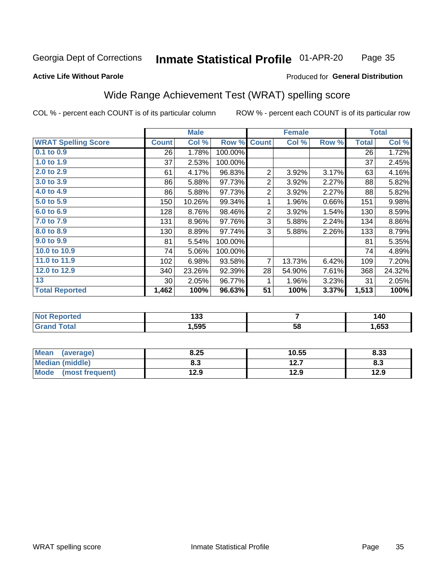#### Inmate Statistical Profile 01-APR-20 Page 35

### **Active Life Without Parole**

#### Produced for General Distribution

## Wide Range Achievement Test (WRAT) spelling score

COL % - percent each COUNT is of its particular column

|                            |                 | <b>Male</b> |         |                | <b>Female</b>  |       | <b>Total</b> |        |
|----------------------------|-----------------|-------------|---------|----------------|----------------|-------|--------------|--------|
| <b>WRAT Spelling Score</b> | <b>Count</b>    | Col %       | Row %   | <b>Count</b>   | Col %          | Row % | <b>Total</b> | Col %  |
| 0.1 to 0.9                 | 26              | 1.78%       | 100.00% |                |                |       | 26           | 1.72%  |
| 1.0 to 1.9                 | 37              | 2.53%       | 100.00% |                |                |       | 37           | 2.45%  |
| 2.0 to 2.9                 | 61              | 4.17%       | 96.83%  | $\overline{2}$ | 3.92%          | 3.17% | 63           | 4.16%  |
| 3.0 to 3.9                 | 86              | 5.88%       | 97.73%  | 2              | 3.92%          | 2.27% | 88           | 5.82%  |
| 4.0 to 4.9                 | 86              | 5.88%       | 97.73%  | $\overline{2}$ | 3.92%          | 2.27% | 88           | 5.82%  |
| 5.0 to 5.9                 | 150             | 10.26%      | 99.34%  | 1              | 1.96%          | 0.66% | 151          | 9.98%  |
| 6.0 to 6.9                 | 128             | 8.76%       | 98.46%  | $\overline{2}$ | 3.92%          | 1.54% | 130          | 8.59%  |
| 7.0 to 7.9                 | 131             | 8.96%       | 97.76%  | 3              | 5.88%          | 2.24% | 134          | 8.86%  |
| 8.0 to 8.9                 | 130             | 8.89%       | 97.74%  | 3              | 5.88%          | 2.26% | 133          | 8.79%  |
| 9.0 to 9.9                 | 81              | 5.54%       | 100.00% |                |                |       | 81           | 5.35%  |
| 10.0 to 10.9               | 74              | 5.06%       | 100.00% |                |                |       | 74           | 4.89%  |
| 11.0 to 11.9               | 102             | 6.98%       | 93.58%  | $\overline{7}$ | 13.73%         | 6.42% | 109          | 7.20%  |
| 12.0 to 12.9               | 340             | 23.26%      | 92.39%  | 28             | 54.90%         | 7.61% | 368          | 24.32% |
| 13                         | 30 <sup>1</sup> | 2.05%       | 96.77%  | 1              | 1.96%          | 3.23% | 31           | 2.05%  |
| <b>Total Reported</b>      | 1,462           | 100%        | 96.63%  | 51             | 100%           | 3.37% | 1,513        | 100%   |
|                            |                 |             |         |                |                |       |              |        |
| <b>Not Reported</b>        |                 | 133         |         |                | $\overline{7}$ |       |              | 140    |
| <b>Grand Total</b>         |                 | 1,595       |         |                | 58             |       |              | 1,653  |

| <b>Mean</b><br>(average) | 8.25 | 10.55         | 8.33 |
|--------------------------|------|---------------|------|
| <b>Median (middle)</b>   | 8.3  | 1つ フ<br>I 4.I | 8.3  |
| Mode<br>(most frequent)  | 12.9 | 12.9          | 12.9 |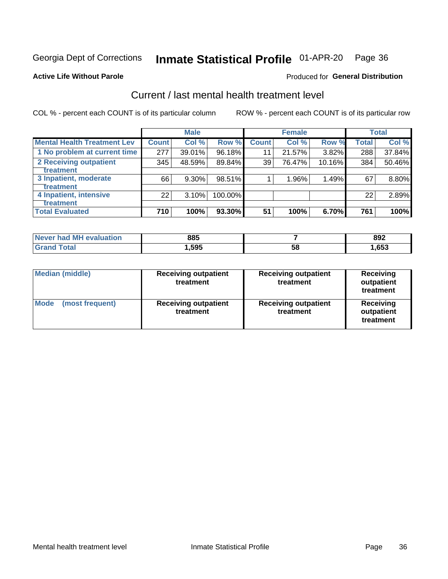## Inmate Statistical Profile 01-APR-20 Page 36

Produced for General Distribution

#### **Active Life Without Parole**

## Current / last mental health treatment level

COL % - percent each COUNT is of its particular column

|                                    |              | <b>Male</b> |         |              | <b>Female</b> |        |              | <b>Total</b> |
|------------------------------------|--------------|-------------|---------|--------------|---------------|--------|--------------|--------------|
| <b>Mental Health Treatment Lev</b> | <b>Count</b> | Col %       | Row %   | <b>Count</b> | Col %         | Row %  | <b>Total</b> | Col %        |
| 1 No problem at current time       | 277          | 39.01%      | 96.18%  | 11           | 21.57%        | 3.82%  | 288          | 37.84%       |
| 2 Receiving outpatient             | 345          | 48.59%      | 89.84%  | 39           | 76.47%        | 10.16% | 384          | 50.46%       |
| <b>Treatment</b>                   |              |             |         |              |               |        |              |              |
| 3 Inpatient, moderate              | 66           | 9.30%       | 98.51%  |              | 1.96%         | 1.49%  | 67           | 8.80%        |
| <b>Treatment</b>                   |              |             |         |              |               |        |              |              |
| 4 Inpatient, intensive             | 22           | 3.10%       | 100.00% |              |               |        | 22           | 2.89%        |
| <b>Treatment</b>                   |              |             |         |              |               |        |              |              |
| <b>Total Evaluated</b>             | 710          | 100%        | 93.30%  | 51           | 100%          | 6.70%  | 761          | 100%         |

| Never had MH evaluation | 885   |   | 892  |
|-------------------------|-------|---|------|
| Гоtal                   | . 595 | ວ | ,653 |

| <b>Median (middle)</b>         | <b>Receiving outpatient</b><br>treatment | <b>Receiving outpatient</b><br>treatment | <b>Receiving</b><br>outpatient<br>treatment |  |
|--------------------------------|------------------------------------------|------------------------------------------|---------------------------------------------|--|
| <b>Mode</b><br>(most frequent) | <b>Receiving outpatient</b><br>treatment | <b>Receiving outpatient</b><br>treatment | <b>Receiving</b><br>outpatient<br>treatment |  |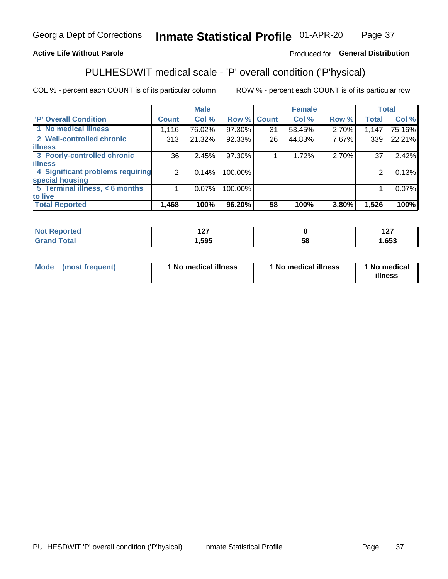#### Inmate Statistical Profile 01-APR-20 Page 37

### **Active Life Without Parole**

### Produced for General Distribution

## PULHESDWIT medical scale - 'P' overall condition ('P'hysical)

COL % - percent each COUNT is of its particular column

|                                  |                | <b>Male</b> |         |              | <b>Female</b> |       |              | <b>Total</b> |
|----------------------------------|----------------|-------------|---------|--------------|---------------|-------|--------------|--------------|
| 'P' Overall Condition            | <b>Count</b>   | Col %       | Row %   | <b>Count</b> | Col %         | Row % | <b>Total</b> | Col %        |
| 1 No medical illness             | 1,116          | 76.02%      | 97.30%  | 31           | 53.45%        | 2.70% | 1,147        | 75.16%       |
| 2 Well-controlled chronic        | 313            | 21.32%      | 92.33%  | 26           | 44.83%        | 7.67% | 339          | 22.21%       |
| <b>illness</b>                   |                |             |         |              |               |       |              |              |
| 3 Poorly-controlled chronic      | 36             | 2.45%       | 97.30%  |              | 1.72%         | 2.70% | 37           | 2.42%        |
| <b>illness</b>                   |                |             |         |              |               |       |              |              |
| 4 Significant problems requiring | $\overline{2}$ | 0.14%       | 100.00% |              |               |       | 2            | 0.13%        |
| special housing                  |                |             |         |              |               |       |              |              |
| 5 Terminal illness, < 6 months   |                | 0.07%       | 100.00% |              |               |       |              | 0.07%        |
| to live                          |                |             |         |              |               |       |              |              |
| <b>Total Reported</b>            | 1,468          | 100%        | 96.20%  | 58           | 100%          | 3.80% | 1,526        | 100%         |

| тео<br> | --<br>. |    | { 27<br>. <u>. .</u> |
|---------|---------|----|----------------------|
| _____   | 595,    | Эč | ,653                 |

|  |  | Mode (most frequent) | 1 No medical illness | 1 No medical illness | 1 No medical<br>illness |
|--|--|----------------------|----------------------|----------------------|-------------------------|
|--|--|----------------------|----------------------|----------------------|-------------------------|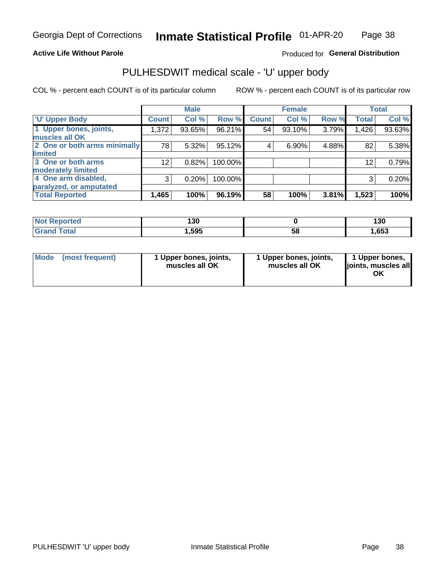### **Active Life Without Parole**

### Produced for General Distribution

## PULHESDWIT medical scale - 'U' upper body

COL % - percent each COUNT is of its particular column

|                              |              | <b>Male</b> |         |              | <b>Female</b> |       |              | <b>Total</b> |
|------------------------------|--------------|-------------|---------|--------------|---------------|-------|--------------|--------------|
| <b>U' Upper Body</b>         | <b>Count</b> | Col %       | Row %   | <b>Count</b> | Col %         | Row % | <b>Total</b> | Col %        |
| 1 Upper bones, joints,       | 1,372        | 93.65%      | 96.21%  | 54           | 93.10%        | 3.79% | 1,426        | 93.63%       |
| muscles all OK               |              |             |         |              |               |       |              |              |
| 2 One or both arms minimally | 78           | 5.32%       | 95.12%  | 4            | 6.90%         | 4.88% | 82           | 5.38%        |
| limited                      |              |             |         |              |               |       |              |              |
| 3 One or both arms           | 12           | 0.82%       | 100.00% |              |               |       | 12           | 0.79%        |
| moderately limited           |              |             |         |              |               |       |              |              |
| 4 One arm disabled,          | 3            | 0.20%       | 100.00% |              |               |       | 3            | 0.20%        |
| paralyzed, or amputated      |              |             |         |              |               |       |              |              |
| <b>Total Reported</b>        | 1,465        | 100%        | 96.19%  | 58           | 100%          | 3.81% | 1,523        | 100%         |

| <b>Not Reported</b> | 130  |    | 130  |  |  |
|---------------------|------|----|------|--|--|
| <b>Total</b>        | ,595 | 58 | ,653 |  |  |

| <b>Mode</b> | (most frequent) | 1 Upper bones, joints,<br>muscles all OK | 1 Upper bones, joints,<br>muscles all OK | 1 Upper bones,<br>ljoints, muscles all<br>ОK |
|-------------|-----------------|------------------------------------------|------------------------------------------|----------------------------------------------|
|-------------|-----------------|------------------------------------------|------------------------------------------|----------------------------------------------|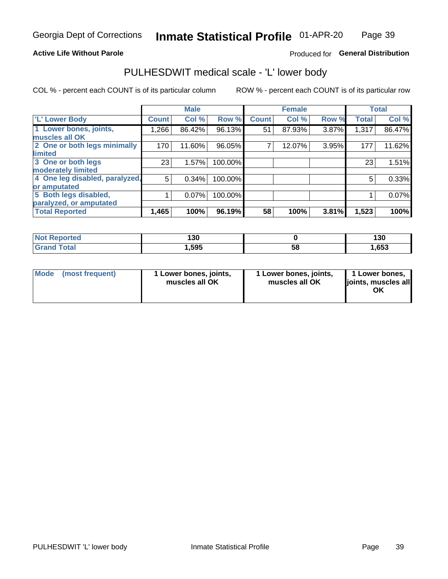### **Active Life Without Parole**

### Produced for General Distribution

## PULHESDWIT medical scale - 'L' lower body

COL % - percent each COUNT is of its particular column

|                                |              | <b>Male</b> |         |              | <b>Female</b> |       |              | <b>Total</b> |
|--------------------------------|--------------|-------------|---------|--------------|---------------|-------|--------------|--------------|
| 'L' Lower Body                 | <b>Count</b> | Col %       | Row %   | <b>Count</b> | Col %         | Row % | <b>Total</b> | Col %        |
| 1 Lower bones, joints,         | ا 266.1      | 86.42%      | 96.13%  | 51           | 87.93%        | 3.87% | 1,317        | 86.47%       |
| muscles all OK                 |              |             |         |              |               |       |              |              |
| 2 One or both legs minimally   | 170          | 11.60%      | 96.05%  |              | 12.07%        | 3.95% | 177          | 11.62%       |
| limited                        |              |             |         |              |               |       |              |              |
| 3 One or both legs             | 23           | 1.57%       | 100.00% |              |               |       | 23           | 1.51%        |
| moderately limited             |              |             |         |              |               |       |              |              |
| 4 One leg disabled, paralyzed, | 5            | 0.34%       | 100.00% |              |               |       | 5            | 0.33%        |
| or amputated                   |              |             |         |              |               |       |              |              |
| 5 Both legs disabled,          |              | 0.07%       | 100.00% |              |               |       |              | 0.07%        |
| paralyzed, or amputated        |              |             |         |              |               |       |              |              |
| <b>Total Reported</b>          | 1,465        | 100%        | 96.19%  | 58           | 100%          | 3.81% | 1,523        | 100%         |

| <b>Not Reported</b> | חכו<br>טטו |    | 130  |
|---------------------|------------|----|------|
| <b>Grand Total</b>  | 1,595      | 58 | ,653 |

| Mode | (most frequent) | 1 Lower bones, joints,<br>muscles all OK | 1 Lower bones, joints,<br>muscles all OK | 1 Lower bones,<br>joints, muscles all<br>ΟK |
|------|-----------------|------------------------------------------|------------------------------------------|---------------------------------------------|
|------|-----------------|------------------------------------------|------------------------------------------|---------------------------------------------|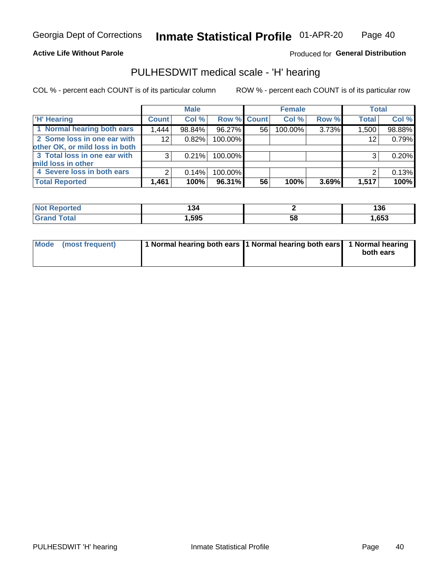### **Active Life Without Parole**

Produced for General Distribution

## PULHESDWIT medical scale - 'H' hearing

COL % - percent each COUNT is of its particular column

|                                | <b>Male</b>  |        | <b>Female</b>      |    |         | <b>Total</b> |              |        |
|--------------------------------|--------------|--------|--------------------|----|---------|--------------|--------------|--------|
| <b>H' Hearing</b>              | <b>Count</b> | Col %  | <b>Row % Count</b> |    | Col %   | Row %        | <b>Total</b> | Col %  |
| 1 Normal hearing both ears     | 1,444        | 98.84% | 96.27%             | 56 | 100.00% | 3.73%        | 1,500        | 98.88% |
| 2 Some loss in one ear with    | 12           | 0.82%  | 100.00%            |    |         |              | 12           | 0.79%  |
| other OK, or mild loss in both |              |        |                    |    |         |              |              |        |
| 3 Total loss in one ear with   | 3            | 0.21%  | 100.00%            |    |         |              | 3            | 0.20%  |
| mild loss in other             |              |        |                    |    |         |              |              |        |
| 4 Severe loss in both ears     | 2            | 0.14%  | 100.00%            |    |         |              |              | 0.13%  |
| <b>Total Reported</b>          | 1,461        | 100%   | 96.31%             | 56 | 100%    | 3.69%        | 1,517        | 100%   |

| N<br>тео | 34  |    | 136  |
|----------|-----|----|------|
| _____    | 505 | აა | ,653 |

| Mode (most frequent) | 1 Normal hearing both ears 1 Normal hearing both ears 1 Normal hearing | both ears |
|----------------------|------------------------------------------------------------------------|-----------|
|                      |                                                                        |           |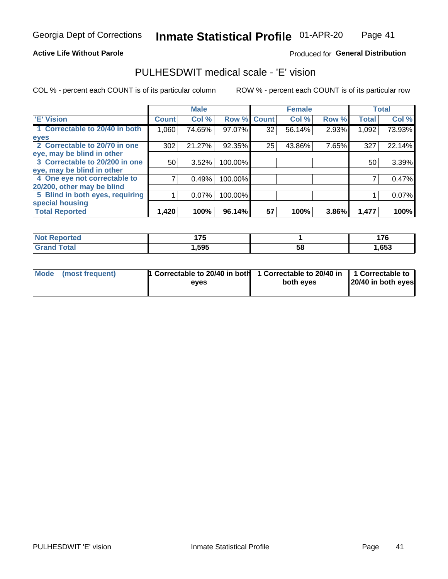### **Active Life Without Parole**

### Produced for General Distribution

## PULHESDWIT medical scale - 'E' vision

COL % - percent each COUNT is of its particular column

|                                 |              | <b>Male</b> |         |              | <b>Female</b> |       |              | <b>Total</b> |
|---------------------------------|--------------|-------------|---------|--------------|---------------|-------|--------------|--------------|
| 'E' Vision                      | <b>Count</b> | Col %       | Row %   | <b>Count</b> | Col %         | Row % | <b>Total</b> | Col %        |
| 1 Correctable to 20/40 in both  | 1,060        | 74.65%      | 97.07%  | 32           | 56.14%        | 2.93% | 1,092        | 73.93%       |
| eyes                            |              |             |         |              |               |       |              |              |
| 2 Correctable to 20/70 in one   | 302          | 21.27%      | 92.35%  | 25           | 43.86%        | 7.65% | 327          | 22.14%       |
| eye, may be blind in other      |              |             |         |              |               |       |              |              |
| 3 Correctable to 20/200 in one  | 50           | 3.52%       | 100.00% |              |               |       | 50           | 3.39%        |
| eye, may be blind in other      |              |             |         |              |               |       |              |              |
| 4 One eye not correctable to    |              | 0.49%       | 100.00% |              |               |       |              | 0.47%        |
| 20/200, other may be blind      |              |             |         |              |               |       |              |              |
| 5 Blind in both eyes, requiring |              | 0.07%       | 100.00% |              |               |       |              | 0.07%        |
| special housing                 |              |             |         |              |               |       |              |              |
| <b>Total Reported</b>           | 1,420        | 100%        | 96.14%  | 57           | 100%          | 3.86% | 1,477        | 100%         |

| <b>ported</b><br>NOT<br>seno | 4 7 E<br>.<br>$ -$ |    | $\rightarrow$<br> |
|------------------------------|--------------------|----|-------------------|
| $\mathsf{Total}$             | ,595               | 58 | ,653              |

| Mode (most frequent) | 1 Correctable to 20/40 in both<br>eves | 1 Correctable to 20/40 in   1 Correctable to  <br>both eves | 20/40 in both eyes |
|----------------------|----------------------------------------|-------------------------------------------------------------|--------------------|
|                      |                                        |                                                             |                    |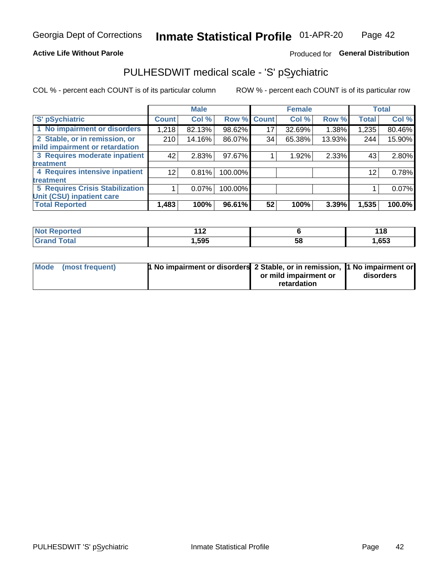### **Active Life Without Parole**

### Produced for General Distribution

## PULHESDWIT medical scale - 'S' pSychiatric

COL % - percent each COUNT is of its particular column

|                                 |              | <b>Male</b> |         |             | <b>Female</b> |        |              | <b>Total</b> |
|---------------------------------|--------------|-------------|---------|-------------|---------------|--------|--------------|--------------|
| 'S' pSychiatric                 | <b>Count</b> | Col %       |         | Row % Count | Col %         | Row %  | <b>Total</b> | Col %        |
| 1 No impairment or disorders    | 1,218        | 82.13%      | 98.62%  | 17          | 32.69%        | 1.38%  | 1,235        | 80.46%       |
| 2 Stable, or in remission, or   | 210          | 14.16%      | 86.07%  | 34          | 65.38%        | 13.93% | 244          | 15.90%       |
| mild impairment or retardation  |              |             |         |             |               |        |              |              |
| 3 Requires moderate inpatient   | 42           | 2.83%       | 97.67%  |             | 1.92%         | 2.33%  | 43           | 2.80%        |
| <b>treatment</b>                |              |             |         |             |               |        |              |              |
| 4 Requires intensive inpatient  | 12           | 0.81%       | 100.00% |             |               |        | 12           | 0.78%        |
| <b>treatment</b>                |              |             |         |             |               |        |              |              |
| 5 Requires Crisis Stabilization |              | 0.07%       | 100.00% |             |               |        |              | 0.07%        |
| Unit (CSU) inpatient care       |              |             |         |             |               |        |              |              |
| <b>Total Reported</b>           | 1,483        | 100%        | 96.61%  | 52          | 100%          | 3.39%  | 1,535        | 100.0%       |

| ™orted in<br>NO:<br>керо | 44 <sup>o</sup><br>. |    | 1 4 O<br><u> 1 1 0</u> |
|--------------------------|----------------------|----|------------------------|
| <b>Total</b>             | ,595                 | 58 | 653, ا                 |

| Mode (most frequent) | <b>1 No impairment or disorders</b> 2 Stable, or in remission, 11 No impairment or |                       |           |
|----------------------|------------------------------------------------------------------------------------|-----------------------|-----------|
|                      |                                                                                    | or mild impairment or | disorders |
|                      |                                                                                    | retardation           |           |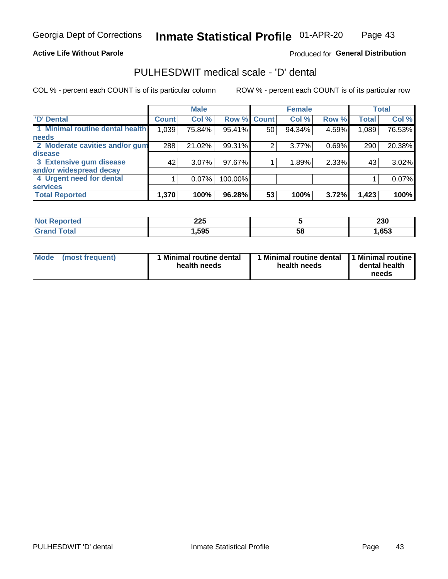### **Active Life Without Parole**

### Produced for General Distribution

## PULHESDWIT medical scale - 'D' dental

COL % - percent each COUNT is of its particular column

|                                 |              | <b>Male</b> |         |              | <b>Female</b> |       |              | <b>Total</b> |
|---------------------------------|--------------|-------------|---------|--------------|---------------|-------|--------------|--------------|
| <b>D'</b> Dental                | <b>Count</b> | Col %       | Row %   | <b>Count</b> | Col %         | Row % | <b>Total</b> | Col %        |
| 1 Minimal routine dental health | 1,039        | 75.84%      | 95.41%  | 50           | 94.34%        | 4.59% | 1,089        | 76.53%       |
| <b>needs</b>                    |              |             |         |              |               |       |              |              |
| 2 Moderate cavities and/or gum  | 288          | 21.02%      | 99.31%  | 2            | 3.77%         | 0.69% | 290          | 20.38%       |
| disease                         |              |             |         |              |               |       |              |              |
| 3 Extensive gum disease         | 42           | $3.07\%$    | 97.67%  |              | 1.89%         | 2.33% | 43           | 3.02%        |
| and/or widespread decay         |              |             |         |              |               |       |              |              |
| 4 Urgent need for dental        |              | $0.07\%$    | 100.00% |              |               |       |              | 0.07%        |
| <b>services</b>                 |              |             |         |              |               |       |              |              |
| <b>Total Reported</b>           | 1,370        | 100%        | 96.28%  | 53           | 100%          | 3.72% | 1,423        | 100%         |

| <b>Ported</b><br><b>NOT REDO</b> | つつに<br>LLJ |    | 230  |
|----------------------------------|------------|----|------|
| Total                            | ,595       | 58 | ,653 |

| <b>Mode</b> | (most frequent) | <b>Minimal routine dental</b><br>health needs | 1 Minimal routine dental<br>health needs | <b>11 Minimal routine I</b><br>dental health<br>needs |
|-------------|-----------------|-----------------------------------------------|------------------------------------------|-------------------------------------------------------|
|-------------|-----------------|-----------------------------------------------|------------------------------------------|-------------------------------------------------------|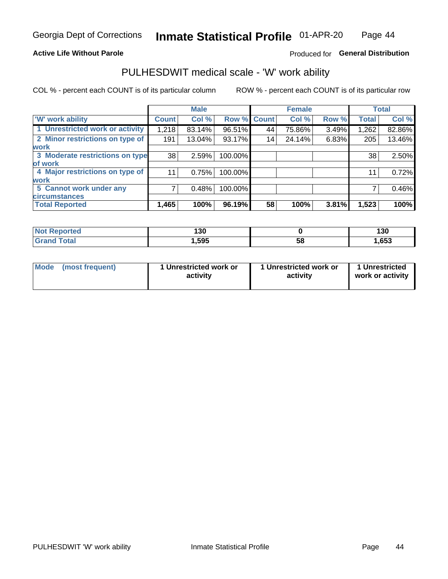### **Active Life Without Parole**

### Produced for General Distribution

## PULHESDWIT medical scale - 'W' work ability

COL % - percent each COUNT is of its particular column

|                                 |                    | <b>Male</b> |         |             | <b>Female</b> |       |              | <b>Total</b> |
|---------------------------------|--------------------|-------------|---------|-------------|---------------|-------|--------------|--------------|
| <b>W' work ability</b>          | Count <sup>'</sup> | Col %       |         | Row % Count | Col %         | Row % | <b>Total</b> | Col %        |
| 1 Unrestricted work or activity | 1,218              | 83.14%      | 96.51%  | 44          | 75.86%        | 3.49% | 1,262        | 82.86%       |
| 2 Minor restrictions on type of | 191                | 13.04%      | 93.17%  | 14          | 24.14%        | 6.83% | 205          | 13.46%       |
| <b>work</b>                     |                    |             |         |             |               |       |              |              |
| 3 Moderate restrictions on type | 38                 | 2.59%       | 100.00% |             |               |       | 38           | 2.50%        |
| lof work                        |                    |             |         |             |               |       |              |              |
| 4 Major restrictions on type of | 11                 | 0.75%       | 100.00% |             |               |       | 11           | 0.72%        |
| <b>work</b>                     |                    |             |         |             |               |       |              |              |
| 5 Cannot work under any         |                    | 0.48%       | 100.00% |             |               |       |              | 0.46%        |
| <b>circumstances</b>            |                    |             |         |             |               |       |              |              |
| <b>Total Reported</b>           | 1,465              | 100%        | 96.19%  | 58          | 100%          | 3.81% | 1,523        | 100%         |

| <b>Not Reported</b>   | 130    |    | 130  |
|-----------------------|--------|----|------|
| <b>Total</b><br>Cron/ | 595, ا | 58 | ,653 |

| Mode (most frequent) | 1 Unrestricted work or | 1 Unrestricted work or | 1 Unrestricted   |
|----------------------|------------------------|------------------------|------------------|
|                      | activity               | activity               | work or activity |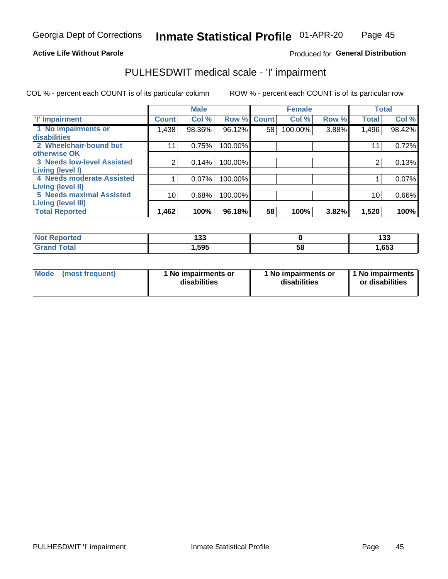#### **Active Life Without Parole**

Produced for General Distribution

## PULHESDWIT medical scale - 'I' impairment

COL % - percent each COUNT is of its particular column ROW % - percent each COUNT is of its particular row

|                                                              |              | <b>Male</b> |                    |    | <b>Female</b> |       |              | <b>Total</b> |
|--------------------------------------------------------------|--------------|-------------|--------------------|----|---------------|-------|--------------|--------------|
| <b>T' Impairment</b>                                         | <b>Count</b> | Col %       | <b>Row % Count</b> |    | Col %         | Row % | <b>Total</b> | Col %        |
| 1 No impairments or<br>disabilities                          | 1,438        | 98.36%      | 96.12%             | 58 | 100.00%       | 3.88% | 1,496        | 98.42%       |
| 2 Wheelchair-bound but                                       |              | 0.75%       | 100.00%            |    |               |       | 11           | 0.72%        |
| otherwise OK<br><b>3 Needs low-level Assisted</b>            |              | 0.14%       | 100.00%            |    |               |       |              | 0.13%        |
| Living (level I)<br>4 Needs moderate Assisted                |              | 0.07%       | 100.00%            |    |               |       |              | 0.07%        |
| <b>Living (level II)</b>                                     |              |             |                    |    |               |       |              |              |
| <b>5 Needs maximal Assisted</b><br><b>Living (level III)</b> | 10           | 0.68%       | 100.00%            |    |               |       | 10           | 0.66%        |
| <b>Total Reported</b>                                        | 1,462        | 100%        | 96.18%             | 58 | 100%          | 3.82% | 1,520        | 100%         |

| Reported     | <br>טט ו |    | 499<br>199 |
|--------------|----------|----|------------|
| <b>Total</b> | 595,،    | 58 | 1,653      |

| <b>Mode</b> | (most frequent) | <b>No impairments or</b><br>disabilities | 1 No impairments or<br>disabilities | 1 No impairments<br>or disabilities |
|-------------|-----------------|------------------------------------------|-------------------------------------|-------------------------------------|
|-------------|-----------------|------------------------------------------|-------------------------------------|-------------------------------------|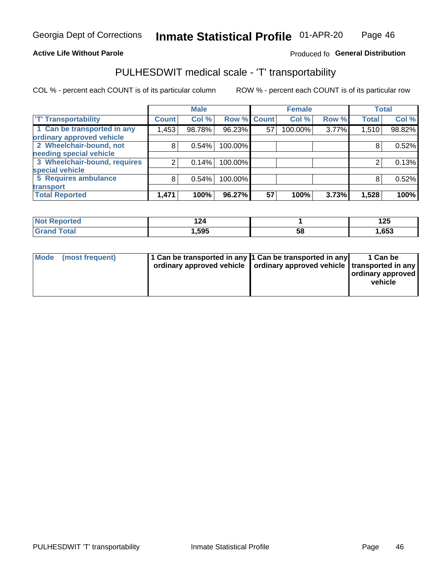### **Active Life Without Parole**

### Produced fo General Distribution

## PULHESDWIT medical scale - 'T' transportability

COL % - percent each COUNT is of its particular column

|                              |              | <b>Male</b> |             |    | <b>Female</b> |       |              | <b>Total</b> |
|------------------------------|--------------|-------------|-------------|----|---------------|-------|--------------|--------------|
| <b>T' Transportability</b>   | <b>Count</b> | Col %       | Row % Count |    | Col %         | Row % | <b>Total</b> | Col %        |
| 1 Can be transported in any  | 1,453        | 98.78%      | 96.23%      | 57 | 100.00%       | 3.77% | 1,510        | 98.82%       |
| ordinary approved vehicle    |              |             |             |    |               |       |              |              |
| 2 Wheelchair-bound, not      | 8            | 0.54%       | 100.00%     |    |               |       |              | 0.52%        |
| needing special vehicle      |              |             |             |    |               |       |              |              |
| 3 Wheelchair-bound, requires |              | 0.14%       | 100.00%     |    |               |       |              | 0.13%        |
| special vehicle              |              |             |             |    |               |       |              |              |
| 5 Requires ambulance         | 8            | 0.54%       | 100.00%     |    |               |       |              | 0.52%        |
| transport                    |              |             |             |    |               |       |              |              |
| <b>Total Reported</b>        | 1,471        | 100%        | 96.27%      | 57 | 100%          | 3.73% | 1,528        | 100%         |

| rted | 44     |    | 12F<br>14J |
|------|--------|----|------------|
| otal | 595. ا | วด | ,653       |

| <b>Mode</b> | (most frequent) | 1 Can be transported in any 1 Can be transported in any | ordinary approved vehicle   ordinary approved vehicle   transported in any | 1 Can be<br>  ordinary approved  <br>vehicle |
|-------------|-----------------|---------------------------------------------------------|----------------------------------------------------------------------------|----------------------------------------------|
|-------------|-----------------|---------------------------------------------------------|----------------------------------------------------------------------------|----------------------------------------------|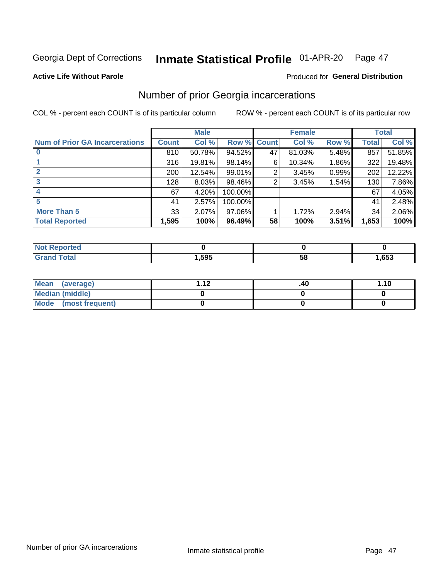#### Inmate Statistical Profile 01-APR-20 Page 47

**Produced for General Distribution** 

#### **Active Life Without Parole**

## Number of prior Georgia incarcerations

COL % - percent each COUNT is of its particular column

|                                       |              | <b>Male</b> |         |              | <b>Female</b> |       |              | <b>Total</b> |
|---------------------------------------|--------------|-------------|---------|--------------|---------------|-------|--------------|--------------|
| <b>Num of Prior GA Incarcerations</b> | <b>Count</b> | Col %       | Row %   | <b>Count</b> | Col %         | Row % | <b>Total</b> | Col %        |
|                                       | 810          | 50.78%      | 94.52%  | 47           | 81.03%        | 5.48% | 857          | 51.85%       |
|                                       | 316          | 19.81%      | 98.14%  | 6            | 10.34%        | 1.86% | 322          | 19.48%       |
|                                       | 200          | 12.54%      | 99.01%  | 2            | 3.45%         | 0.99% | 202          | 12.22%       |
|                                       | 128          | 8.03%       | 98.46%  | 2            | 3.45%         | 1.54% | 130          | 7.86%        |
|                                       | 67           | 4.20%       | 100.00% |              |               |       | 67           | 4.05%        |
|                                       | 41           | 2.57%       | 100.00% |              |               |       | 41           | 2.48%        |
| <b>More Than 5</b>                    | 33           | 2.07%       | 97.06%  |              | 1.72%         | 2.94% | 34           | 2.06%        |
| <b>Total Reported</b>                 | 1,595        | 100%        | 96.49%  | 58           | 100%          | 3.51% | 1,653        | 100%         |

| neo |      |    |      |
|-----|------|----|------|
|     | ,595 | ວະ | .653 |

| Mean (average)       | - 42 | .40 | 1.10 |
|----------------------|------|-----|------|
| Median (middle)      |      |     |      |
| Mode (most frequent) |      |     |      |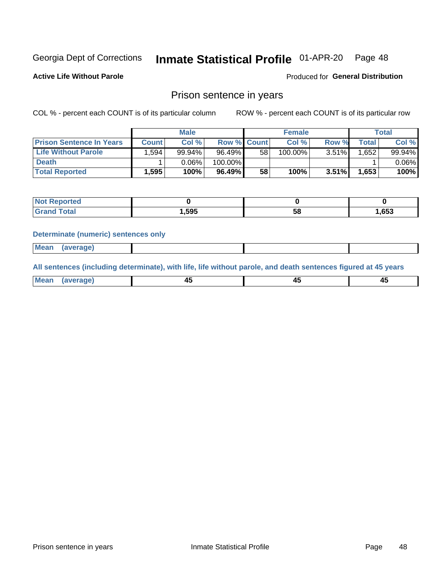#### Inmate Statistical Profile 01-APR-20 Page 48

**Active Life Without Parole** 

Produced for General Distribution

### Prison sentence in years

COL % - percent each COUNT is of its particular column

ROW % - percent each COUNT is of its particular row

|                                 | <b>Male</b>  |        |                    | <b>Female</b> |         |          | Total |          |
|---------------------------------|--------------|--------|--------------------|---------------|---------|----------|-------|----------|
| <b>Prison Sentence In Years</b> | <b>Count</b> | Col %  | <b>Row % Count</b> |               | Col %   | Row %    | Total | Col %    |
| <b>Life Without Parole</b>      | .594         | 99.94% | 96.49%             | 58            | 100.00% | 3.51%    | .652  | 99.94%   |
| <b>Death</b>                    |              | 0.06%  | 100.00%            |               |         |          |       | $0.06\%$ |
| <b>Total Reported</b>           | 1,595        | 100%   | $96.49\%$          | 58            | 100%    | $3.51\%$ | 1,653 | 100%     |

| rtea        |       |    |      |
|-------------|-------|----|------|
| <b>otal</b> | 1,595 | эс | ,653 |

#### **Determinate (numeric) sentences only**

| 1112211 | <b>Mean</b> | Ane <sup>*</sup> |  |  |
|---------|-------------|------------------|--|--|

All sentences (including determinate), with life, life without parole, and death sentences figured at 45 years

| l Mea<br>'апе<br>.<br> | ᠇<br>$\sim$ | $\sim$ |  |
|------------------------|-------------|--------|--|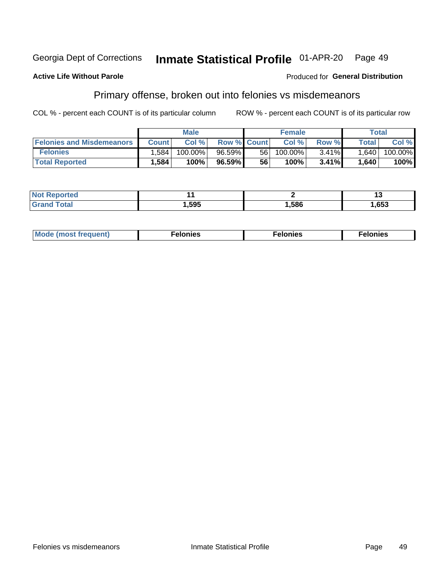#### Georgia Dept of Corrections Inmate Statistical Profile 01-APR-20 Page 49

#### **Active Life Without Parole**

#### Produced for General Distribution

## Primary offense, broken out into felonies vs misdemeanors

COL % - percent each COUNT is of its particular column

|                                  | <b>Male</b>  |         |                    | <b>Female</b> |         |          | Total              |         |
|----------------------------------|--------------|---------|--------------------|---------------|---------|----------|--------------------|---------|
| <b>Felonies and Misdemeanors</b> | <b>Count</b> | Col%    | <b>Row % Count</b> |               | Col%    | Row %    | Total <sub>1</sub> | Col %   |
| <b>Felonies</b>                  | .584         | 100.00% | 96.59%             | 56            | 100.00% | $3.41\%$ | 1,640              | 100.00% |
| <b>Total Reported</b>            | .584         | 100%    | 96.59%             | 56            | 100%    | $3.41\%$ | 1,640              | 100%    |

| <b>Not Reported</b>   |      |      |      |
|-----------------------|------|------|------|
| Total<br><b>Grand</b> | ,595 | ,586 | ,653 |

| $Mc$<br>equent)<br>нез<br>$\sim$<br>. | onies<br>. | <b>onies</b><br>. |
|---------------------------------------|------------|-------------------|
|---------------------------------------|------------|-------------------|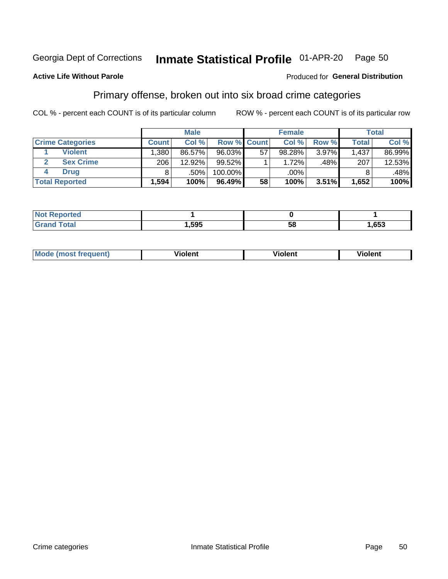#### Inmate Statistical Profile 01-APR-20 Page 50

### **Active Life Without Parole**

#### Produced for General Distribution

## Primary offense, broken out into six broad crime categories

COL % - percent each COUNT is of its particular column

|                         | <b>Male</b>       |        |                    |    | <b>Female</b> |       |              | Total  |  |
|-------------------------|-------------------|--------|--------------------|----|---------------|-------|--------------|--------|--|
| <b>Crime Categories</b> | <b>Count</b>      | Col %  | <b>Row % Count</b> |    | Col %         | Row % | <b>Total</b> | Col %  |  |
| <b>Violent</b>          | .380 <sub>1</sub> | 86.57% | 96.03%             | 57 | 98.28%        | 3.97% | 1,437        | 86.99% |  |
| <b>Sex Crime</b>        | 206               | 12.92% | $99.52\%$          |    | 1.72%         | .48%  | 207          | 12.53% |  |
| <b>Drug</b>             | 8                 | .50%   | 100.00%            |    | .00%          |       |              | .48%   |  |
| <b>Total Reported</b>   | 1,594             | 100%   | 96.49%             | 58 | 100%          | 3.51% | 1,652        | 100%   |  |

| .           |      |    |      |
|-------------|------|----|------|
| -<br>______ | .595 | 58 | .653 |

| Mo<br>auenti | --<br>iolent | <br>olent<br>ли | <br>วlent |
|--------------|--------------|-----------------|-----------|
|              |              |                 |           |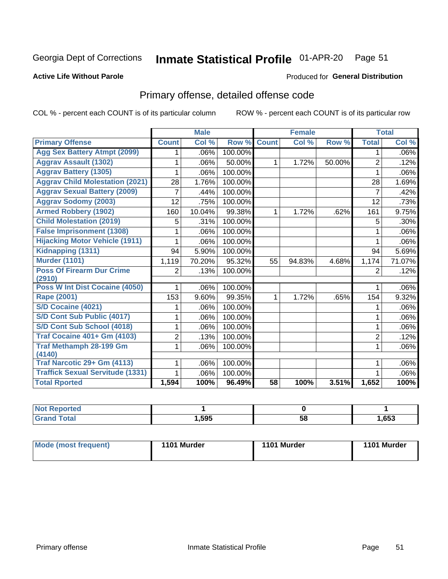#### Inmate Statistical Profile 01-APR-20 Page 51

### **Active Life Without Parole**

#### Produced for General Distribution

## Primary offense, detailed offense code

COL % - percent each COUNT is of its particular column

|                                            |                | <b>Male</b> |         |                 | <b>Female</b> |        |                | <b>Total</b> |
|--------------------------------------------|----------------|-------------|---------|-----------------|---------------|--------|----------------|--------------|
| <b>Primary Offense</b>                     | <b>Count</b>   | Col %       | Row %   | <b>Count</b>    | Col %         | Row %  | <b>Total</b>   | Col %        |
| <b>Agg Sex Battery Atmpt (2099)</b>        | 1              | .06%        | 100.00% |                 |               |        | 1              | .06%l        |
| <b>Aggrav Assault (1302)</b>               |                | .06%        | 50.00%  | 1.              | 1.72%         | 50.00% | $\overline{2}$ | .12%         |
| <b>Aggrav Battery (1305)</b>               |                | .06%        | 100.00% |                 |               |        | 1              | $.06\%$      |
| <b>Aggrav Child Molestation (2021)</b>     | 28             | 1.76%       | 100.00% |                 |               |        | 28             | 1.69%        |
| <b>Aggrav Sexual Battery (2009)</b>        | 7              | .44%        | 100.00% |                 |               |        | $\overline{7}$ | .42%         |
| <b>Aggrav Sodomy (2003)</b>                | 12             | .75%        | 100.00% |                 |               |        | 12             | .73%         |
| <b>Armed Robbery (1902)</b>                | 160            | 10.04%      | 99.38%  | $\mathbf 1$     | 1.72%         | .62%   | 161            | 9.75%        |
| <b>Child Molestation (2019)</b>            | 5              | .31%        | 100.00% |                 |               |        | 5              | $.30\%$      |
| <b>False Imprisonment (1308)</b>           | 1              | .06%        | 100.00% |                 |               |        | 1              | .06%         |
| <b>Hijacking Motor Vehicle (1911)</b>      | 1              | .06%        | 100.00% |                 |               |        | 1              | .06%         |
| Kidnapping (1311)                          | 94             | 5.90%       | 100.00% |                 |               |        | 94             | 5.69%        |
| <b>Murder (1101)</b>                       | 1,119          | 70.20%      | 95.32%  | 55              | 94.83%        | 4.68%  | 1,174          | 71.07%       |
| <b>Poss Of Firearm Dur Crime</b><br>(2910) | $\overline{2}$ | .13%        | 100.00% |                 |               |        | 2              | .12%         |
| Poss W Int Dist Cocaine (4050)             |                | .06%        | 100.00% |                 |               |        |                | .06%         |
| <b>Rape (2001)</b>                         | 153            | 9.60%       | 99.35%  | $\mathbf{1}$    | 1.72%         | .65%   | 154            | 9.32%        |
| S/D Cocaine (4021)                         | 1              | .06%        | 100.00% |                 |               |        | 1              | $.06\%$      |
| S/D Cont Sub Public (4017)                 |                | .06%        | 100.00% |                 |               |        | 1              | .06%         |
| S/D Cont Sub School (4018)                 | 1              | .06%        | 100.00% |                 |               |        | 1              | $.06\%$      |
| <b>Traf Cocaine 401+ Gm (4103)</b>         | $\overline{2}$ | .13%        | 100.00% |                 |               |        | $\overline{2}$ | .12%         |
| <b>Traf Methamph 28-199 Gm</b><br>(4140)   | 1              | .06%        | 100.00% |                 |               |        | 1              | $.06\%$      |
| Traf Narcotic 29+ Gm (4113)                |                | .06%        | 100.00% |                 |               |        |                | $.06\%$      |
| <b>Traffick Sexual Servitude (1331)</b>    | 1              | .06%        | 100.00% |                 |               |        |                | $.06\%$      |
| <b>Total Rported</b>                       | 1,594          | 100%        | 96.49%  | $\overline{58}$ | 100%          | 3.51%  | 1,652          | 100%         |

| : Reported<br><b>Not</b> |      |    |      |
|--------------------------|------|----|------|
| Total<br>Cros            | ,595 | 58 | ,653 |

| Mode (most frequent) | 1101 Murder | 1101 Murder | 1101 Murder |
|----------------------|-------------|-------------|-------------|
|----------------------|-------------|-------------|-------------|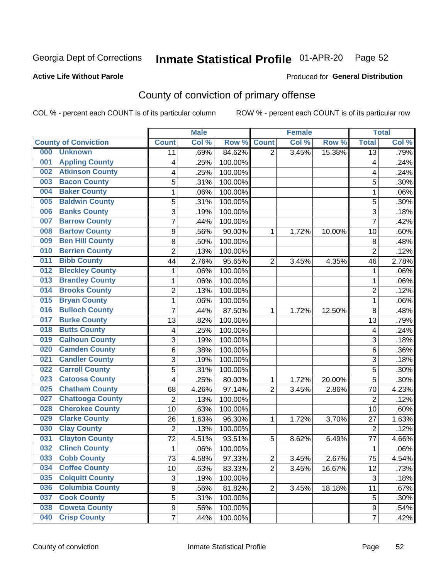## Inmate Statistical Profile 01-APR-20 Page 52

### **Active Life Without Parole**

#### Produced for General Distribution

## County of conviction of primary offense

COL % - percent each COUNT is of its particular column

|                              |                         |                | <b>Male</b> |         |                | <b>Female</b> |        |                | <b>Total</b> |
|------------------------------|-------------------------|----------------|-------------|---------|----------------|---------------|--------|----------------|--------------|
| <b>County of Conviction</b>  |                         | <b>Count</b>   | Col %       | Row %   | <b>Count</b>   | Col %         | Row %  | <b>Total</b>   | Col %        |
| 000<br><b>Unknown</b>        |                         | 11             | .69%        | 84.62%  | $\overline{2}$ | 3.45%         | 15.38% | 13             | .79%         |
| 001                          | <b>Appling County</b>   | 4              | .25%        | 100.00% |                |               |        | 4              | .24%         |
| 002                          | <b>Atkinson County</b>  | 4              | .25%        | 100.00% |                |               |        | 4              | .24%         |
| <b>Bacon County</b><br>003   |                         | 5              | .31%        | 100.00% |                |               |        | 5              | .30%         |
| <b>Baker County</b><br>004   |                         | $\mathbf{1}$   | .06%        | 100.00% |                |               |        | 1              | .06%         |
| 005                          | <b>Baldwin County</b>   | 5              | .31%        | 100.00% |                |               |        | 5              | .30%         |
| <b>Banks County</b><br>006   |                         | 3              | .19%        | 100.00% |                |               |        | $\overline{3}$ | .18%         |
| <b>Barrow County</b><br>007  |                         | $\overline{7}$ | .44%        | 100.00% |                |               |        | $\overline{7}$ | .42%         |
| <b>Bartow County</b><br>008  |                         | 9              | .56%        | 90.00%  | 1              | 1.72%         | 10.00% | 10             | .60%         |
| 009                          | <b>Ben Hill County</b>  | 8              | .50%        | 100.00% |                |               |        | 8              | .48%         |
| <b>Berrien County</b><br>010 |                         | $\overline{2}$ | .13%        | 100.00% |                |               |        | $\overline{2}$ | .12%         |
| <b>Bibb County</b><br>011    |                         | 44             | 2.76%       | 95.65%  | $\overline{2}$ | 3.45%         | 4.35%  | 46             | 2.78%        |
| 012                          | <b>Bleckley County</b>  | $\mathbf{1}$   | .06%        | 100.00% |                |               |        | $\mathbf{1}$   | .06%         |
| 013                          | <b>Brantley County</b>  | $\mathbf{1}$   | .06%        | 100.00% |                |               |        | $\mathbf{1}$   | .06%         |
| <b>Brooks County</b><br>014  |                         | $\overline{2}$ | .13%        | 100.00% |                |               |        | $\overline{2}$ | .12%         |
| <b>Bryan County</b><br>015   |                         | $\mathbf{1}$   | .06%        | 100.00% |                |               |        | $\mathbf{1}$   | .06%         |
| 016                          | <b>Bulloch County</b>   | 7              | .44%        | 87.50%  | 1              | 1.72%         | 12.50% | 8              | .48%         |
| <b>Burke County</b><br>017   |                         | 13             | .82%        | 100.00% |                |               |        | 13             | .79%         |
| <b>Butts County</b><br>018   |                         | 4              | .25%        | 100.00% |                |               |        | 4              | .24%         |
| 019                          | <b>Calhoun County</b>   | 3              | .19%        | 100.00% |                |               |        | $\overline{3}$ | .18%         |
| 020                          | <b>Camden County</b>    | 6              | .38%        | 100.00% |                |               |        | 6              | .36%         |
| 021                          | <b>Candler County</b>   | 3              | .19%        | 100.00% |                |               |        | 3              | .18%         |
| <b>Carroll County</b><br>022 |                         | 5              | .31%        | 100.00% |                |               |        | 5              | .30%         |
| 023                          | <b>Catoosa County</b>   | 4              | .25%        | 80.00%  | 1              | 1.72%         | 20.00% | 5              | .30%         |
| 025                          | <b>Chatham County</b>   | 68             | 4.26%       | 97.14%  | $\overline{2}$ | 3.45%         | 2.86%  | 70             | 4.23%        |
| 027                          | <b>Chattooga County</b> | $\overline{2}$ | .13%        | 100.00% |                |               |        | $\overline{2}$ | .12%         |
| 028                          | <b>Cherokee County</b>  | 10             | .63%        | 100.00% |                |               |        | 10             | .60%         |
| <b>Clarke County</b><br>029  |                         | 26             | 1.63%       | 96.30%  | 1              | 1.72%         | 3.70%  | 27             | 1.63%        |
| <b>Clay County</b><br>030    |                         | $\overline{2}$ | .13%        | 100.00% |                |               |        | $\overline{2}$ | .12%         |
| <b>Clayton County</b><br>031 |                         | 72             | 4.51%       | 93.51%  | 5              | 8.62%         | 6.49%  | 77             | 4.66%        |
| <b>Clinch County</b><br>032  |                         | $\mathbf{1}$   | .06%        | 100.00% |                |               |        | 1              | .06%         |
| 033<br><b>Cobb County</b>    |                         | 73             | 4.58%       | 97.33%  | 2              | 3.45%         | 2.67%  | 75             | 4.54%        |
| <b>Coffee County</b><br>034  |                         | 10             | .63%        | 83.33%  | $\overline{2}$ | 3.45%         | 16.67% | 12             | .73%         |
| 035                          | <b>Colquitt County</b>  | 3              | .19%        | 100.00% |                |               |        | 3              | .18%         |
| 036                          | <b>Columbia County</b>  | 9              | .56%        | 81.82%  | $\overline{2}$ | 3.45%         | 18.18% | 11             | .67%         |
| <b>Cook County</b><br>037    |                         | 5              | .31%        | 100.00% |                |               |        | 5              | .30%         |
| <b>Coweta County</b><br>038  |                         | 9              | .56%        | 100.00% |                |               |        | 9              | .54%         |
| <b>Crisp County</b><br>040   |                         | $\overline{7}$ | .44%        | 100.00% |                |               |        | $\overline{7}$ | .42%         |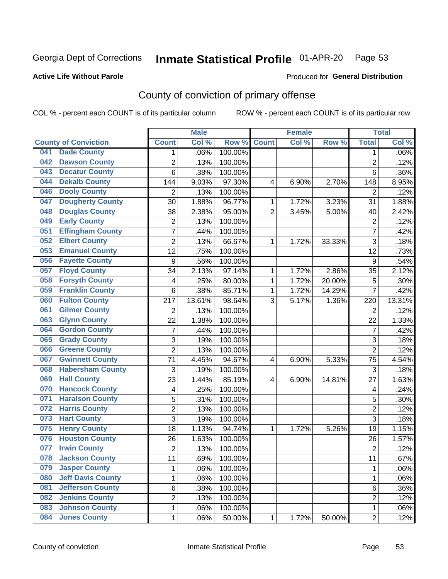## Inmate Statistical Profile 01-APR-20 Page 53

### **Active Life Without Parole**

### **Produced for General Distribution**

## County of conviction of primary offense

COL % - percent each COUNT is of its particular column

|     |                             |                  | <b>Male</b> |         |                | <b>Female</b> |           |                | <b>Total</b> |
|-----|-----------------------------|------------------|-------------|---------|----------------|---------------|-----------|----------------|--------------|
|     | <b>County of Conviction</b> | <b>Count</b>     | Col %       | Row %   | <b>Count</b>   | Col %         | Row %     | <b>Total</b>   | Col %        |
| 041 | <b>Dade County</b>          | 1                | .06%        | 100.00% |                |               |           | 1              | .06%         |
| 042 | <b>Dawson County</b>        | $\overline{2}$   | .13%        | 100.00% |                |               |           | $\overline{2}$ | .12%         |
| 043 | <b>Decatur County</b>       | 6                | .38%        | 100.00% |                |               |           | 6              | .36%         |
| 044 | <b>Dekalb County</b>        | 144              | 9.03%       | 97.30%  | 4              | 6.90%         | 2.70%     | 148            | 8.95%        |
| 046 | <b>Dooly County</b>         | $\overline{2}$   | .13%        | 100.00% |                |               |           | $\overline{2}$ | .12%         |
| 047 | <b>Dougherty County</b>     | 30               | 1.88%       | 96.77%  | 1              | 1.72%         | 3.23%     | 31             | 1.88%        |
| 048 | <b>Douglas County</b>       | 38               | 2.38%       | 95.00%  | $\overline{2}$ | 3.45%         | 5.00%     | 40             | 2.42%        |
| 049 | <b>Early County</b>         | $\mathbf 2$      | .13%        | 100.00% |                |               |           | $\overline{2}$ | .12%         |
| 051 | <b>Effingham County</b>     | 7                | .44%        | 100.00% |                |               |           | $\overline{7}$ | .42%         |
| 052 | <b>Elbert County</b>        | $\overline{2}$   | .13%        | 66.67%  | 1              | 1.72%         | 33.33%    | 3              | .18%         |
| 053 | <b>Emanuel County</b>       | 12               | .75%        | 100.00% |                |               |           | 12             | .73%         |
| 056 | <b>Fayette County</b>       | $\boldsymbol{9}$ | .56%        | 100.00% |                |               |           | 9              | .54%         |
| 057 | <b>Floyd County</b>         | 34               | 2.13%       | 97.14%  | $\mathbf{1}$   | 1.72%         | 2.86%     | 35             | 2.12%        |
| 058 | <b>Forsyth County</b>       | 4                | .25%        | 80.00%  | 1              | 1.72%         | 20.00%    | 5              | .30%         |
| 059 | <b>Franklin County</b>      | 6                | .38%        | 85.71%  | 1              | 1.72%         | 14.29%    | $\overline{7}$ | .42%         |
| 060 | <b>Fulton County</b>        | 217              | 13.61%      | 98.64%  | 3              | 5.17%         | 1.36%     | 220            | 13.31%       |
| 061 | <b>Gilmer County</b>        | $\overline{2}$   | .13%        | 100.00% |                |               |           | $\overline{2}$ | .12%         |
| 063 | <b>Glynn County</b>         | 22               | 1.38%       | 100.00% |                |               |           | 22             | 1.33%        |
| 064 | <b>Gordon County</b>        | 7                | .44%        | 100.00% |                |               |           | $\overline{7}$ | .42%         |
| 065 | <b>Grady County</b>         | 3                | .19%        | 100.00% |                |               |           | 3              | .18%         |
| 066 | <b>Greene County</b>        | $\overline{2}$   | .13%        | 100.00% |                |               |           | $\overline{2}$ | .12%         |
| 067 | <b>Gwinnett County</b>      | 71               | 4.45%       | 94.67%  | 4              | 6.90%         | 5.33%     | 75             | 4.54%        |
| 068 | <b>Habersham County</b>     | 3                | .19%        | 100.00% |                |               |           | 3              | .18%         |
| 069 | <b>Hall County</b>          | 23               | 1.44%       | 85.19%  | 4              | 6.90%         | 14.81%    | 27             | 1.63%        |
| 070 | <b>Hancock County</b>       | 4                | .25%        | 100.00% |                |               |           | 4              | .24%         |
| 071 | <b>Haralson County</b>      | 5                | .31%        | 100.00% |                |               |           | 5              | .30%         |
| 072 | <b>Harris County</b>        | $\overline{2}$   | .13%        | 100.00% |                |               |           | $\overline{2}$ | .12%         |
| 073 | <b>Hart County</b>          | 3                | .19%        | 100.00% |                |               |           | $\overline{3}$ | .18%         |
| 075 | <b>Henry County</b>         | 18               | 1.13%       | 94.74%  | $\mathbf{1}$   | 1.72%         | 5.26%     | 19             | 1.15%        |
| 076 | <b>Houston County</b>       | 26               | 1.63%       | 100.00% |                |               |           | 26             | 1.57%        |
| 077 | <b>Irwin County</b>         | $\overline{2}$   | .13%        | 100.00% |                |               |           | $\overline{2}$ | .12%         |
| 078 | <b>Jackson County</b>       | 11               | .69%        | 100.00% |                |               |           | 11             | $.67\%$      |
| 079 | <b>Jasper County</b>        | $\mathbf{1}$     | .06%        | 100.00% |                |               |           | $\mathbf{1}$   | .06%         |
| 080 | <b>Jeff Davis County</b>    | 1                | .06%        | 100.00% |                |               |           | $\mathbf{1}$   | .06%         |
| 081 | <b>Jefferson County</b>     | 6                | .38%        | 100.00% |                |               |           | 6              | .36%         |
| 082 | <b>Jenkins County</b>       | $\overline{2}$   | .13%        | 100.00% |                |               |           | $\overline{2}$ | .12%         |
| 083 | <b>Johnson County</b>       | $\mathbf 1$      | .06%        | 100.00% |                |               |           | $\mathbf 1$    | .06%         |
| 084 | <b>Jones County</b>         | $\mathbf 1$      | .06%        | 50.00%  | 1              | 1.72%         | $50.00\%$ | $\overline{2}$ | .12%         |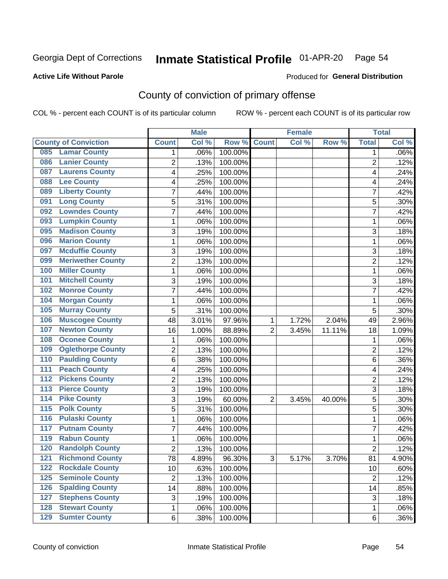## Inmate Statistical Profile 01-APR-20 Page 54

**Active Life Without Parole** 

Produced for General Distribution

## County of conviction of primary offense

COL % - percent each COUNT is of its particular column

|                                        |                | <b>Male</b> |         |                | <b>Female</b> |          |                | <b>Total</b> |
|----------------------------------------|----------------|-------------|---------|----------------|---------------|----------|----------------|--------------|
| <b>County of Conviction</b>            | <b>Count</b>   | Col %       | Row %   | <b>Count</b>   | Col %         | Row %    | <b>Total</b>   | Col %        |
| <b>Lamar County</b><br>085             | 1              | .06%        | 100.00% |                |               |          | 1              | $.06\%$      |
| <b>Lanier County</b><br>086            | $\overline{2}$ | .13%        | 100.00% |                |               |          | $\overline{2}$ | .12%         |
| <b>Laurens County</b><br>087           | 4              | .25%        | 100.00% |                |               |          | 4              | .24%         |
| <b>Lee County</b><br>088               | 4              | .25%        | 100.00% |                |               |          | 4              | .24%         |
| <b>Liberty County</b><br>089           | 7              | .44%        | 100.00% |                |               |          | 7              | .42%         |
| <b>Long County</b><br>091              | 5              | .31%        | 100.00% |                |               |          | 5              | .30%         |
| <b>Lowndes County</b><br>092           | 7              | .44%        | 100.00% |                |               |          | 7              | .42%         |
| <b>Lumpkin County</b><br>093           | 1              | .06%        | 100.00% |                |               |          | 1              | .06%         |
| <b>Madison County</b><br>095           | 3              | .19%        | 100.00% |                |               |          | 3              | .18%         |
| <b>Marion County</b><br>096            | 1              | .06%        | 100.00% |                |               |          | $\mathbf{1}$   | .06%         |
| <b>Mcduffie County</b><br>097          | 3              | .19%        | 100.00% |                |               |          | 3              | .18%         |
| <b>Meriwether County</b><br>099        | $\overline{2}$ | .13%        | 100.00% |                |               |          | $\overline{2}$ | .12%         |
| <b>Miller County</b><br>100            | 1              | .06%        | 100.00% |                |               |          | $\mathbf{1}$   | .06%         |
| <b>Mitchell County</b><br>101          | 3              | .19%        | 100.00% |                |               |          | 3              | .18%         |
| <b>Monroe County</b><br>102            | 7              | .44%        | 100.00% |                |               |          | $\overline{7}$ | .42%         |
| <b>Morgan County</b><br>104            | 1              | .06%        | 100.00% |                |               |          | $\mathbf{1}$   | .06%         |
| <b>Murray County</b><br>105            | 5              | .31%        | 100.00% |                |               |          | 5              | .30%         |
| <b>Muscogee County</b><br>106          | 48             | 3.01%       | 97.96%  | 1              | 1.72%         | 2.04%    | 49             | 2.96%        |
| <b>Newton County</b><br>107            | 16             | 1.00%       | 88.89%  | $\overline{2}$ | 3.45%         | 11.11%   | 18             | 1.09%        |
| <b>Oconee County</b><br>108            | 1              | .06%        | 100.00% |                |               |          | 1              | .06%         |
| <b>Oglethorpe County</b><br>109        | 2              | .13%        | 100.00% |                |               |          | $\overline{2}$ | .12%         |
| <b>Paulding County</b><br>110          | 6              | .38%        | 100.00% |                |               |          | 6              | .36%         |
| <b>Peach County</b><br>111             | 4              | .25%        | 100.00% |                |               |          | 4              | .24%         |
| <b>Pickens County</b><br>112           | $\overline{2}$ | .13%        | 100.00% |                |               |          | $\overline{2}$ | .12%         |
| <b>Pierce County</b><br>113            | 3              | .19%        | 100.00% |                |               |          | 3              | .18%         |
| <b>Pike County</b><br>$\overline{114}$ | 3              | .19%        | 60.00%  | $\overline{2}$ | 3.45%         | 40.00%   | 5              | .30%         |
| <b>Polk County</b><br>115              | 5              | .31%        | 100.00% |                |               |          | 5              | .30%         |
| <b>Pulaski County</b><br>116           | 1              | .06%        | 100.00% |                |               |          | 1              | .06%         |
| <b>Putnam County</b><br>117            | 7              | .44%        | 100.00% |                |               |          | 7              | .42%         |
| <b>Rabun County</b><br>119             | 1              | .06%        | 100.00% |                |               |          | $\mathbf{1}$   | .06%         |
| <b>Randolph County</b><br>120          | $\overline{2}$ | .13%        | 100.00% |                |               |          | $\overline{2}$ | .12%         |
| <b>Richmond County</b><br>121          | 78             | 4.89%       | 96.30%  | 3              | 5.17%         | $3.70\%$ | 81             | 4.90%        |
| <b>Rockdale County</b><br>122          | 10             | .63%        | 100.00% |                |               |          | 10             | .60%         |
| <b>Seminole County</b><br>$125$        | $\overline{2}$ | .13%        | 100.00% |                |               |          | $\overline{2}$ | .12%         |
| <b>Spalding County</b><br>126          | 14             | .88%        | 100.00% |                |               |          | 14             | .85%         |
| <b>Stephens County</b><br>127          | 3              | .19%        | 100.00% |                |               |          | 3              | .18%         |
| <b>Stewart County</b><br>128           | 1              | .06%        | 100.00% |                |               |          | 1              | .06%         |
| <b>Sumter County</b><br>129            | 6              | .38%        | 100.00% |                |               |          | 6              | .36%         |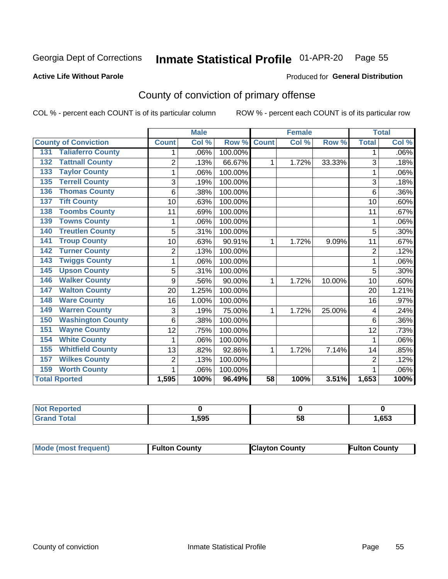## Inmate Statistical Profile 01-APR-20 Page 55

Produced for General Distribution

#### **Active Life Without Parole**

## County of conviction of primary offense

COL % - percent each COUNT is of its particular column

|                                 |                | <b>Male</b> |         |                 | <b>Female</b> |        |                | <b>Total</b> |
|---------------------------------|----------------|-------------|---------|-----------------|---------------|--------|----------------|--------------|
| <b>County of Conviction</b>     | <b>Count</b>   | Col %       | Row %   | <b>Count</b>    | Col %         | Row %  | <b>Total</b>   | Col %        |
| <b>Taliaferro County</b><br>131 |                | .06%        | 100.00% |                 |               |        | 1              | .06%         |
| <b>Tattnall County</b><br>132   | $\overline{2}$ | .13%        | 66.67%  | 1               | 1.72%         | 33.33% | 3              | .18%         |
| <b>Taylor County</b><br>133     | 1              | .06%        | 100.00% |                 |               |        |                | .06%         |
| <b>Terrell County</b><br>135    | 3              | .19%        | 100.00% |                 |               |        | 3              | .18%         |
| <b>Thomas County</b><br>136     | 6              | .38%        | 100.00% |                 |               |        | 6              | .36%         |
| <b>Tift County</b><br>137       | 10             | .63%        | 100.00% |                 |               |        | 10             | .60%         |
| <b>Toombs County</b><br>138     | 11             | .69%        | 100.00% |                 |               |        | 11             | .67%         |
| <b>Towns County</b><br>139      | 1              | .06%        | 100.00% |                 |               |        | 1              | .06%         |
| <b>Treutlen County</b><br>140   | 5              | .31%        | 100.00% |                 |               |        | 5              | $.30\%$      |
| <b>Troup County</b><br>141      | 10             | .63%        | 90.91%  | 1               | 1.72%         | 9.09%  | 11             | .67%         |
| <b>Turner County</b><br>142     | $\overline{2}$ | .13%        | 100.00% |                 |               |        | $\overline{2}$ | .12%         |
| <b>Twiggs County</b><br>143     | 1              | .06%        | 100.00% |                 |               |        | 1              | .06%         |
| <b>Upson County</b><br>145      | 5              | .31%        | 100.00% |                 |               |        | 5              | .30%         |
| <b>Walker County</b><br>146     | 9              | .56%        | 90.00%  | 1               | 1.72%         | 10.00% | 10             | .60%         |
| <b>Walton County</b><br>147     | 20             | 1.25%       | 100.00% |                 |               |        | 20             | 1.21%        |
| <b>Ware County</b><br>148       | 16             | 1.00%       | 100.00% |                 |               |        | 16             | .97%         |
| <b>Warren County</b><br>149     | 3              | .19%        | 75.00%  | 1               | 1.72%         | 25.00% | 4              | .24%         |
| <b>Washington County</b><br>150 | 6              | .38%        | 100.00% |                 |               |        | 6              | $.36\%$      |
| <b>Wayne County</b><br>151      | 12             | .75%        | 100.00% |                 |               |        | 12             | .73%         |
| <b>White County</b><br>154      | 1              | .06%        | 100.00% |                 |               |        | 1              | .06%         |
| <b>Whitfield County</b><br>155  | 13             | .82%        | 92.86%  | 1               | 1.72%         | 7.14%  | 14             | .85%         |
| <b>Wilkes County</b><br>157     | $\overline{2}$ | .13%        | 100.00% |                 |               |        | $\overline{2}$ | .12%         |
| <b>Worth County</b><br>159      | 1              | .06%        | 100.00% |                 |               |        |                | .06%         |
| <b>Total Rported</b>            | 1,595          | 100%        | 96.49%  | $\overline{58}$ | 100%          | 3.51%  | 1,653          | 100%         |

| rtea        |      |    |      |
|-------------|------|----|------|
| $6 - 6 - 7$ | ,595 | 58 | ,653 |

| <b>Mode (most frequent)</b> | <b>Fulton County</b> | <b>Clayton County</b> | <b>Fulton County</b> |
|-----------------------------|----------------------|-----------------------|----------------------|
|-----------------------------|----------------------|-----------------------|----------------------|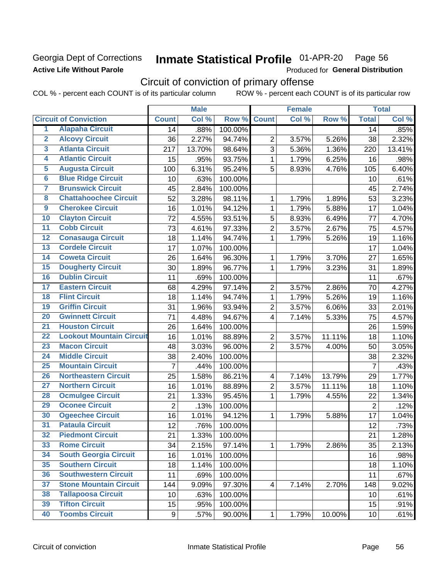### Georgia Dept of Corrections **Active Life Without Parole**

#### Inmate Statistical Profile 01-APR-20 Page 56

Produced for General Distribution

## Circuit of conviction of primary offense

COL % - percent each COUNT is of its particular column ROW % - percent each COUNT is of its particular row

|                         |                                 |                 | <b>Male</b> |         |                | <b>Female</b> |        |                 | <b>Total</b> |
|-------------------------|---------------------------------|-----------------|-------------|---------|----------------|---------------|--------|-----------------|--------------|
|                         | <b>Circuit of Conviction</b>    | <b>Count</b>    | Col %       | Row %   | <b>Count</b>   | Col %         | Row %  | <b>Total</b>    | Col%         |
| 1                       | <b>Alapaha Circuit</b>          | 14              | .88%        | 100.00% |                |               |        | 14              | .85%         |
| $\overline{2}$          | <b>Alcovy Circuit</b>           | 36              | 2.27%       | 94.74%  | $\overline{2}$ | 3.57%         | 5.26%  | 38              | 2.32%        |
| $\overline{\mathbf{3}}$ | <b>Atlanta Circuit</b>          | 217             | 13.70%      | 98.64%  | $\overline{3}$ | 5.36%         | 1.36%  | 220             | 13.41%       |
| 4                       | <b>Atlantic Circuit</b>         | 15              | .95%        | 93.75%  | 1              | 1.79%         | 6.25%  | 16              | .98%         |
| 5                       | <b>Augusta Circuit</b>          | 100             | 6.31%       | 95.24%  | 5              | 8.93%         | 4.76%  | 105             | 6.40%        |
| $\overline{6}$          | <b>Blue Ridge Circuit</b>       | 10              | .63%        | 100.00% |                |               |        | 10              | .61%         |
| 7                       | <b>Brunswick Circuit</b>        | 45              | 2.84%       | 100.00% |                |               |        | 45              | 2.74%        |
| 8                       | <b>Chattahoochee Circuit</b>    | 52              | 3.28%       | 98.11%  | 1              | 1.79%         | 1.89%  | 53              | 3.23%        |
| $\overline{9}$          | <b>Cherokee Circuit</b>         | 16              | 1.01%       | 94.12%  | $\mathbf{1}$   | 1.79%         | 5.88%  | 17              | 1.04%        |
| 10                      | <b>Clayton Circuit</b>          | 72              | 4.55%       | 93.51%  | 5              | 8.93%         | 6.49%  | 77              | 4.70%        |
| $\overline{11}$         | <b>Cobb Circuit</b>             | 73              | 4.61%       | 97.33%  | $\overline{2}$ | 3.57%         | 2.67%  | 75              | 4.57%        |
| $\overline{12}$         | <b>Conasauga Circuit</b>        | 18              | 1.14%       | 94.74%  | 1              | 1.79%         | 5.26%  | 19              | 1.16%        |
| $\overline{13}$         | <b>Cordele Circuit</b>          | 17              | 1.07%       | 100.00% |                |               |        | 17              | 1.04%        |
| $\overline{14}$         | <b>Coweta Circuit</b>           | 26              | 1.64%       | 96.30%  | 1              | 1.79%         | 3.70%  | 27              | 1.65%        |
| $\overline{15}$         | <b>Dougherty Circuit</b>        | 30              | 1.89%       | 96.77%  | $\mathbf{1}$   | 1.79%         | 3.23%  | 31              | 1.89%        |
| 16                      | <b>Dublin Circuit</b>           | 11              | .69%        | 100.00% |                |               |        | 11              | .67%         |
| $\overline{17}$         | <b>Eastern Circuit</b>          | 68              | 4.29%       | 97.14%  | $\overline{2}$ | 3.57%         | 2.86%  | 70              | 4.27%        |
| 18                      | <b>Flint Circuit</b>            | 18              | 1.14%       | 94.74%  | $\mathbf{1}$   | 1.79%         | 5.26%  | 19              | 1.16%        |
| 19                      | <b>Griffin Circuit</b>          | 31              | 1.96%       | 93.94%  | $\overline{2}$ | 3.57%         | 6.06%  | 33              | 2.01%        |
| $\overline{20}$         | <b>Gwinnett Circuit</b>         | 71              | 4.48%       | 94.67%  | 4              | 7.14%         | 5.33%  | 75              | 4.57%        |
| $\overline{21}$         | <b>Houston Circuit</b>          | 26              | 1.64%       | 100.00% |                |               |        | 26              | 1.59%        |
| $\overline{22}$         | <b>Lookout Mountain Circuit</b> | 16              | 1.01%       | 88.89%  | $\overline{2}$ | 3.57%         | 11.11% | 18              | 1.10%        |
| 23                      | <b>Macon Circuit</b>            | 48              | 3.03%       | 96.00%  | $\overline{2}$ | 3.57%         | 4.00%  | 50              | 3.05%        |
| $\overline{24}$         | <b>Middle Circuit</b>           | 38              | 2.40%       | 100.00% |                |               |        | 38              | 2.32%        |
| $\overline{25}$         | <b>Mountain Circuit</b>         | $\overline{7}$  | .44%        | 100.00% |                |               |        | $\overline{7}$  | .43%         |
| 26                      | <b>Northeastern Circuit</b>     | $\overline{25}$ | 1.58%       | 86.21%  | 4              | 7.14%         | 13.79% | 29              | 1.77%        |
| $\overline{27}$         | <b>Northern Circuit</b>         | 16              | 1.01%       | 88.89%  | $\overline{2}$ | 3.57%         | 11.11% | 18              | 1.10%        |
| 28                      | <b>Ocmulgee Circuit</b>         | 21              | 1.33%       | 95.45%  | 1              | 1.79%         | 4.55%  | 22              | 1.34%        |
| 29                      | <b>Oconee Circuit</b>           | $\overline{2}$  | .13%        | 100.00% |                |               |        | $\overline{2}$  | .12%         |
| 30                      | <b>Ogeechee Circuit</b>         | 16              | 1.01%       | 94.12%  | 1              | 1.79%         | 5.88%  | 17              | 1.04%        |
| $\overline{31}$         | <b>Pataula Circuit</b>          | 12              | .76%        | 100.00% |                |               |        | 12              | .73%         |
| 32                      | <b>Piedmont Circuit</b>         | 21              | 1.33%       | 100.00% |                |               |        | 21              | 1.28%        |
| 33                      | <b>Rome Circuit</b>             | 34              | 2.15%       | 97.14%  | $\mathbf{1}$   | 1.79%         | 2.86%  | 35              | 2.13%        |
| 34                      | <b>South Georgia Circuit</b>    | 16              | 1.01%       | 100.00% |                |               |        | 16              | .98%         |
| 35                      | <b>Southern Circuit</b>         | 18              | 1.14%       | 100.00% |                |               |        | 18              | 1.10%        |
| 36                      | <b>Southwestern Circuit</b>     | 11              | .69%        | 100.00% |                |               |        | 11              | .67%         |
| 37                      | <b>Stone Mountain Circuit</b>   | 144             | 9.09%       | 97.30%  | 4              | 7.14%         | 2.70%  | 148             | 9.02%        |
| 38                      | <b>Tallapoosa Circuit</b>       | 10              | .63%        | 100.00% |                |               |        | 10              | .61%         |
| 39                      | <b>Tifton Circuit</b>           | 15              | .95%        | 100.00% |                |               |        | 15              | .91%         |
| 40                      | <b>Toombs Circuit</b>           | 9               | .57%        | 90.00%  | $\mathbf{1}$   | 1.79%         | 10.00% | 10 <sub>1</sub> | .61%         |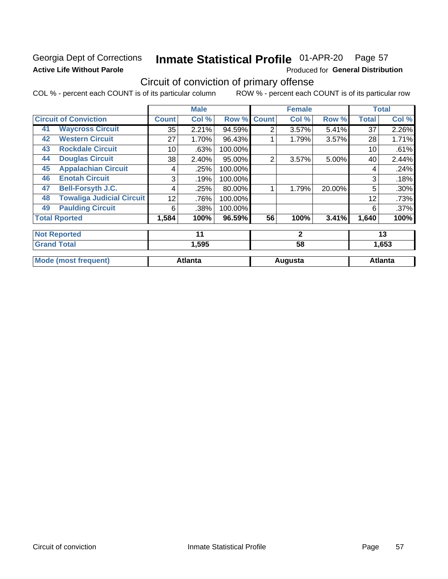## Georgia Dept of Corrections **Active Life Without Parole**

#### Inmate Statistical Profile 01-APR-20 Page 57

Produced for General Distribution

## Circuit of conviction of primary offense

COL % - percent each COUNT is of its particular column ROW % - percent each COUNT is of its particular row

|    |                                  |              | <b>Male</b>    |         |                | <b>Female</b> |        |              | <b>Total</b>   |
|----|----------------------------------|--------------|----------------|---------|----------------|---------------|--------|--------------|----------------|
|    | <b>Circuit of Conviction</b>     | <b>Count</b> | Col %          | Row %   | <b>Count</b>   | Col %         | Row %  | <b>Total</b> | Col %          |
| 41 | <b>Waycross Circuit</b>          | 35           | 2.21%          | 94.59%  | 2              | 3.57%         | 5.41%  | 37           | 2.26%          |
| 42 | <b>Western Circuit</b>           | 27           | 1.70%          | 96.43%  |                | 1.79%         | 3.57%  | 28           | 1.71%          |
| 43 | <b>Rockdale Circuit</b>          | 10           | .63%           | 100.00% |                |               |        | 10           | .61%           |
| 44 | <b>Douglas Circuit</b>           | 38           | 2.40%          | 95.00%  | $\overline{2}$ | 3.57%         | 5.00%  | 40           | 2.44%          |
| 45 | <b>Appalachian Circuit</b>       | 4            | .25%           | 100.00% |                |               |        | 4            | .24%           |
| 46 | <b>Enotah Circuit</b>            | 3            | .19%           | 100.00% |                |               |        | 3            | .18%           |
| 47 | <b>Bell-Forsyth J.C.</b>         | 4            | .25%           | 80.00%  |                | 1.79%         | 20.00% | 5            | .30%           |
| 48 | <b>Towaliga Judicial Circuit</b> | 12           | .76%           | 100.00% |                |               |        | 12           | .73%           |
| 49 | <b>Paulding Circuit</b>          | 6            | .38%           | 100.00% |                |               |        | 6            | .37%           |
|    | <b>Total Rported</b>             | 1,584        | 100%           | 96.59%  | 56             | 100%          | 3.41%  | 1,640        | 100%           |
|    | <b>Not Reported</b>              |              | 11             |         |                | $\mathbf{2}$  |        |              | 13             |
|    | <b>Grand Total</b>               |              | 1,595          |         |                | 58            |        |              | 1,653          |
|    | <b>Mode (most frequent)</b>      |              | <b>Atlanta</b> |         |                | Augusta       |        |              | <b>Atlanta</b> |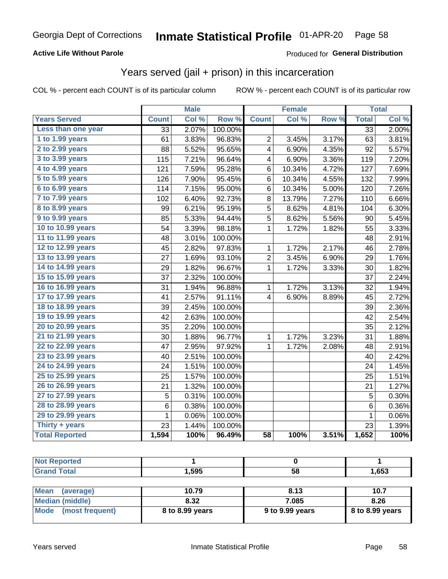### **Active Life Without Parole**

### **Produced for General Distribution**

## Years served (jail + prison) in this incarceration

COL % - percent each COUNT is of its particular column

|                       |                 | <b>Male</b> |         |                 | <b>Female</b> |       |                 | <b>Total</b> |
|-----------------------|-----------------|-------------|---------|-----------------|---------------|-------|-----------------|--------------|
| <b>Years Served</b>   | <b>Count</b>    | Col %       | Row %   | <b>Count</b>    | Col %         | Row % | <b>Total</b>    | Col %        |
| Less than one year    | $\overline{33}$ | 2.07%       | 100.00% |                 |               |       | $\overline{33}$ | 2.00%        |
| 1 to 1.99 years       | 61              | 3.83%       | 96.83%  | 2               | 3.45%         | 3.17% | 63              | 3.81%        |
| 2 to 2.99 years       | 88              | 5.52%       | 95.65%  | 4               | 6.90%         | 4.35% | 92              | 5.57%        |
| 3 to 3.99 years       | 115             | 7.21%       | 96.64%  | 4               | 6.90%         | 3.36% | 119             | 7.20%        |
| 4 to 4.99 years       | 121             | 7.59%       | 95.28%  | 6               | 10.34%        | 4.72% | 127             | 7.69%        |
| 5 to 5.99 years       | 126             | 7.90%       | 95.45%  | 6               | 10.34%        | 4.55% | 132             | 7.99%        |
| 6 to 6.99 years       | 114             | 7.15%       | 95.00%  | 6               | 10.34%        | 5.00% | 120             | 7.26%        |
| 7 to 7.99 years       | 102             | 6.40%       | 92.73%  | 8               | 13.79%        | 7.27% | 110             | 6.66%        |
| 8 to 8.99 years       | 99              | 6.21%       | 95.19%  | 5               | 8.62%         | 4.81% | 104             | 6.30%        |
| 9 to 9.99 years       | 85              | 5.33%       | 94.44%  | 5               | 8.62%         | 5.56% | 90              | 5.45%        |
| 10 to 10.99 years     | 54              | 3.39%       | 98.18%  | 1               | 1.72%         | 1.82% | 55              | 3.33%        |
| 11 to 11.99 years     | 48              | 3.01%       | 100.00% |                 |               |       | 48              | 2.91%        |
| 12 to 12.99 years     | 45              | 2.82%       | 97.83%  | 1               | 1.72%         | 2.17% | 46              | 2.78%        |
| 13 to 13.99 years     | 27              | 1.69%       | 93.10%  | 2               | 3.45%         | 6.90% | 29              | 1.76%        |
| 14 to 14.99 years     | 29              | 1.82%       | 96.67%  | 1               | 1.72%         | 3.33% | 30              | 1.82%        |
| 15 to 15.99 years     | 37              | 2.32%       | 100.00% |                 |               |       | 37              | 2.24%        |
| 16 to 16.99 years     | 31              | 1.94%       | 96.88%  | 1               | 1.72%         | 3.13% | 32              | 1.94%        |
| 17 to 17.99 years     | 41              | 2.57%       | 91.11%  | 4               | 6.90%         | 8.89% | 45              | 2.72%        |
| 18 to 18.99 years     | 39              | 2.45%       | 100.00% |                 |               |       | 39              | 2.36%        |
| 19 to 19.99 years     | 42              | 2.63%       | 100.00% |                 |               |       | 42              | 2.54%        |
| 20 to 20.99 years     | 35              | 2.20%       | 100.00% |                 |               |       | 35              | 2.12%        |
| 21 to 21.99 years     | 30              | 1.88%       | 96.77%  | 1               | 1.72%         | 3.23% | 31              | 1.88%        |
| 22 to 22.99 years     | 47              | 2.95%       | 97.92%  | 1               | 1.72%         | 2.08% | 48              | 2.91%        |
| 23 to 23.99 years     | 40              | 2.51%       | 100.00% |                 |               |       | 40              | 2.42%        |
| 24 to 24.99 years     | 24              | 1.51%       | 100.00% |                 |               |       | 24              | 1.45%        |
| 25 to 25.99 years     | 25              | 1.57%       | 100.00% |                 |               |       | 25              | 1.51%        |
| 26 to 26.99 years     | 21              | 1.32%       | 100.00% |                 |               |       | 21              | 1.27%        |
| 27 to 27.99 years     | 5               | 0.31%       | 100.00% |                 |               |       | 5               | 0.30%        |
| 28 to 28.99 years     | 6               | 0.38%       | 100.00% |                 |               |       | 6               | 0.36%        |
| 29 to 29.99 years     | 1               | 0.06%       | 100.00% |                 |               |       | 1               | 0.06%        |
| Thirty + years        | 23              | 1.44%       | 100.00% |                 |               |       | 23              | 1.39%        |
| <b>Total Reported</b> | 1,594           | 100%        | 96.49%  | $\overline{58}$ | 100%          | 3.51% | 1,652           | 100%         |

| <b>Not Reported</b>      |       |      |       |  |
|--------------------------|-------|------|-------|--|
| <b>Grand Total</b>       | 1,595 | 58   | 1,653 |  |
|                          |       |      |       |  |
| <b>Mean</b><br>(average) | 10.79 | 8.13 | 10.7  |  |

| $ N$ urdi $ N $         | 1 V. 1 Y        | 0. I J          | 1V.Z              |
|-------------------------|-----------------|-----------------|-------------------|
| Median (middle)         | 8.32            | 7.085           | 8.26              |
| Mode<br>(most frequent) | 8 to 8.99 years | 9 to 9.99 years | $8$ to 8.99 years |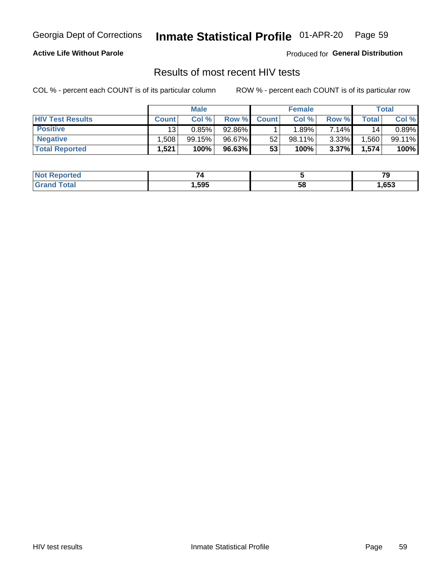#### Inmate Statistical Profile 01-APR-20 Page 59

### **Active Life Without Parole**

Produced for General Distribution

## Results of most recent HIV tests

COL % - percent each COUNT is of its particular column

|                         | <b>Male</b>     |        |        | <b>Female</b> |                 |       | Total       |        |
|-------------------------|-----------------|--------|--------|---------------|-----------------|-------|-------------|--------|
| <b>HIV Test Results</b> | <b>Count</b>    | Col %  | Row %I | <b>Count</b>  | Col %           | Row % | $\tau$ otal | Col %  |
| <b>Positive</b>         | 13 <sub>1</sub> | 0.85%  | 92.86% |               | $^{\circ}$ .89% | 7.14% | 14          | 0.89%  |
| <b>Negative</b>         | .508            | 99.15% | 96.67% | 52            | $98.11\%$       | 3.33% | .560        | 99.11% |
| <b>Total Reported</b>   | .521            | 100%   | 96.63% | 53            | 100%            | 3.37% | 1,574       | 100%   |

| <b>Not Reported</b>        |        |    | - -<br>. . |
|----------------------------|--------|----|------------|
| <b>cotal</b><br><b>Gro</b> | 595, ا | 58 | ,653       |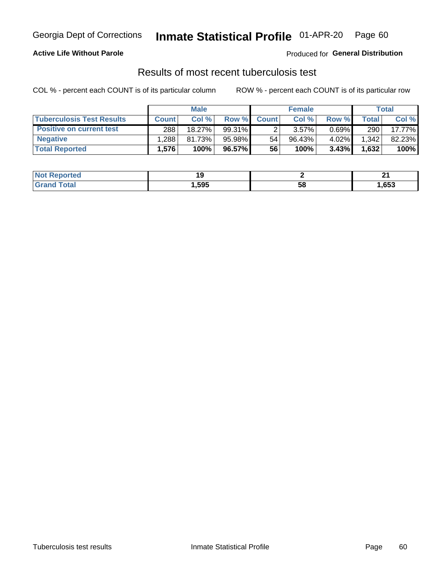## Georgia Dept of Corrections **Inmate Statistical Profile** 01-APR-20 Page 60

### **Active Life Without Parole**

Produced for **General Distribution**

## Results of most recent tuberculosis test

COL % - percent each COUNT is of its particular column ROW % - percent each COUNT is of its particular row

|                                  | <b>Male</b>  |        |           | <b>Female</b> |           |          | Total |        |
|----------------------------------|--------------|--------|-----------|---------------|-----------|----------|-------|--------|
| <b>Tuberculosis Test Results</b> | <b>Count</b> | Col %  | Row %I    | <b>Count</b>  | Col %     | Row %    | Total | Col %  |
| <b>Positive on current test</b>  | 288          | 18.27% | $99.31\%$ |               | $3.57\%$  | $0.69\%$ | 290   | 17.77% |
| <b>Negative</b>                  | .288         | 81.73% | 95.98%    | 54            | $96.43\%$ | 4.02%    | 1,342 | 82.23% |
| <b>Total Reported</b>            | .576         | 100%   | 96.57% I  | 56            | 100%      | 3.43%    | 1,632 | 100%   |

| <b>Not Reported</b> |      |    | $\sim$<br>- - |
|---------------------|------|----|---------------|
| `otal<br>.C.        | ,595 | эŏ | 653, ا        |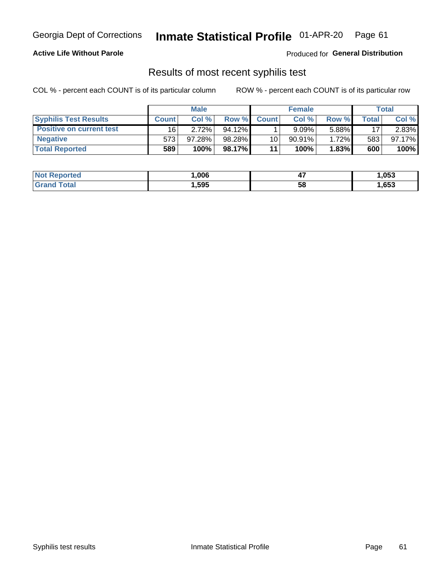## Georgia Dept of Corrections **Inmate Statistical Profile** 01-APR-20 Page 61

### **Active Life Without Parole**

Produced for **General Distribution**

## Results of most recent syphilis test

COL % - percent each COUNT is of its particular column ROW % - percent each COUNT is of its particular row

|                                 | <b>Male</b>  |           |           | <b>Female</b> |           |          | Total |        |
|---------------------------------|--------------|-----------|-----------|---------------|-----------|----------|-------|--------|
| <b>Syphilis Test Results</b>    | <b>Count</b> | Col%      | Row %     | <b>Count</b>  | Col %     | Row %    | Total | Col %  |
| <b>Positive on current test</b> | 16           | 2.72%     | $94.12\%$ |               | 9.09%     | 5.88%    | 17    | 2.83%  |
| <b>Negative</b>                 | 573          | $97.28\%$ | 98.28%    | 10            | $90.91\%$ | $1.72\%$ | 583   | 97.17% |
| <b>Total Reported</b>           | 589          | 100%      | 98.17%    | 11            | 100%      | 1.83%    | 600   | 100%   |

| <b>Not Reported</b> | .006 | <br>- 1 | 1,053 |
|---------------------|------|---------|-------|
| <b>Total</b>        | ,595 | 58      | ,653  |